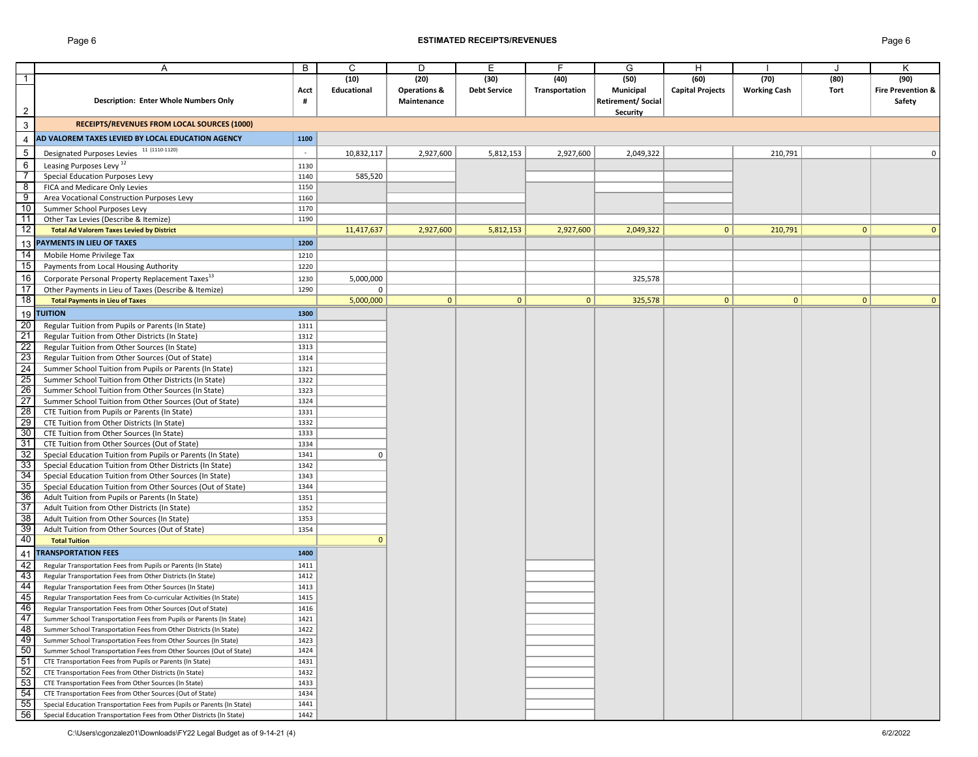# Page 6 **ESTIMATED RECEIPTS/REVENUES** Page 6

|                          | Α                                                                                                | B    | $\mathsf{C}$ | D                       | E                   | E.             | G                 | Η                       |                     |              | Κ                            |
|--------------------------|--------------------------------------------------------------------------------------------------|------|--------------|-------------------------|---------------------|----------------|-------------------|-------------------------|---------------------|--------------|------------------------------|
| $\overline{1}$           |                                                                                                  |      | (10)         | (20)                    | (30)                | (40)           | (50)              | (60)                    | (70)                | (80)         | (90)                         |
|                          |                                                                                                  | Acct | Educational  | <b>Operations &amp;</b> | <b>Debt Service</b> | Transportation | <b>Municipal</b>  | <b>Capital Projects</b> | <b>Working Cash</b> | Tort         | <b>Fire Prevention &amp;</b> |
|                          | <b>Description: Enter Whole Numbers Only</b>                                                     | #    |              | Maintenance             |                     |                | Retirement/Social |                         |                     |              | Safety                       |
| $\overline{2}$           |                                                                                                  |      |              |                         |                     |                | <b>Security</b>   |                         |                     |              |                              |
|                          |                                                                                                  |      |              |                         |                     |                |                   |                         |                     |              |                              |
| $\mathbf{3}$             | <b>RECEIPTS/REVENUES FROM LOCAL SOURCES (1000)</b>                                               |      |              |                         |                     |                |                   |                         |                     |              |                              |
| 4                        | AD VALOREM TAXES LEVIED BY LOCAL EDUCATION AGENCY                                                | 1100 |              |                         |                     |                |                   |                         |                     |              |                              |
| $\overline{5}$           | Designated Purposes Levies 11 (1110-1120)                                                        |      | 10,832,117   | 2,927,600               | 5,812,153           | 2,927,600      | 2,049,322         |                         | 210,791             |              | 0                            |
| $\,6\,$                  | Leasing Purposes Levy <sup>12</sup>                                                              | 1130 |              |                         |                     |                |                   |                         |                     |              |                              |
| $\overline{\phantom{a}}$ | <b>Special Education Purposes Levy</b>                                                           | 1140 | 585,520      |                         |                     |                |                   |                         |                     |              |                              |
| $\overline{8}$           | FICA and Medicare Only Levies                                                                    | 1150 |              |                         |                     |                |                   |                         |                     |              |                              |
| $\overline{9}$           | Area Vocational Construction Purposes Levy                                                       | 1160 |              |                         |                     |                |                   |                         |                     |              |                              |
| 10                       | Summer School Purposes Levy                                                                      | 1170 |              |                         |                     |                |                   |                         |                     |              |                              |
| 11                       | Other Tax Levies (Describe & Itemize)                                                            | 1190 |              |                         |                     |                |                   |                         |                     |              |                              |
| $\overline{12}$          | <b>Total Ad Valorem Taxes Levied by District</b>                                                 |      | 11,417,637   | 2,927,600               | 5,812,153           | 2,927,600      | 2,049,322         | 0 <sup>1</sup>          | 210,791             | $\mathbf{0}$ | $\Omega$                     |
|                          | <b>PAYMENTS IN LIEU OF TAXES</b>                                                                 | 1200 |              |                         |                     |                |                   |                         |                     |              |                              |
| 13                       |                                                                                                  |      |              |                         |                     |                |                   |                         |                     |              |                              |
| $\overline{14}$          | Mobile Home Privilege Tax                                                                        | 1210 |              |                         |                     |                |                   |                         |                     |              |                              |
| 15                       | Payments from Local Housing Authority                                                            | 1220 |              |                         |                     |                |                   |                         |                     |              |                              |
| 16                       | Corporate Personal Property Replacement Taxes <sup>13</sup>                                      | 1230 | 5,000,000    |                         |                     |                | 325,578           |                         |                     |              |                              |
| $\overline{17}$          | Other Payments in Lieu of Taxes (Describe & Itemize)                                             | 1290 | $\Omega$     |                         |                     |                |                   |                         |                     |              |                              |
| 18                       | <b>Total Payments in Lieu of Taxes</b>                                                           |      | 5,000,000    | $\mathbf{0}$            | $\overline{0}$      | $\mathbf{0}$   | 325,578           | $\mathbf{0}$            | $\overline{0}$      | 0            | 0                            |
|                          | 19 TUITION                                                                                       | 1300 |              |                         |                     |                |                   |                         |                     |              |                              |
| $\overline{20}$          | Regular Tuition from Pupils or Parents (In State)                                                | 1311 |              |                         |                     |                |                   |                         |                     |              |                              |
| $\overline{21}$          | Regular Tuition from Other Districts (In State)                                                  | 1312 |              |                         |                     |                |                   |                         |                     |              |                              |
| $\overline{22}$          | Regular Tuition from Other Sources (In State)                                                    | 1313 |              |                         |                     |                |                   |                         |                     |              |                              |
| 23                       | Regular Tuition from Other Sources (Out of State)                                                | 1314 |              |                         |                     |                |                   |                         |                     |              |                              |
| 24                       | Summer School Tuition from Pupils or Parents (In State)                                          | 1321 |              |                         |                     |                |                   |                         |                     |              |                              |
| 25                       | Summer School Tuition from Other Districts (In State)                                            | 1322 |              |                         |                     |                |                   |                         |                     |              |                              |
| 26                       | Summer School Tuition from Other Sources (In State)                                              | 1323 |              |                         |                     |                |                   |                         |                     |              |                              |
| $\overline{27}$          | Summer School Tuition from Other Sources (Out of State)                                          | 1324 |              |                         |                     |                |                   |                         |                     |              |                              |
| 28                       | CTE Tuition from Pupils or Parents (In State)                                                    | 1331 |              |                         |                     |                |                   |                         |                     |              |                              |
| 29                       | CTE Tuition from Other Districts (In State)                                                      | 1332 |              |                         |                     |                |                   |                         |                     |              |                              |
| 30                       | CTE Tuition from Other Sources (In State)                                                        | 1333 |              |                         |                     |                |                   |                         |                     |              |                              |
| 31                       | CTE Tuition from Other Sources (Out of State)                                                    | 1334 |              |                         |                     |                |                   |                         |                     |              |                              |
| 32                       | Special Education Tuition from Pupils or Parents (In State)                                      | 1341 | 0            |                         |                     |                |                   |                         |                     |              |                              |
| 33                       | Special Education Tuition from Other Districts (In State)                                        | 1342 |              |                         |                     |                |                   |                         |                     |              |                              |
| 34                       | Special Education Tuition from Other Sources (In State)                                          | 1343 |              |                         |                     |                |                   |                         |                     |              |                              |
| 35                       | Special Education Tuition from Other Sources (Out of State)                                      | 1344 |              |                         |                     |                |                   |                         |                     |              |                              |
| 36                       |                                                                                                  | 1351 |              |                         |                     |                |                   |                         |                     |              |                              |
| 37                       | Adult Tuition from Pupils or Parents (In State)<br>Adult Tuition from Other Districts (In State) | 1352 |              |                         |                     |                |                   |                         |                     |              |                              |
| 38                       | Adult Tuition from Other Sources (In State)                                                      | 1353 |              |                         |                     |                |                   |                         |                     |              |                              |
| 39                       | Adult Tuition from Other Sources (Out of State)                                                  | 1354 |              |                         |                     |                |                   |                         |                     |              |                              |
| 40                       | <b>Total Tuition</b>                                                                             |      |              |                         |                     |                |                   |                         |                     |              |                              |
|                          |                                                                                                  |      |              |                         |                     |                |                   |                         |                     |              |                              |
| -41                      | <b>TRANSPORTATION FEES</b>                                                                       | 1400 |              |                         |                     |                |                   |                         |                     |              |                              |
| 42                       | Regular Transportation Fees from Pupils or Parents (In State)                                    | 1411 |              |                         |                     |                |                   |                         |                     |              |                              |
| 43                       | Regular Transportation Fees from Other Districts (In State)                                      | 1412 |              |                         |                     |                |                   |                         |                     |              |                              |
| 44                       | Regular Transportation Fees from Other Sources (In State)                                        | 1413 |              |                         |                     |                |                   |                         |                     |              |                              |
| 45                       | Regular Transportation Fees from Co-curricular Activities (In State)                             | 1415 |              |                         |                     |                |                   |                         |                     |              |                              |
| 46                       | Regular Transportation Fees from Other Sources (Out of State)                                    | 1416 |              |                         |                     |                |                   |                         |                     |              |                              |
| 47                       | Summer School Transportation Fees from Pupils or Parents (In State)                              | 1421 |              |                         |                     |                |                   |                         |                     |              |                              |
| 48                       | Summer School Transportation Fees from Other Districts (In State)                                | 1422 |              |                         |                     |                |                   |                         |                     |              |                              |
| 49                       | Summer School Transportation Fees from Other Sources (In State)                                  | 1423 |              |                         |                     |                |                   |                         |                     |              |                              |
| 50                       | Summer School Transportation Fees from Other Sources (Out of State)                              | 1424 |              |                         |                     |                |                   |                         |                     |              |                              |
| 51                       | CTE Transportation Fees from Pupils or Parents (In State)                                        | 1431 |              |                         |                     |                |                   |                         |                     |              |                              |
| 52                       | CTE Transportation Fees from Other Districts (In State)                                          | 1432 |              |                         |                     |                |                   |                         |                     |              |                              |
| 53                       | CTE Transportation Fees from Other Sources (In State)                                            | 1433 |              |                         |                     |                |                   |                         |                     |              |                              |
| 54                       | CTE Transportation Fees from Other Sources (Out of State)                                        | 1434 |              |                         |                     |                |                   |                         |                     |              |                              |
| 55                       | Special Education Transportation Fees from Pupils or Parents (In State)                          | 1441 |              |                         |                     |                |                   |                         |                     |              |                              |
| 56                       | Special Education Transportation Fees from Other Districts (In State)                            | 1442 |              |                         |                     |                |                   |                         |                     |              |                              |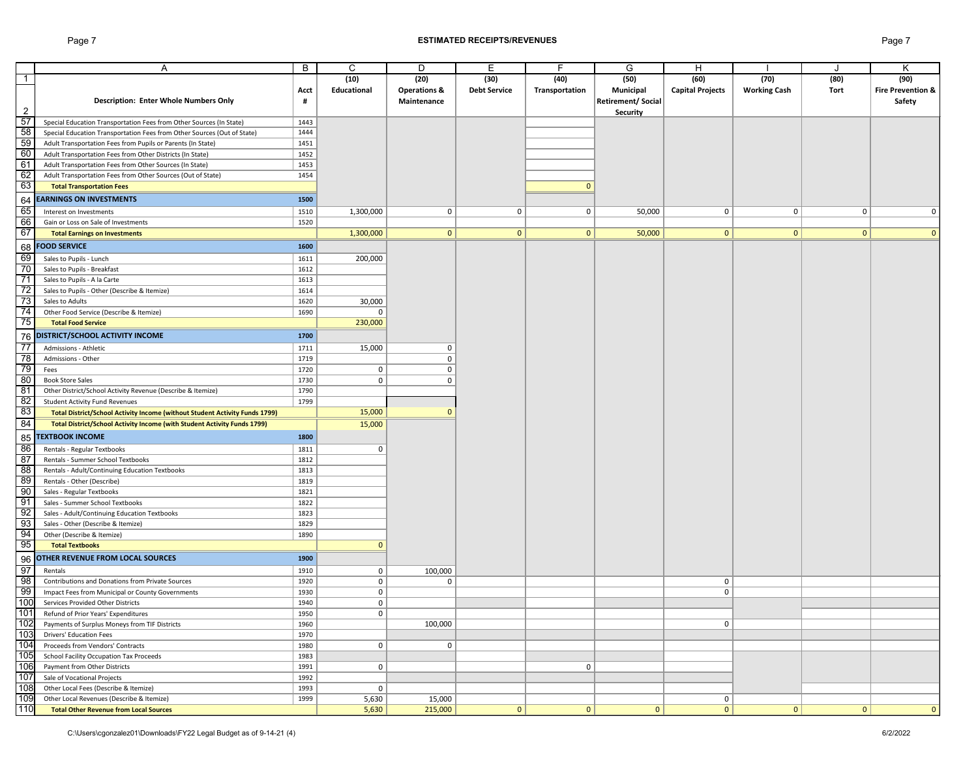## Page 7 **ESTIMATED RECEIPTS/REVENUES** Page 7

|                                                                                                        | A                                                                           | B    | C.          | D                       | E                   | F.             | G                         | Н                       |                     |              | Κ                            |
|--------------------------------------------------------------------------------------------------------|-----------------------------------------------------------------------------|------|-------------|-------------------------|---------------------|----------------|---------------------------|-------------------------|---------------------|--------------|------------------------------|
| $\overline{1}$                                                                                         |                                                                             |      | (10)        | (20)                    | (30)                | (40)           | (50)                      | (60)                    | (70)                | (80)         | (90)                         |
|                                                                                                        |                                                                             | Acct | Educational | <b>Operations &amp;</b> | <b>Debt Service</b> | Transportation | <b>Municipal</b>          | <b>Capital Projects</b> | <b>Working Cash</b> | Tort         | <b>Fire Prevention &amp;</b> |
|                                                                                                        | <b>Description: Enter Whole Numbers Only</b>                                | #    |             | Maintenance             |                     |                | <b>Retirement/ Social</b> |                         |                     |              | Safety                       |
| $\overline{2}$                                                                                         |                                                                             |      |             |                         |                     |                | <b>Security</b>           |                         |                     |              |                              |
| $\frac{57}{58}$<br>$\frac{58}{60}$<br>$\frac{60}{61}$                                                  | Special Education Transportation Fees from Other Sources (In State)         | 1443 |             |                         |                     |                |                           |                         |                     |              |                              |
|                                                                                                        | Special Education Transportation Fees from Other Sources (Out of State)     | 1444 |             |                         |                     |                |                           |                         |                     |              |                              |
|                                                                                                        | Adult Transportation Fees from Pupils or Parents (In State)                 | 1451 |             |                         |                     |                |                           |                         |                     |              |                              |
|                                                                                                        | Adult Transportation Fees from Other Districts (In State)                   | 1452 |             |                         |                     |                |                           |                         |                     |              |                              |
|                                                                                                        | Adult Transportation Fees from Other Sources (In State)                     | 1453 |             |                         |                     |                |                           |                         |                     |              |                              |
| 62                                                                                                     | Adult Transportation Fees from Other Sources (Out of State)                 | 1454 |             |                         |                     |                |                           |                         |                     |              |                              |
| 63                                                                                                     | <b>Total Transportation Fees</b>                                            |      |             |                         |                     | 0              |                           |                         |                     |              |                              |
| 64                                                                                                     | <b>EARNINGS ON INVESTMENTS</b>                                              | 1500 |             |                         |                     |                |                           |                         |                     |              |                              |
|                                                                                                        |                                                                             |      |             |                         |                     |                |                           |                         |                     |              |                              |
| 65<br>66                                                                                               | Interest on Investments                                                     | 1510 | 1,300,000   | 0 <sup>1</sup>          | 0                   | 0              | 50,000                    | 0                       | 0                   | 0            | $\Omega$                     |
| 67                                                                                                     | Gain or Loss on Sale of Investments                                         | 1520 |             |                         |                     |                |                           |                         |                     |              |                              |
|                                                                                                        | <b>Total Earnings on Investments</b>                                        |      | 1,300,000   | 0                       | $\mathbf{0}$        | $\mathbf{0}$   | 50,000                    | $\mathbf{0}$            | $\mathbf{0}$        | $\mathbf{0}$ | $\Omega$                     |
| $\begin{array}{r} 68 \\ \hline 69 \\ \hline 70 \\ \hline 71 \end{array}$                               | <b>FOOD SERVICE</b>                                                         | 1600 |             |                         |                     |                |                           |                         |                     |              |                              |
|                                                                                                        | Sales to Pupils - Lunch                                                     | 1611 | 200,000     |                         |                     |                |                           |                         |                     |              |                              |
|                                                                                                        | Sales to Pupils - Breakfast                                                 | 1612 |             |                         |                     |                |                           |                         |                     |              |                              |
|                                                                                                        | Sales to Pupils - A la Carte                                                | 1613 |             |                         |                     |                |                           |                         |                     |              |                              |
| 72                                                                                                     | Sales to Pupils - Other (Describe & Itemize)                                | 1614 |             |                         |                     |                |                           |                         |                     |              |                              |
| 73                                                                                                     | Sales to Adults                                                             | 1620 | 30,000      |                         |                     |                |                           |                         |                     |              |                              |
| 74                                                                                                     | Other Food Service (Describe & Itemize)                                     | 1690 | 0           |                         |                     |                |                           |                         |                     |              |                              |
| 75                                                                                                     | <b>Total Food Service</b>                                                   |      | 230,000     |                         |                     |                |                           |                         |                     |              |                              |
| 76                                                                                                     | <b>DISTRICT/SCHOOL ACTIVITY INCOME</b>                                      | 1700 |             |                         |                     |                |                           |                         |                     |              |                              |
|                                                                                                        |                                                                             |      |             |                         |                     |                |                           |                         |                     |              |                              |
| $\frac{77}{78}$                                                                                        | Admissions - Athletic                                                       | 1711 | 15,000      | $\Omega$                |                     |                |                           |                         |                     |              |                              |
|                                                                                                        | Admissions - Other                                                          | 1719 |             | $\Omega$                |                     |                |                           |                         |                     |              |                              |
|                                                                                                        | Fees                                                                        | 1720 | 0           | $\Omega$                |                     |                |                           |                         |                     |              |                              |
| 80                                                                                                     | <b>Book Store Sales</b>                                                     | 1730 | 0           | $\Omega$                |                     |                |                           |                         |                     |              |                              |
| 81                                                                                                     | Other District/School Activity Revenue (Describe & Itemize)                 | 1790 |             |                         |                     |                |                           |                         |                     |              |                              |
| 82                                                                                                     | <b>Student Activity Fund Revenues</b>                                       | 1799 |             |                         |                     |                |                           |                         |                     |              |                              |
| 83                                                                                                     | Total District/School Activity Income (without Student Activity Funds 1799) |      | 15,000      |                         |                     |                |                           |                         |                     |              |                              |
| 84                                                                                                     | Total District/School Activity Income (with Student Activity Funds 1799)    |      | 15,000      |                         |                     |                |                           |                         |                     |              |                              |
| 85                                                                                                     | <b>TEXTBOOK INCOME</b>                                                      | 1800 |             |                         |                     |                |                           |                         |                     |              |                              |
|                                                                                                        | Rentals - Regular Textbooks                                                 | 1811 | 0           |                         |                     |                |                           |                         |                     |              |                              |
|                                                                                                        | Rentals - Summer School Textbooks                                           | 1812 |             |                         |                     |                |                           |                         |                     |              |                              |
|                                                                                                        | Rentals - Adult/Continuing Education Textbooks                              | 1813 |             |                         |                     |                |                           |                         |                     |              |                              |
|                                                                                                        | Rentals - Other (Describe)                                                  | 1819 |             |                         |                     |                |                           |                         |                     |              |                              |
|                                                                                                        | Sales - Regular Textbooks                                                   | 1821 |             |                         |                     |                |                           |                         |                     |              |                              |
|                                                                                                        | Sales - Summer School Textbooks                                             | 1822 |             |                         |                     |                |                           |                         |                     |              |                              |
|                                                                                                        | Sales - Adult/Continuing Education Textbooks                                | 1823 |             |                         |                     |                |                           |                         |                     |              |                              |
| မြေ့မြေ့မြေ့မြေ့မြေ့မြေ                                                                                | Sales - Other (Describe & Itemize)                                          | 1829 |             |                         |                     |                |                           |                         |                     |              |                              |
|                                                                                                        | Other (Describe & Itemize)                                                  | 1890 |             |                         |                     |                |                           |                         |                     |              |                              |
|                                                                                                        | <b>Total Textbooks</b>                                                      |      | $\Omega$    |                         |                     |                |                           |                         |                     |              |                              |
|                                                                                                        | <b>OTHER REVENUE FROM LOCAL SOURCES</b>                                     | 1900 |             |                         |                     |                |                           |                         |                     |              |                              |
| $\begin{array}{r}\n 96 \\  \hline\n 97 \\  \hline\n 98 \\  \hline\n 99 \\  \hline\n 100\n \end{array}$ |                                                                             |      |             |                         |                     |                |                           |                         |                     |              |                              |
|                                                                                                        | Rentals                                                                     | 1910 | 0           | 100,000                 |                     |                |                           |                         |                     |              |                              |
|                                                                                                        | <b>Contributions and Donations from Private Sources</b>                     | 1920 | 0           | $\mathbf 0$             |                     |                |                           | 0                       |                     |              |                              |
|                                                                                                        | Impact Fees from Municipal or County Governments                            | 1930 | 0           |                         |                     |                |                           | 0                       |                     |              |                              |
| 101                                                                                                    | Services Provided Other Districts                                           | 1940 | 0           |                         |                     |                |                           |                         |                     |              |                              |
|                                                                                                        | Refund of Prior Years' Expenditures                                         | 1950 | 0           |                         |                     |                |                           |                         |                     |              |                              |
| 102<br>103                                                                                             | Payments of Surplus Moneys from TIF Districts                               | 1960 |             | 100,000                 |                     |                |                           | 0                       |                     |              |                              |
|                                                                                                        | <b>Drivers' Education Fees</b>                                              | 1970 |             |                         |                     |                |                           |                         |                     |              |                              |
| 104                                                                                                    | Proceeds from Vendors' Contracts                                            | 1980 | 0           | 0 <sup>1</sup>          |                     |                |                           |                         |                     |              |                              |
| 105                                                                                                    | <b>School Facility Occupation Tax Proceeds</b>                              | 1983 |             |                         |                     |                |                           |                         |                     |              |                              |
| 106                                                                                                    | Payment from Other Districts                                                | 1991 | 0           |                         |                     | 0              |                           |                         |                     |              |                              |
| 107                                                                                                    | Sale of Vocational Projects                                                 | 1992 |             |                         |                     |                |                           |                         |                     |              |                              |
| 108                                                                                                    | Other Local Fees (Describe & Itemize)                                       | 1993 | 0           |                         |                     |                |                           |                         |                     |              |                              |
| 109                                                                                                    | Other Local Revenues (Describe & Itemize)                                   | 1999 | 5,630       | 15,000                  |                     |                |                           | 0                       |                     |              |                              |
| 110                                                                                                    | <b>Total Other Revenue from Local Sources</b>                               |      | 5,630       | 215,000                 | 0                   | $\mathbf{0}$   | $\mathbf{0}$              | $\Omega$                | 0                   | 0            | $\overline{0}$               |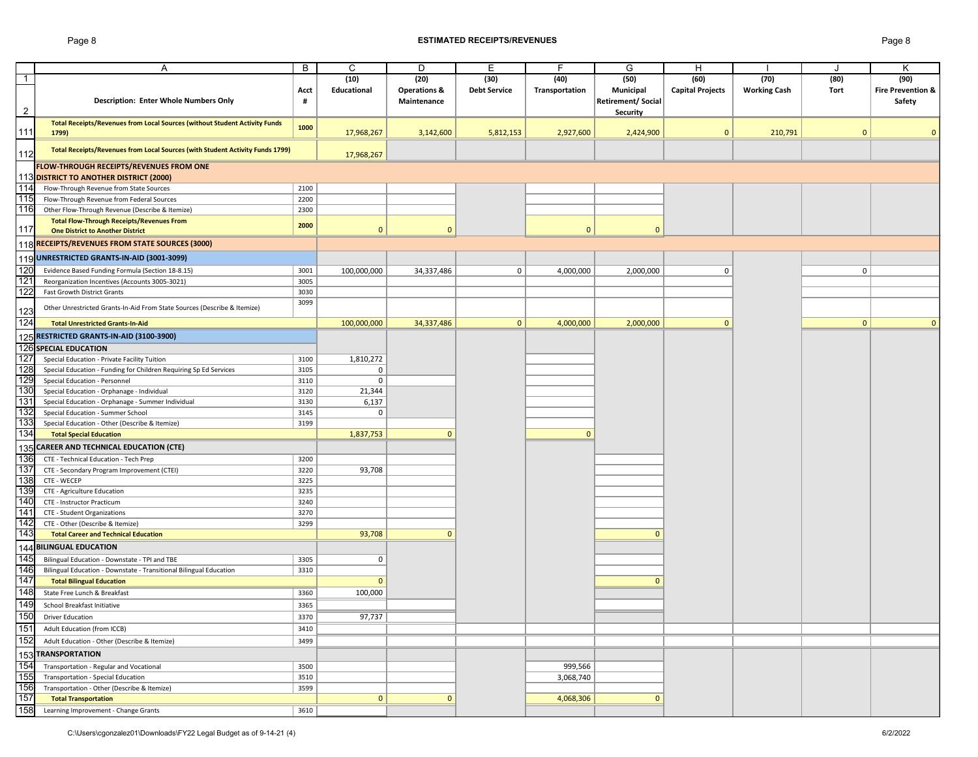## Page 8 **ESTIMATED RECEIPTS/REVENUES** Page 8

|                | Α                                                                                                  | B    | C                  | D                       | Е                   | F              | G                         | н                       |                     |                | K                            |
|----------------|----------------------------------------------------------------------------------------------------|------|--------------------|-------------------------|---------------------|----------------|---------------------------|-------------------------|---------------------|----------------|------------------------------|
| $\overline{1}$ |                                                                                                    |      | (10)               | (20)                    | (30)                | (40)           | (50)                      | (60)                    | (70)                | (80)           | (90)                         |
|                |                                                                                                    | Acct | <b>Educational</b> | <b>Operations &amp;</b> | <b>Debt Service</b> | Transportation | Municipal                 | <b>Capital Projects</b> | <b>Working Cash</b> | Tort           | <b>Fire Prevention &amp;</b> |
|                | <b>Description: Enter Whole Numbers Only</b>                                                       | #    |                    | Maintenance             |                     |                | <b>Retirement/ Social</b> |                         |                     |                | <b>Safety</b>                |
| $\overline{2}$ |                                                                                                    |      |                    |                         |                     |                | <b>Security</b>           |                         |                     |                |                              |
|                | Total Receipts/Revenues from Local Sources (without Student Activity Funds                         |      |                    |                         |                     |                |                           |                         |                     |                |                              |
| 111            | 1799)                                                                                              | 1000 | 17,968,267         | 3,142,600               | 5,812,153           | 2,927,600      | 2,424,900                 | $\overline{0}$          | 210,791             |                |                              |
|                |                                                                                                    |      |                    |                         |                     |                |                           |                         |                     |                |                              |
| 112            | Total Receipts/Revenues from Local Sources (with Student Activity Funds 1799)                      |      | 17,968,267         |                         |                     |                |                           |                         |                     |                |                              |
|                |                                                                                                    |      |                    |                         |                     |                |                           |                         |                     |                |                              |
|                | <b>FLOW-THROUGH RECEIPTS/REVENUES FROM ONE</b>                                                     |      |                    |                         |                     |                |                           |                         |                     |                |                              |
|                | 113 DISTRICT TO ANOTHER DISTRICT (2000)                                                            |      |                    |                         |                     |                |                           |                         |                     |                |                              |
| 114            | Flow-Through Revenue from State Sources                                                            | 2100 |                    |                         |                     |                |                           |                         |                     |                |                              |
| 115            | Flow-Through Revenue from Federal Sources                                                          | 2200 |                    |                         |                     |                |                           |                         |                     |                |                              |
| 116            | Other Flow-Through Revenue (Describe & Itemize)                                                    | 2300 |                    |                         |                     |                |                           |                         |                     |                |                              |
|                | <b>Total Flow-Through Receipts/Revenues From</b>                                                   | 2000 |                    |                         |                     |                |                           |                         |                     |                |                              |
| 117            | <b>One District to Another District</b>                                                            |      | $\mathbf{0}$       | $\mathbf{0}$            |                     | $\mathbf{0}$   | $\mathbf{0}$              |                         |                     |                |                              |
|                | 118 RECEIPTS/REVENUES FROM STATE SOURCES (3000)                                                    |      |                    |                         |                     |                |                           |                         |                     |                |                              |
|                | 119 UNRESTRICTED GRANTS-IN-AID (3001-3099)                                                         |      |                    |                         |                     |                |                           |                         |                     |                |                              |
| 120            |                                                                                                    |      |                    |                         |                     |                |                           |                         |                     | $\mathbf 0$    |                              |
| 121            | Evidence Based Funding Formula (Section 18-8.15)<br>Reorganization Incentives (Accounts 3005-3021) | 3001 | 100,000,000        | 34,337,486              | $\overline{0}$      | 4,000,000      | 2,000,000                 | 0                       |                     |                |                              |
| 122            |                                                                                                    | 3005 |                    |                         |                     |                |                           |                         |                     |                |                              |
|                | <b>Fast Growth District Grants</b>                                                                 | 3030 |                    |                         |                     |                |                           |                         |                     |                |                              |
| 123            | Other Unrestricted Grants-In-Aid From State Sources (Describe & Itemize)                           | 3099 |                    |                         |                     |                |                           |                         |                     |                |                              |
| 124            |                                                                                                    |      |                    |                         |                     |                |                           |                         |                     |                |                              |
|                | <b>Total Unrestricted Grants-In-Aid</b>                                                            |      | 100,000,000        | 34,337,486              | 0                   | 4,000,000      | 2,000,000                 | $\mathbf{0}$            |                     | $\overline{0}$ | $\Omega$                     |
|                | 125 RESTRICTED GRANTS-IN-AID (3100-3900)                                                           |      |                    |                         |                     |                |                           |                         |                     |                |                              |
|                | 126 SPECIAL EDUCATION                                                                              |      |                    |                         |                     |                |                           |                         |                     |                |                              |
| 127            | Special Education - Private Facility Tuition                                                       | 3100 | 1,810,272          |                         |                     |                |                           |                         |                     |                |                              |
| 128            | Special Education - Funding for Children Requiring Sp Ed Services                                  | 3105 | 0                  |                         |                     |                |                           |                         |                     |                |                              |
| 129            | Special Education - Personnel                                                                      | 3110 | 0                  |                         |                     |                |                           |                         |                     |                |                              |
| 130            | Special Education - Orphanage - Individual                                                         | 3120 | 21,344             |                         |                     |                |                           |                         |                     |                |                              |
| 131            | Special Education - Orphanage - Summer Individual                                                  | 3130 | 6,137              |                         |                     |                |                           |                         |                     |                |                              |
| 132            | Special Education - Summer School                                                                  | 3145 | 0                  |                         |                     |                |                           |                         |                     |                |                              |
| 133            | Special Education - Other (Describe & Itemize)                                                     | 3199 |                    |                         |                     |                |                           |                         |                     |                |                              |
| 134            | <b>Total Special Education</b>                                                                     |      | 1,837,753          | $\Omega$                |                     | $\Omega$       |                           |                         |                     |                |                              |
|                |                                                                                                    |      |                    |                         |                     |                |                           |                         |                     |                |                              |
|                | 135 CAREER AND TECHNICAL EDUCATION (CTE)                                                           |      |                    |                         |                     |                |                           |                         |                     |                |                              |
| 136            | CTE - Technical Education - Tech Prep                                                              | 3200 |                    |                         |                     |                |                           |                         |                     |                |                              |
| 137            | CTE - Secondary Program Improvement (CTEI)                                                         | 3220 | 93,708             |                         |                     |                |                           |                         |                     |                |                              |
| 138            | CTE - WECEP                                                                                        | 3225 |                    |                         |                     |                |                           |                         |                     |                |                              |
| 139            | CTE - Agriculture Education                                                                        | 3235 |                    |                         |                     |                |                           |                         |                     |                |                              |
| 140            | <b>CTE - Instructor Practicum</b>                                                                  | 3240 |                    |                         |                     |                |                           |                         |                     |                |                              |
| 141            | <b>CTE - Student Organizations</b>                                                                 | 3270 |                    |                         |                     |                |                           |                         |                     |                |                              |
| 142            | CTE - Other (Describe & Itemize)                                                                   | 3299 |                    |                         |                     |                |                           |                         |                     |                |                              |
| 143            | <b>Total Career and Technical Education</b>                                                        |      | 93,708             |                         |                     |                | $\Omega$                  |                         |                     |                |                              |
|                | 144 BILINGUAL EDUCATION                                                                            |      |                    |                         |                     |                |                           |                         |                     |                |                              |
| 145            | Bilingual Education - Downstate - TPI and TBE                                                      | 3305 | 0                  |                         |                     |                |                           |                         |                     |                |                              |
| 146            | Bilingual Education - Downstate - Transitional Bilingual Education                                 | 3310 |                    |                         |                     |                |                           |                         |                     |                |                              |
| 147            | <b>Total Bilingual Education</b>                                                                   |      | $\mathbf{0}$       |                         |                     |                | $\Omega$                  |                         |                     |                |                              |
| 148            | State Free Lunch & Breakfast                                                                       | 3360 | 100,000            |                         |                     |                |                           |                         |                     |                |                              |
| 149            | School Breakfast Initiative                                                                        |      |                    |                         |                     |                |                           |                         |                     |                |                              |
| 150            |                                                                                                    | 3365 |                    |                         |                     |                |                           |                         |                     |                |                              |
|                | <b>Driver Education</b>                                                                            | 3370 | 97,737             |                         |                     |                |                           |                         |                     |                |                              |
| 151            | <b>Adult Education (from ICCB)</b>                                                                 | 3410 |                    |                         |                     |                |                           |                         |                     |                |                              |
| 152            | Adult Education - Other (Describe & Itemize)                                                       | 3499 |                    |                         |                     |                |                           |                         |                     |                |                              |
|                | 153 TRANSPORTATION                                                                                 |      |                    |                         |                     |                |                           |                         |                     |                |                              |
| 154            | Transportation - Regular and Vocational                                                            | 3500 |                    |                         |                     | 999,566        |                           |                         |                     |                |                              |
| 155            | <b>Transportation - Special Education</b>                                                          | 3510 |                    |                         |                     | 3,068,740      |                           |                         |                     |                |                              |
| 156            | Transportation - Other (Describe & Itemize)                                                        | 3599 |                    |                         |                     |                |                           |                         |                     |                |                              |
| 157            | <b>Total Transportation</b>                                                                        |      | $\mathbf{0}$       |                         |                     | 4,068,306      | $\Omega$                  |                         |                     |                |                              |
| 158            |                                                                                                    |      |                    |                         |                     |                |                           |                         |                     |                |                              |
|                | Learning Improvement - Change Grants                                                               | 3610 |                    |                         |                     |                |                           |                         |                     |                |                              |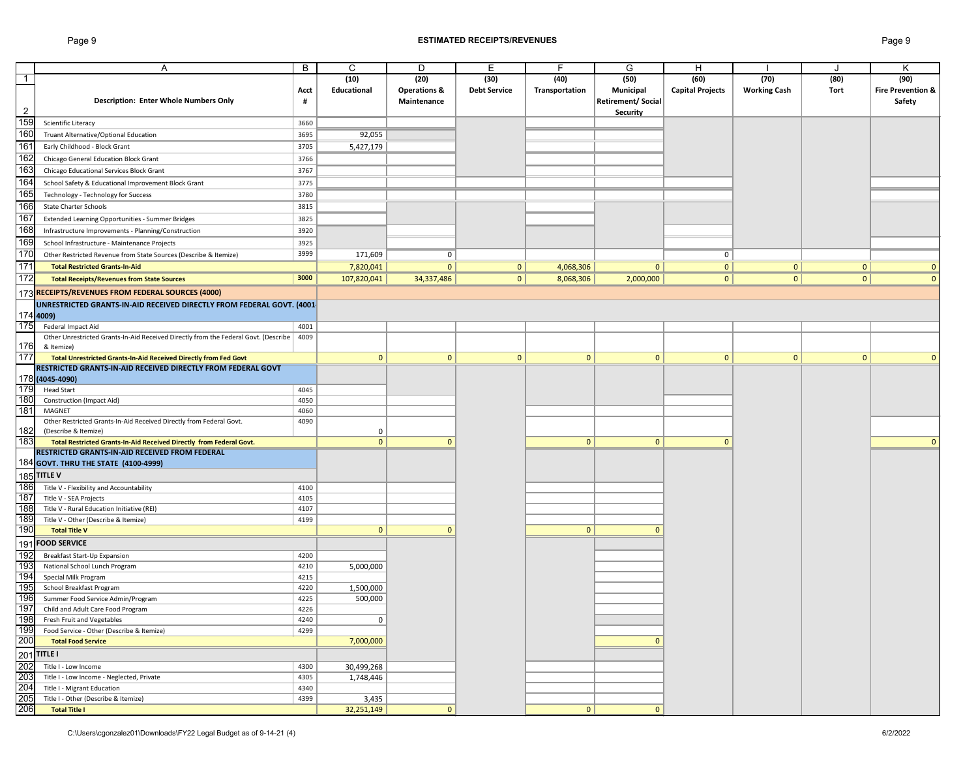## Page 9 **ESTIMATED RECEIPTS/REVENUES** Page 9

|                                       | A                                                                                                                               | B    | C                  | D                       | E                   | F.             | G                        | H                       |                     |                | K                            |
|---------------------------------------|---------------------------------------------------------------------------------------------------------------------------------|------|--------------------|-------------------------|---------------------|----------------|--------------------------|-------------------------|---------------------|----------------|------------------------------|
| $\overline{1}$                        |                                                                                                                                 |      | (10)               | (20)                    | (30)                | (40)           | (50)                     | (60)                    | (70)                | (80)           | (90)                         |
|                                       |                                                                                                                                 | Acct | <b>Educational</b> | <b>Operations &amp;</b> | <b>Debt Service</b> | Transportation | <b>Municipal</b>         | <b>Capital Projects</b> | <b>Working Cash</b> | Tort           | <b>Fire Prevention &amp;</b> |
|                                       | <b>Description: Enter Whole Numbers Only</b>                                                                                    | #    |                    | Maintenance             |                     |                | <b>Retirement/Social</b> |                         |                     |                | Safety                       |
| $\overline{2}$                        |                                                                                                                                 |      |                    |                         |                     |                | Security                 |                         |                     |                |                              |
| 159                                   | Scientific Literacy                                                                                                             | 3660 |                    |                         |                     |                |                          |                         |                     |                |                              |
| 160                                   | Truant Alternative/Optional Education                                                                                           | 3695 | 92,055             |                         |                     |                |                          |                         |                     |                |                              |
| 161                                   |                                                                                                                                 |      |                    |                         |                     |                |                          |                         |                     |                |                              |
|                                       | Early Childhood - Block Grant                                                                                                   | 3705 | 5,427,179          |                         |                     |                |                          |                         |                     |                |                              |
| 162                                   | Chicago General Education Block Grant                                                                                           | 3766 |                    |                         |                     |                |                          |                         |                     |                |                              |
| 163                                   | Chicago Educational Services Block Grant                                                                                        | 3767 |                    |                         |                     |                |                          |                         |                     |                |                              |
| 164                                   | School Safety & Educational Improvement Block Grant                                                                             | 3775 |                    |                         |                     |                |                          |                         |                     |                |                              |
| 165                                   | Technology - Technology for Success                                                                                             | 3780 |                    |                         |                     |                |                          |                         |                     |                |                              |
| 166                                   | <b>State Charter Schools</b>                                                                                                    | 3815 |                    |                         |                     |                |                          |                         |                     |                |                              |
| 167                                   | <b>Extended Learning Opportunities - Summer Bridges</b>                                                                         | 3825 |                    |                         |                     |                |                          |                         |                     |                |                              |
| 168                                   |                                                                                                                                 |      |                    |                         |                     |                |                          |                         |                     |                |                              |
|                                       | Infrastructure Improvements - Planning/Construction                                                                             | 3920 |                    |                         |                     |                |                          |                         |                     |                |                              |
| 169                                   | School Infrastructure - Maintenance Projects                                                                                    | 3925 |                    |                         |                     |                |                          |                         |                     |                |                              |
| 170                                   | Other Restricted Revenue from State Sources (Describe & Itemize)                                                                | 3999 | 171,609            | 0                       |                     |                |                          | $\mathbf 0$             |                     |                |                              |
| 171                                   | <b>Total Restricted Grants-In-Aid</b>                                                                                           |      | 7,820,041          | 0                       | 0                   | 4,068,306      | $\mathbf{0}$             | $\mathbf 0$             | $\mathbf{0}$        | $\mathbf{0}$   |                              |
| 172                                   | <b>Total Receipts/Revenues from State Sources</b>                                                                               | 3000 | 107,820,041        | 34,337,486              | 0                   | 8,068,306      | 2,000,000                | $\mathbf{0}$            | $\overline{0}$      | $\overline{0}$ | $\Omega$                     |
|                                       | 173 RECEIPTS/REVENUES FROM FEDERAL SOURCES (4000)                                                                               |      |                    |                         |                     |                |                          |                         |                     |                |                              |
|                                       |                                                                                                                                 |      |                    |                         |                     |                |                          |                         |                     |                |                              |
|                                       | UNRESTRICTED GRANTS-IN-AID RECEIVED DIRECTLY FROM FEDERAL GOVT. (4001-                                                          |      |                    |                         |                     |                |                          |                         |                     |                |                              |
|                                       | 174 4009)                                                                                                                       |      |                    |                         |                     |                |                          |                         |                     |                |                              |
| 175                                   | Federal Impact Aid                                                                                                              | 4001 |                    |                         |                     |                |                          |                         |                     |                |                              |
|                                       | Other Unrestricted Grants-In-Aid Received Directly from the Federal Govt. (Describe   4009                                      |      |                    |                         |                     |                |                          |                         |                     |                |                              |
| 176<br>177                            | & Itemize)                                                                                                                      |      |                    |                         |                     |                |                          |                         |                     |                |                              |
|                                       | Total Unrestricted Grants-In-Aid Received Directly from Fed Govt                                                                |      | $\mathbf{0}$       | 0                       | $\overline{0}$      | $\mathbf{0}$   | $\mathbf{0}$             | $\mathbf{0}$            | $\mathbf{0}$        | $\Omega$       | $\mathbf{0}$                 |
|                                       | RESTRICTED GRANTS-IN-AID RECEIVED DIRECTLY FROM FEDERAL GOVT                                                                    |      |                    |                         |                     |                |                          |                         |                     |                |                              |
|                                       | 178 (4045-4090)                                                                                                                 |      |                    |                         |                     |                |                          |                         |                     |                |                              |
| 179                                   | <b>Head Start</b>                                                                                                               | 4045 |                    |                         |                     |                |                          |                         |                     |                |                              |
| 180                                   | <b>Construction (Impact Aid)</b>                                                                                                | 4050 |                    |                         |                     |                |                          |                         |                     |                |                              |
| 181                                   | MAGNET                                                                                                                          | 4060 |                    |                         |                     |                |                          |                         |                     |                |                              |
|                                       | Other Restricted Grants-In-Aid Received Directly from Federal Govt.                                                             | 4090 |                    |                         |                     |                |                          |                         |                     |                |                              |
| 182                                   | (Describe & Itemize)                                                                                                            |      | 0                  |                         |                     |                |                          |                         |                     |                |                              |
| 183                                   | Total Restricted Grants-In-Aid Received Directly from Federal Govt.                                                             |      | $\mathbf{0}$       |                         |                     | $\mathbf{0}$   | $\mathbf{0}$             |                         |                     |                | $\mathbf{0}$                 |
|                                       | RESTRICTED GRANTS-IN-AID RECEIVED FROM FEDERAL                                                                                  |      |                    |                         |                     |                |                          |                         |                     |                |                              |
|                                       | <b>184 GOVT. THRU THE STATE (4100-4999)</b>                                                                                     |      |                    |                         |                     |                |                          |                         |                     |                |                              |
|                                       |                                                                                                                                 |      |                    |                         |                     |                |                          |                         |                     |                |                              |
|                                       | 185 TITLE V<br>186 Title V<br>Title V - Flexibility and Accountability                                                          | 4100 |                    |                         |                     |                |                          |                         |                     |                |                              |
| 187                                   | Title V - SEA Projects                                                                                                          | 4105 |                    |                         |                     |                |                          |                         |                     |                |                              |
| $\frac{1}{188}$                       | Title V - Rural Education Initiative (REI)                                                                                      | 4107 |                    |                         |                     |                |                          |                         |                     |                |                              |
| 189                                   | Title V - Other (Describe & Itemize)                                                                                            | 4199 |                    |                         |                     |                |                          |                         |                     |                |                              |
| 190                                   | <b>Total Title V</b>                                                                                                            |      | $\mathbf 0$        | $\Omega$                |                     | $\mathbf{0}$   | $\Omega$                 |                         |                     |                |                              |
|                                       | 191 FOOD SERVICE                                                                                                                |      |                    |                         |                     |                |                          |                         |                     |                |                              |
| 192                                   |                                                                                                                                 |      |                    |                         |                     |                |                          |                         |                     |                |                              |
| 193                                   | Breakfast Start-Up Expansion                                                                                                    | 4200 |                    |                         |                     |                |                          |                         |                     |                |                              |
|                                       | National School Lunch Program                                                                                                   | 4210 | 5,000,000          |                         |                     |                |                          |                         |                     |                |                              |
|                                       | Special Milk Program                                                                                                            | 4215 |                    |                         |                     |                |                          |                         |                     |                |                              |
| $\frac{15}{194}$<br>$\frac{195}{196}$ | School Breakfast Program                                                                                                        | 4220 | 1,500,000          |                         |                     |                |                          |                         |                     |                |                              |
|                                       | Summer Food Service Admin/Program                                                                                               | 4225 | 500,000            |                         |                     |                |                          |                         |                     |                |                              |
| 197<br>198                            | Child and Adult Care Food Program                                                                                               | 4226 |                    |                         |                     |                |                          |                         |                     |                |                              |
|                                       | Fresh Fruit and Vegetables                                                                                                      | 4240 | 0                  |                         |                     |                |                          |                         |                     |                |                              |
| 199                                   | Food Service - Other (Describe & Itemize)                                                                                       | 4299 |                    |                         |                     |                |                          |                         |                     |                |                              |
| 200                                   | <b>Total Food Service</b>                                                                                                       |      | 7,000,000          |                         |                     |                | $\Omega$                 |                         |                     |                |                              |
|                                       |                                                                                                                                 |      |                    |                         |                     |                |                          |                         |                     |                |                              |
|                                       | Title I - Low Income                                                                                                            | 4300 | 30,499,268         |                         |                     |                |                          |                         |                     |                |                              |
|                                       | 201 TITLE I<br>202 Title I<br>203 Title I<br>204 Title I<br>205 Title I<br>206 Tot<br>Title I - Low Income - Neglected, Private | 4305 | 1,748,446          |                         |                     |                |                          |                         |                     |                |                              |
|                                       | Title I - Migrant Education                                                                                                     | 4340 |                    |                         |                     |                |                          |                         |                     |                |                              |
|                                       | Title I - Other (Describe & Itemize)                                                                                            | 4399 | 3,435              |                         |                     |                |                          |                         |                     |                |                              |
|                                       | Total Title I                                                                                                                   |      | 32,251,149         | $\Omega$                |                     | $\mathbf{0}$   | $\mathbf{0}$             |                         |                     |                |                              |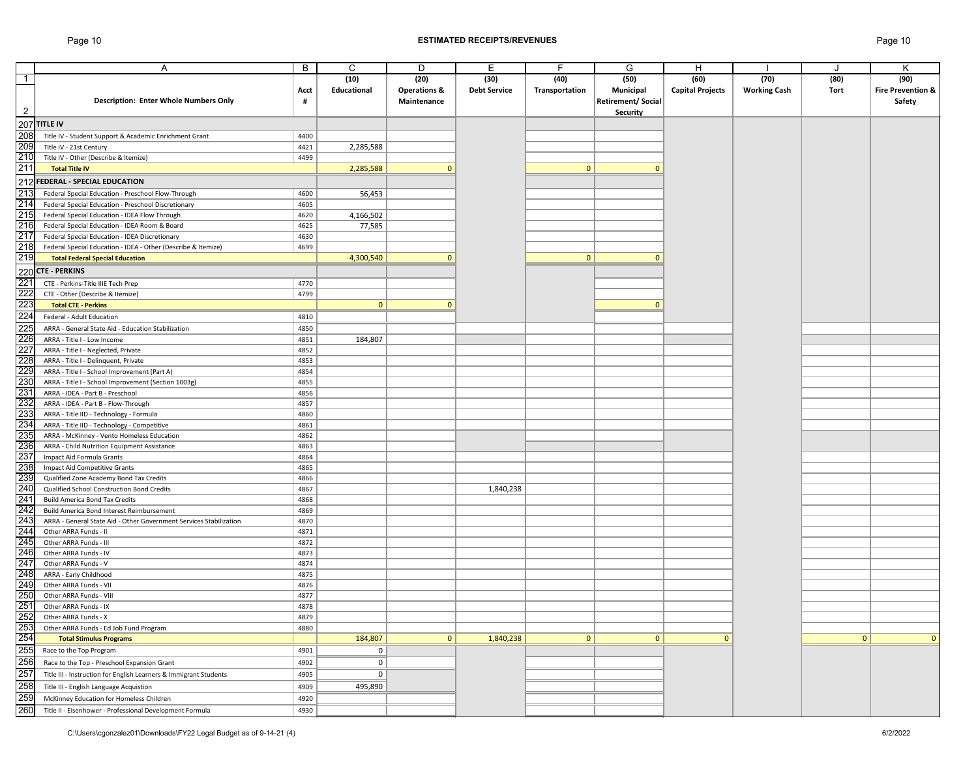# Page 10 **ESTIMATED RECEIPTS/REVENUES** Page 10

|                          | A                                                                  | $\sf B$ | $\mathsf{C}$ | D                       | Е                   | F.             | G                 | H                       |                     |              | Κ                            |
|--------------------------|--------------------------------------------------------------------|---------|--------------|-------------------------|---------------------|----------------|-------------------|-------------------------|---------------------|--------------|------------------------------|
| $\overline{\phantom{1}}$ |                                                                    |         | (10)         | (20)                    | (30)                | (40)           | (50)              | (60)                    | (70)                | (80)         | (90)                         |
|                          |                                                                    | Acct    | Educational  | <b>Operations &amp;</b> | <b>Debt Service</b> | Transportation | <b>Municipal</b>  | <b>Capital Projects</b> | <b>Working Cash</b> | Tort         | <b>Fire Prevention &amp;</b> |
|                          | <b>Description: Enter Whole Numbers Only</b>                       |         |              | Maintenance             |                     |                | Retirement/Social |                         |                     |              | Safety                       |
| $\overline{2}$           |                                                                    |         |              |                         |                     |                | Security          |                         |                     |              |                              |
|                          | 207 TITLE IV                                                       |         |              |                         |                     |                |                   |                         |                     |              |                              |
|                          |                                                                    |         |              |                         |                     |                |                   |                         |                     |              |                              |
| 208                      | Title IV - Student Support & Academic Enrichment Grant             | 4400    |              |                         |                     |                |                   |                         |                     |              |                              |
| 209                      | Title IV - 21st Century                                            | 4421    | 2,285,588    |                         |                     |                |                   |                         |                     |              |                              |
| 210                      | Title IV - Other (Describe & Itemize)                              | 4499    |              |                         |                     |                |                   |                         |                     |              |                              |
| 211                      | <b>Total Title IV</b>                                              |         | 2,285,588    |                         |                     | $\mathbf{0}$   |                   |                         |                     |              |                              |
| 212                      | <b>FEDERAL - SPECIAL EDUCATION</b>                                 |         |              |                         |                     |                |                   |                         |                     |              |                              |
| 213                      | Federal Special Education - Preschool Flow-Through                 | 4600    | 56,453       |                         |                     |                |                   |                         |                     |              |                              |
| 21 <sub>4</sub>          | Federal Special Education - Preschool Discretionary                | 4605    |              |                         |                     |                |                   |                         |                     |              |                              |
| 215                      |                                                                    | 4620    | 4,166,502    |                         |                     |                |                   |                         |                     |              |                              |
| 216                      | Federal Special Education - IDEA Flow Through                      |         |              |                         |                     |                |                   |                         |                     |              |                              |
| 217                      | Federal Special Education - IDEA Room & Board                      | 4625    | 77,585       |                         |                     |                |                   |                         |                     |              |                              |
|                          | Federal Special Education - IDEA Discretionary                     | 4630    |              |                         |                     |                |                   |                         |                     |              |                              |
| 218                      | Federal Special Education - IDEA - Other (Describe & Itemize)      | 4699    |              |                         |                     |                |                   |                         |                     |              |                              |
| 219                      | <b>Total Federal Special Education</b>                             |         | 4,300,540    |                         |                     | $\mathbf{0}$   | $\Omega$          |                         |                     |              |                              |
|                          | 220 CTE - PERKINS                                                  |         |              |                         |                     |                |                   |                         |                     |              |                              |
| 22 <sup>2</sup>          | CTE - Perkins-Title IIIE Tech Prep                                 | 4770    |              |                         |                     |                |                   |                         |                     |              |                              |
| 222                      | CTE - Other (Describe & Itemize)                                   | 4799    |              |                         |                     |                |                   |                         |                     |              |                              |
| 223                      | <b>Total CTE - Perkins</b>                                         |         | $\mathbf{0}$ |                         |                     |                |                   |                         |                     |              |                              |
| 224                      |                                                                    |         |              |                         |                     |                |                   |                         |                     |              |                              |
|                          | Federal - Adult Education                                          | 4810    |              |                         |                     |                |                   |                         |                     |              |                              |
| 225                      | ARRA - General State Aid - Education Stabilization                 | 4850    |              |                         |                     |                |                   |                         |                     |              |                              |
| 226                      | ARRA - Title I - Low Income                                        | 4851    | 184,807      |                         |                     |                |                   |                         |                     |              |                              |
| $22^{-}$                 | ARRA - Title I - Neglected, Private                                | 4852    |              |                         |                     |                |                   |                         |                     |              |                              |
| 228                      | ARRA - Title I - Delinquent, Private                               | 4853    |              |                         |                     |                |                   |                         |                     |              |                              |
| 229                      | ARRA - Title I - School Improvement (Part A)                       | 4854    |              |                         |                     |                |                   |                         |                     |              |                              |
| 230                      | ARRA - Title I - School Improvement (Section 1003g)                | 4855    |              |                         |                     |                |                   |                         |                     |              |                              |
| 23 <sup>7</sup>          | ARRA - IDEA - Part B - Preschool                                   | 4856    |              |                         |                     |                |                   |                         |                     |              |                              |
| 232                      | ARRA - IDEA - Part B - Flow-Through                                | 4857    |              |                         |                     |                |                   |                         |                     |              |                              |
| 233                      | ARRA - Title IID - Technology - Formula                            | 4860    |              |                         |                     |                |                   |                         |                     |              |                              |
| 234                      | ARRA - Title IID - Technology - Competitive                        | 4861    |              |                         |                     |                |                   |                         |                     |              |                              |
| 235                      | ARRA - McKinney - Vento Homeless Education                         | 4862    |              |                         |                     |                |                   |                         |                     |              |                              |
| 236                      | ARRA - Child Nutrition Equipment Assistance                        | 4863    |              |                         |                     |                |                   |                         |                     |              |                              |
| 237                      | Impact Aid Formula Grants                                          | 4864    |              |                         |                     |                |                   |                         |                     |              |                              |
| 238                      | Impact Aid Competitive Grants                                      | 4865    |              |                         |                     |                |                   |                         |                     |              |                              |
| 239                      |                                                                    | 4866    |              |                         |                     |                |                   |                         |                     |              |                              |
| 240                      | Qualified Zone Academy Bond Tax Credits                            |         |              |                         |                     |                |                   |                         |                     |              |                              |
|                          | Qualified School Construction Bond Credits                         | 4867    |              |                         | 1,840,238           |                |                   |                         |                     |              |                              |
| 24 <sup>7</sup>          | <b>Build America Bond Tax Credits</b>                              | 4868    |              |                         |                     |                |                   |                         |                     |              |                              |
| 242                      | Build America Bond Interest Reimbursement                          | 4869    |              |                         |                     |                |                   |                         |                     |              |                              |
| 243                      | ARRA - General State Aid - Other Government Services Stabilization | 4870    |              |                         |                     |                |                   |                         |                     |              |                              |
| 244                      | Other ARRA Funds - II                                              | 4871    |              |                         |                     |                |                   |                         |                     |              |                              |
| 245                      | Other ARRA Funds - III                                             | 4872    |              |                         |                     |                |                   |                         |                     |              |                              |
| 246                      | Other ARRA Funds - IV                                              | 4873    |              |                         |                     |                |                   |                         |                     |              |                              |
| 247                      | Other ARRA Funds - V                                               | 4874    |              |                         |                     |                |                   |                         |                     |              |                              |
| 248                      | ARRA - Early Childhood                                             | 4875    |              |                         |                     |                |                   |                         |                     |              |                              |
| 249                      | Other ARRA Funds - VII                                             | 4876    |              |                         |                     |                |                   |                         |                     |              |                              |
| 250                      | Other ARRA Funds - VIII                                            | 4877    |              |                         |                     |                |                   |                         |                     |              |                              |
| 25 <sup>′</sup>          | Other ARRA Funds - IX                                              | 4878    |              |                         |                     |                |                   |                         |                     |              |                              |
| 252                      | Other ARRA Funds - X                                               | 4879    |              |                         |                     |                |                   |                         |                     |              |                              |
| 253                      | Other ARRA Funds - Ed Job Fund Program                             | 4880    |              |                         |                     |                |                   |                         |                     |              |                              |
| 254                      | <b>Total Stimulus Programs</b>                                     |         | 184,807      | $\overline{0}$          | 1,840,238           | $\mathbf 0$    | 0                 | $\Omega$                |                     | $\mathbf{0}$ | $\Omega$                     |
| 255                      | Race to the Top Program                                            | 4901    | $\mathbf 0$  |                         |                     |                |                   |                         |                     |              |                              |
| 256                      |                                                                    | 4902    | 0            |                         |                     |                |                   |                         |                     |              |                              |
|                          | Race to the Top - Preschool Expansion Grant                        |         |              |                         |                     |                |                   |                         |                     |              |                              |
| 257                      | Title III - Instruction for English Learners & Immigrant Students  | 4905    | 0            |                         |                     |                |                   |                         |                     |              |                              |
| 258                      | Title III - English Language Acquistion                            | 4909    | 495,890      |                         |                     |                |                   |                         |                     |              |                              |
| 259                      | McKinney Education for Homeless Children                           | 4920    |              |                         |                     |                |                   |                         |                     |              |                              |
| 260                      | Title II - Eisenhower - Professional Development Formula           | 4930    |              |                         |                     |                |                   |                         |                     |              |                              |
|                          |                                                                    |         |              |                         |                     |                |                   |                         |                     |              |                              |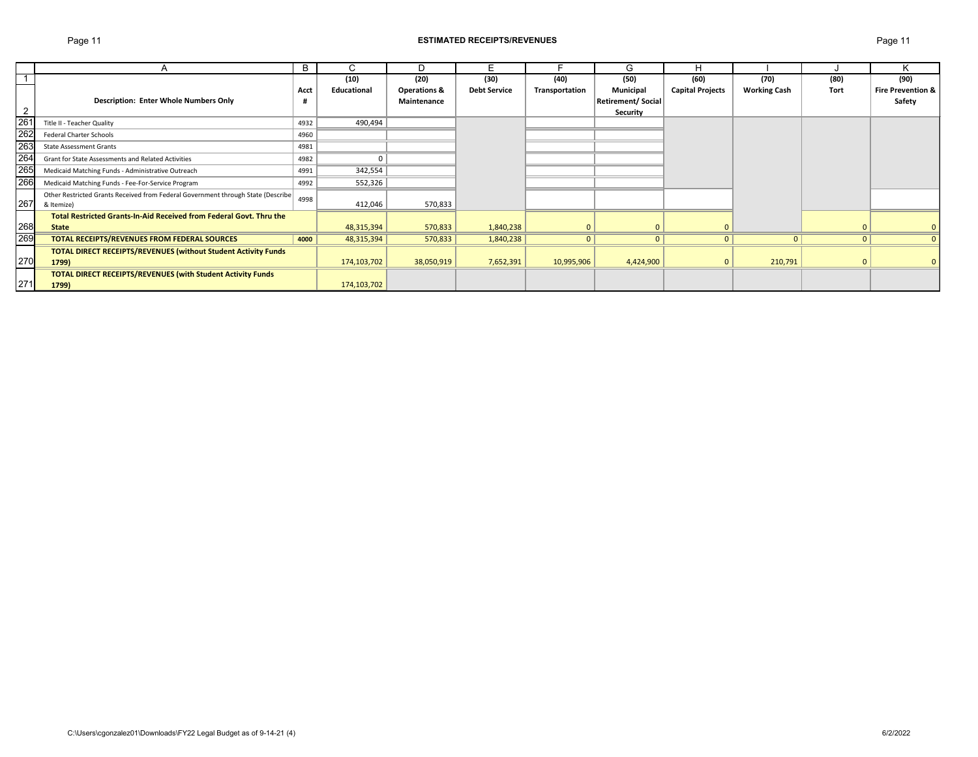## Page 11 **ESTIMATED RECEIPTS/REVENUES** Page 11

|                  |                                                                                  | B    |             | D                       | Е                   |                | G                 | н                       |                     |      |                              |
|------------------|----------------------------------------------------------------------------------|------|-------------|-------------------------|---------------------|----------------|-------------------|-------------------------|---------------------|------|------------------------------|
|                  |                                                                                  |      | (10)        | (20)                    | (30)                | (40)           | (50)              | (60)                    | (70)                | (80) | (90)                         |
|                  |                                                                                  | Acct | Educational | <b>Operations &amp;</b> | <b>Debt Service</b> | Transportation | Municipal         | <b>Capital Projects</b> | <b>Working Cash</b> | Tort | <b>Fire Prevention &amp;</b> |
|                  | <b>Description: Enter Whole Numbers Only</b>                                     |      |             | Maintenance             |                     |                | Retirement/Social |                         |                     |      | Safety                       |
| $\overline{2}$   |                                                                                  |      |             |                         |                     |                | <b>Security</b>   |                         |                     |      |                              |
| 26 <sup>7</sup>  | Title II - Teacher Quality                                                       | 4932 | 490,494     |                         |                     |                |                   |                         |                     |      |                              |
| 262              | <b>Federal Charter Schools</b>                                                   | 4960 |             |                         |                     |                |                   |                         |                     |      |                              |
| 263              | <b>State Assessment Grants</b>                                                   | 4981 |             |                         |                     |                |                   |                         |                     |      |                              |
| $\overline{264}$ | <b>Grant for State Assessments and Related Activities</b>                        | 4982 |             |                         |                     |                |                   |                         |                     |      |                              |
| 265              | Medicaid Matching Funds - Administrative Outreach                                | 4991 | 342,554     |                         |                     |                |                   |                         |                     |      |                              |
| 266              | Medicaid Matching Funds - Fee-For-Service Program                                | 4992 | 552,326     |                         |                     |                |                   |                         |                     |      |                              |
|                  | Other Restricted Grants Received from Federal Government through State (Describe | 4998 |             |                         |                     |                |                   |                         |                     |      |                              |
| 267              | & Itemize)                                                                       |      | 412,046     | 570,833                 |                     |                |                   |                         |                     |      |                              |
|                  | Total Restricted Grants-In-Aid Received from Federal Govt. Thru the              |      |             |                         |                     |                |                   |                         |                     |      |                              |
| 268              | <b>State</b>                                                                     |      | 48,315,394  | 570,833                 | 1,840,238           |                |                   | $\Omega$                |                     |      |                              |
| 269              | TOTAL RECEIPTS/REVENUES FROM FEDERAL SOURCES                                     | 4000 | 48,315,394  | 570,833                 | 1,840,238           | $\mathbf{0}$   | 0                 | $\mathbf{0}$            | $\mathbf{0}$        |      |                              |
|                  | <b>TOTAL DIRECT RECEIPTS/REVENUES (without Student Activity Funds</b>            |      |             |                         |                     |                |                   |                         |                     |      |                              |
| 270              | 1799)                                                                            |      | 174,103,702 | 38,050,919              | 7,652,391           | 10,995,906     | 4,424,900         | $\mathbf{0}$            | 210,791             |      |                              |
|                  | <b>TOTAL DIRECT RECEIPTS/REVENUES (with Student Activity Funds</b>               |      |             |                         |                     |                |                   |                         |                     |      |                              |
| 271              | 1799)                                                                            |      | 174,103,702 |                         |                     |                |                   |                         |                     |      |                              |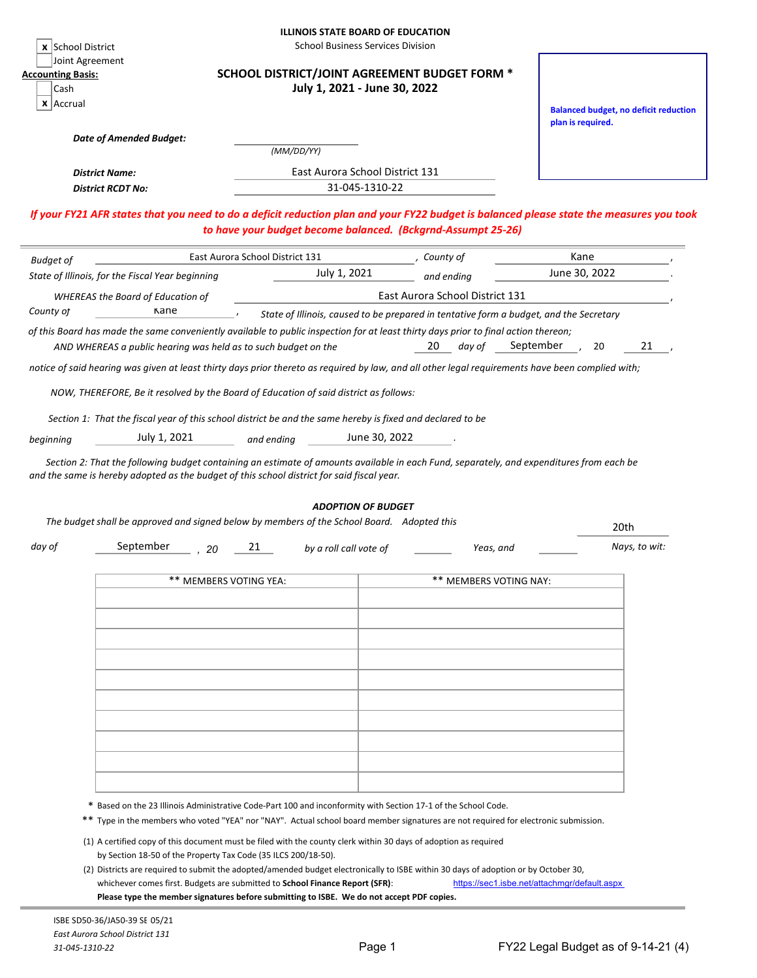|                                                                      | <b>x</b> School District                                                                                                   |                                 | <b>ILLINOIS STATE BOARD OF EDUCATION</b><br><b>School Business Services Division</b> |                                                                                                                                                                                                                                                       |                                                                                                                                          |
|----------------------------------------------------------------------|----------------------------------------------------------------------------------------------------------------------------|---------------------------------|--------------------------------------------------------------------------------------|-------------------------------------------------------------------------------------------------------------------------------------------------------------------------------------------------------------------------------------------------------|------------------------------------------------------------------------------------------------------------------------------------------|
| Joint Agreement<br><b>Accounting Basis:</b><br>Cash<br>$x$   Accrual |                                                                                                                            |                                 | July 1, 2021 - June 30, 2022                                                         | SCHOOL DISTRICT/JOINT AGREEMENT BUDGET FORM *                                                                                                                                                                                                         |                                                                                                                                          |
|                                                                      | <b>Date of Amended Budget:</b>                                                                                             |                                 |                                                                                      |                                                                                                                                                                                                                                                       | <b>Balanced budget, no deficit reduction</b><br>plan is required.                                                                        |
|                                                                      |                                                                                                                            |                                 | (MM/DD/YY)                                                                           |                                                                                                                                                                                                                                                       |                                                                                                                                          |
|                                                                      | <b>District Name:</b>                                                                                                      |                                 | East Aurora School District 131                                                      |                                                                                                                                                                                                                                                       |                                                                                                                                          |
|                                                                      | <b>District RCDT No:</b>                                                                                                   |                                 | 31-045-1310-22                                                                       |                                                                                                                                                                                                                                                       |                                                                                                                                          |
|                                                                      |                                                                                                                            |                                 |                                                                                      | to have your budget become balanced. (Bckgrnd-Assumpt 25-26)                                                                                                                                                                                          | If your FY21 AFR states that you need to do a deficit reduction plan and your FY22 budget is balanced please state the measures you took |
| <b>Budget of</b>                                                     |                                                                                                                            | East Aurora School District 131 |                                                                                      | County of                                                                                                                                                                                                                                             | Kane                                                                                                                                     |
|                                                                      | State of Illinois, for the Fiscal Year beginning                                                                           |                                 | July 1, 2021                                                                         | and ending                                                                                                                                                                                                                                            | June 30, 2022                                                                                                                            |
|                                                                      | <b>WHEREAS the Board of Education of</b>                                                                                   |                                 |                                                                                      | East Aurora School District 131                                                                                                                                                                                                                       |                                                                                                                                          |
| County of                                                            | Kane                                                                                                                       |                                 |                                                                                      | State of Illinois, caused to be prepared in tentative form a budget, and the Secretary                                                                                                                                                                |                                                                                                                                          |
|                                                                      | AND WHEREAS a public hearing was held as to such budget on the                                                             |                                 |                                                                                      | of this Board has made the same conveniently available to public inspection for at least thirty days prior to final action thereon;<br>20<br>day of                                                                                                   | September<br>21<br>20                                                                                                                    |
|                                                                      |                                                                                                                            |                                 |                                                                                      | notice of said hearing was given at least thirty days prior thereto as required by law, and all other legal requirements have been complied with;                                                                                                     |                                                                                                                                          |
| beginning                                                            | Section 1: That the fiscal year of this school district be and the same hereby is fixed and declared to be<br>July 1, 2021 | and ending                      | June 30, 2022                                                                        |                                                                                                                                                                                                                                                       |                                                                                                                                          |
|                                                                      | and the same is hereby adopted as the budget of this school district for said fiscal year.                                 |                                 |                                                                                      | Section 2: That the following budget containing an estimate of amounts available in each Fund, separately, and expenditures from each be                                                                                                              |                                                                                                                                          |
|                                                                      |                                                                                                                            |                                 | <b>ADOPTION OF BUDGET</b>                                                            |                                                                                                                                                                                                                                                       |                                                                                                                                          |
|                                                                      | The budget shall be approved and signed below by members of the School Board. Adopted this                                 |                                 |                                                                                      |                                                                                                                                                                                                                                                       | 20th                                                                                                                                     |
|                                                                      | September                                                                                                                  | 21<br>20                        | by a roll call vote of                                                               | Yeas, and                                                                                                                                                                                                                                             | Nays, to wit:                                                                                                                            |
|                                                                      |                                                                                                                            | ** MEMBERS VOTING YEA:          |                                                                                      | ** MEMBERS VOTING NAY:                                                                                                                                                                                                                                |                                                                                                                                          |
|                                                                      |                                                                                                                            |                                 |                                                                                      |                                                                                                                                                                                                                                                       |                                                                                                                                          |
|                                                                      |                                                                                                                            |                                 |                                                                                      |                                                                                                                                                                                                                                                       |                                                                                                                                          |
|                                                                      |                                                                                                                            |                                 |                                                                                      |                                                                                                                                                                                                                                                       |                                                                                                                                          |
|                                                                      |                                                                                                                            |                                 |                                                                                      |                                                                                                                                                                                                                                                       |                                                                                                                                          |
|                                                                      |                                                                                                                            |                                 |                                                                                      |                                                                                                                                                                                                                                                       |                                                                                                                                          |
|                                                                      |                                                                                                                            |                                 |                                                                                      |                                                                                                                                                                                                                                                       |                                                                                                                                          |
|                                                                      |                                                                                                                            |                                 |                                                                                      |                                                                                                                                                                                                                                                       |                                                                                                                                          |
|                                                                      |                                                                                                                            |                                 |                                                                                      |                                                                                                                                                                                                                                                       |                                                                                                                                          |
|                                                                      |                                                                                                                            |                                 |                                                                                      |                                                                                                                                                                                                                                                       |                                                                                                                                          |
|                                                                      |                                                                                                                            |                                 |                                                                                      |                                                                                                                                                                                                                                                       |                                                                                                                                          |
|                                                                      |                                                                                                                            |                                 |                                                                                      |                                                                                                                                                                                                                                                       |                                                                                                                                          |
|                                                                      |                                                                                                                            |                                 |                                                                                      | * Based on the 23 Illinois Administrative Code-Part 100 and inconformity with Section 17-1 of the School Code.<br>** Type in the members who voted "YEA" nor "NAY". Actual school board member signatures are not required for electronic submission. |                                                                                                                                          |
| day of                                                               | by Section 18-50 of the Property Tax Code (35 ILCS 200/18-50).                                                             |                                 |                                                                                      | (1) A certified copy of this document must be filed with the county clerk within 30 days of adoption as required                                                                                                                                      |                                                                                                                                          |

ISBE SD50-36/JA50-39 SE 05/21 *East Aurora School District 131 31-045-1310-22*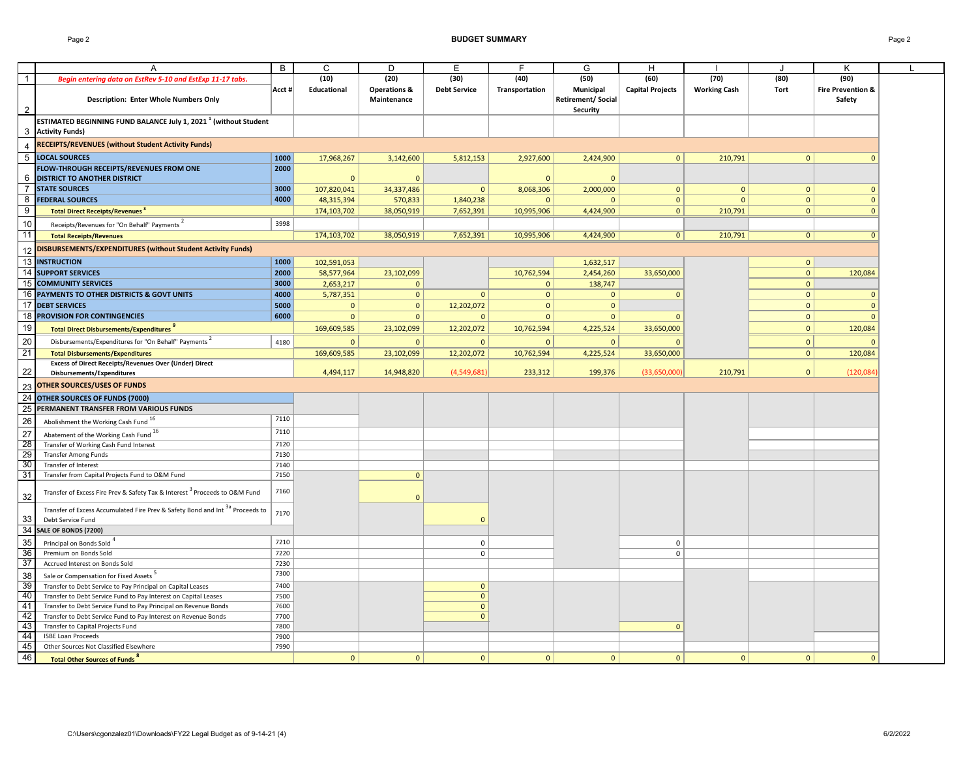### Page 2 **BUDGET SUMMARY** Page 2

|                 |                                                                                          | B     | C           | D                       | Е                   | E              | G                        | H                       |                     |                | K                            |  |
|-----------------|------------------------------------------------------------------------------------------|-------|-------------|-------------------------|---------------------|----------------|--------------------------|-------------------------|---------------------|----------------|------------------------------|--|
|                 |                                                                                          |       |             |                         |                     |                |                          |                         |                     |                |                              |  |
| $\mathbf{1}$    | Begin entering data on EstRev 5-10 and EstExp 11-17 tabs.                                |       | (10)        | (20)                    | (30)                | (40)           | (50)                     | (60)                    | (70)                | (80)           | (90)                         |  |
|                 |                                                                                          | Acct# | Educational | <b>Operations &amp;</b> | <b>Debt Service</b> | Transportation | <b>Municipal</b>         | <b>Capital Projects</b> | <b>Working Cash</b> | <b>Tort</b>    | <b>Fire Prevention &amp;</b> |  |
|                 | <b>Description: Enter Whole Numbers Only</b>                                             |       |             | Maintenance             |                     |                | <b>Retirement/Social</b> |                         |                     |                | Safety                       |  |
| $\overline{2}$  |                                                                                          |       |             |                         |                     |                | <b>Security</b>          |                         |                     |                |                              |  |
|                 | <b>ESTIMATED BEGINNING FUND BALANCE July 1, 2021<sup>1</sup> (without Student</b>        |       |             |                         |                     |                |                          |                         |                     |                |                              |  |
| 3               | <b>Activity Funds)</b>                                                                   |       |             |                         |                     |                |                          |                         |                     |                |                              |  |
|                 | <b>RECEIPTS/REVENUES (without Student Activity Funds)</b>                                |       |             |                         |                     |                |                          |                         |                     |                |                              |  |
| 4               |                                                                                          |       |             |                         |                     |                |                          |                         |                     |                |                              |  |
| $5\phantom{.0}$ | <b>LOCAL SOURCES</b>                                                                     | 1000  | 17,968,267  | 3,142,600               | 5,812,153           | 2,927,600      | 2,424,900                | $\overline{0}$          | 210,791             | $\mathbf{0}$   |                              |  |
|                 | FLOW-THROUGH RECEIPTS/REVENUES FROM ONE                                                  | 2000  |             |                         |                     |                |                          |                         |                     |                |                              |  |
|                 | <b>DISTRICT TO ANOTHER DISTRICT</b>                                                      |       |             | $\mathbf 0$             |                     |                |                          |                         |                     |                |                              |  |
|                 | <b>STATE SOURCES</b>                                                                     | 3000  | 107,820,041 | 34,337,486              | $\mathbf{0}$        | 8,068,306      | 2,000,000                | $\mathbf{0}$            | $\mathbf{0}$        | 0              |                              |  |
| 8               | <b>FEDERAL SOURCES</b>                                                                   | 4000  | 48,315,394  | 570,833                 | 1,840,238           |                |                          | $\mathbf{0}$            | $\Omega$            |                |                              |  |
| 9               | <b>Total Direct Receipts/Revenues 8</b>                                                  |       | 174,103,702 | 38,050,919              | 7,652,391           | 10,995,906     | 4,424,900                | $\mathbf{0}$            | 210,791             | 0              |                              |  |
|                 |                                                                                          |       |             |                         |                     |                |                          |                         |                     |                |                              |  |
| 10              | Receipts/Revenues for "On Behalf" Payments <sup>2</sup>                                  | 3998  |             |                         |                     |                |                          |                         |                     |                |                              |  |
| 11              | <b>Total Receipts/Revenues</b>                                                           |       | 174,103,702 | 38,050,919              | 7,652,391           | 10,995,906     | 4,424,900                | 0 <sup>1</sup>          | 210,791             | 0              |                              |  |
| 12              | DISBURSEMENTS/EXPENDITURES (without Student Activity Funds)                              |       |             |                         |                     |                |                          |                         |                     |                |                              |  |
| 13              | <b>INSTRUCTION</b>                                                                       | 1000  |             |                         |                     |                |                          |                         |                     |                |                              |  |
|                 |                                                                                          |       | 102,591,053 |                         |                     |                | 1,632,517                |                         |                     | $\mathbf{0}$   |                              |  |
| 14              | <b>SUPPORT SERVICES</b>                                                                  | 2000  | 58,577,964  | 23,102,099              |                     | 10,762,594     | 2,454,260                | 33,650,000              |                     | 0              | 120,084                      |  |
| 15              | <b>COMMUNITY SERVICES</b>                                                                | 3000  | 2,653,217   | -0                      |                     | $\mathbf 0$    | 138,747                  |                         |                     | $\mathbf 0$    |                              |  |
| 16              | PAYMENTS TO OTHER DISTRICTS & GOVT UNITS                                                 | 4000  | 5,787,351   | $\overline{0}$          | $\Omega$            | $\Omega$       | $\Omega$                 |                         |                     | $\mathbf{0}$   | 0                            |  |
| 17              | <b>DEBT SERVICES</b>                                                                     | 5000  | $\Omega$    | $\mathbf{0}$            | 12,202,072          | $\Omega$       | $\Omega$                 |                         |                     | $\Omega$       | $\Omega$                     |  |
| 18              | <b>PROVISION FOR CONTINGENCIES</b>                                                       | 6000  | $\Omega$    | $\mathbf{0}$            | $\Omega$            | $\Omega$       | $\mathbf{0}$             |                         |                     | $\mathbf 0$    | $\Omega$                     |  |
| 19              | Total Direct Disbursements/Expenditures <sup>9</sup>                                     |       | 169,609,585 | 23,102,099              | 12,202,072          | 10,762,594     | 4,225,524                | 33,650,000              |                     | $\mathbf{0}$   | 120,084                      |  |
|                 |                                                                                          |       |             |                         |                     |                |                          |                         |                     |                |                              |  |
| 20              | Disbursements/Expenditures for "On Behalf" Payments                                      | 4180  | $\Omega$    | $\mathbf 0$             | $\mathbf{0}$        |                | $\Omega$                 |                         |                     | $\mathbf 0$    |                              |  |
| $\overline{21}$ | <b>Total Disbursements/Expenditures</b>                                                  |       | 169,609,585 | 23,102,099              | 12,202,072          | 10,762,594     | 4,225,524                | 33,650,000              |                     | 0 <sup>1</sup> | 120,084                      |  |
|                 | <b>Excess of Direct Receipts/Revenues Over (Under) Direct</b>                            |       |             |                         |                     |                |                          |                         |                     |                |                              |  |
| 22              | Disbursements/Expenditures                                                               |       | 4,494,117   | 14,948,820              | (4,549,681)         | 233,312        | 199,376                  | (33,650,000)            | 210,791             | $\mathbf{0}$   | (120,084)                    |  |
| 23              | <b>OTHER SOURCES/USES OF FUNDS</b>                                                       |       |             |                         |                     |                |                          |                         |                     |                |                              |  |
| 24              | <b>OTHER SOURCES OF FUNDS (7000)</b>                                                     |       |             |                         |                     |                |                          |                         |                     |                |                              |  |
|                 |                                                                                          |       |             |                         |                     |                |                          |                         |                     |                |                              |  |
| 25              | PERMANENT TRANSFER FROM VARIOUS FUNDS                                                    |       |             |                         |                     |                |                          |                         |                     |                |                              |  |
| 26              | Abolishment the Working Cash Fund <sup>16</sup>                                          | 7110  |             |                         |                     |                |                          |                         |                     |                |                              |  |
| $\overline{27}$ | Abatement of the Working Cash Fund 16                                                    | 7110  |             |                         |                     |                |                          |                         |                     |                |                              |  |
| 28              | Transfer of Working Cash Fund Interest                                                   | 7120  |             |                         |                     |                |                          |                         |                     |                |                              |  |
| 29              | <b>Transfer Among Funds</b>                                                              | 7130  |             |                         |                     |                |                          |                         |                     |                |                              |  |
| 30              | Transfer of Interest                                                                     | 7140  |             |                         |                     |                |                          |                         |                     |                |                              |  |
| 31              | Transfer from Capital Projects Fund to O&M Fund                                          | 7150  |             | $\mathbf{0}$            |                     |                |                          |                         |                     |                |                              |  |
|                 |                                                                                          |       |             |                         |                     |                |                          |                         |                     |                |                              |  |
|                 | Transfer of Excess Fire Prev & Safety Tax & Interest <sup>3</sup> Proceeds to O&M Fund   | 7160  |             |                         |                     |                |                          |                         |                     |                |                              |  |
| $32\,$          |                                                                                          |       |             | $\Omega$                |                     |                |                          |                         |                     |                |                              |  |
|                 | Transfer of Excess Accumulated Fire Prev & Safety Bond and Int <sup>3a</sup> Proceeds to | 7170  |             |                         |                     |                |                          |                         |                     |                |                              |  |
| 33              | Debt Service Fund                                                                        |       |             |                         |                     |                |                          |                         |                     |                |                              |  |
|                 | 34 SALE OF BONDS (7200)                                                                  |       |             |                         |                     |                |                          |                         |                     |                |                              |  |
| 35              | Principal on Bonds Sold <sup>4</sup>                                                     | 7210  |             |                         | 0                   |                |                          | 0                       |                     |                |                              |  |
| 36              | Premium on Bonds Sold                                                                    | 7220  |             |                         | $\Omega$            |                |                          | $\Omega$                |                     |                |                              |  |
| 37              | Accrued Interest on Bonds Sold                                                           | 7230  |             |                         |                     |                |                          |                         |                     |                |                              |  |
|                 |                                                                                          | 7300  |             |                         |                     |                |                          |                         |                     |                |                              |  |
| 38              | Sale or Compensation for Fixed Assets <sup>5</sup>                                       |       |             |                         |                     |                |                          |                         |                     |                |                              |  |
| 39              | Transfer to Debt Service to Pay Principal on Capital Leases                              | 7400  |             |                         | 0                   |                |                          |                         |                     |                |                              |  |
| 40              | Transfer to Debt Service Fund to Pay Interest on Capital Leases                          | 7500  |             |                         |                     |                |                          |                         |                     |                |                              |  |
| 41              | Transfer to Debt Service Fund to Pay Principal on Revenue Bonds                          | 7600  |             |                         |                     |                |                          |                         |                     |                |                              |  |
| 42              | Transfer to Debt Service Fund to Pay Interest on Revenue Bonds                           | 7700  |             |                         |                     |                |                          |                         |                     |                |                              |  |
| 43              | Transfer to Capital Projects Fund                                                        | 7800  |             |                         |                     |                |                          |                         |                     |                |                              |  |
| 44              | <b>ISBE Loan Proceeds</b>                                                                | 7900  |             |                         |                     |                |                          |                         |                     |                |                              |  |
| 45              | Other Sources Not Classified Elsewhere                                                   | 7990  |             |                         |                     |                |                          |                         |                     |                |                              |  |
| 46              | <b>Total Other Sources of Funds<sup>8</sup></b>                                          |       | $\Omega$    | $\mathbf 0$             | $\mathbf{0}$        | $\Omega$       | $\mathbf{0}$             | $\mathbf{0}$            | $\Omega$            | $\Omega$       |                              |  |
|                 |                                                                                          |       |             |                         |                     |                |                          |                         |                     |                |                              |  |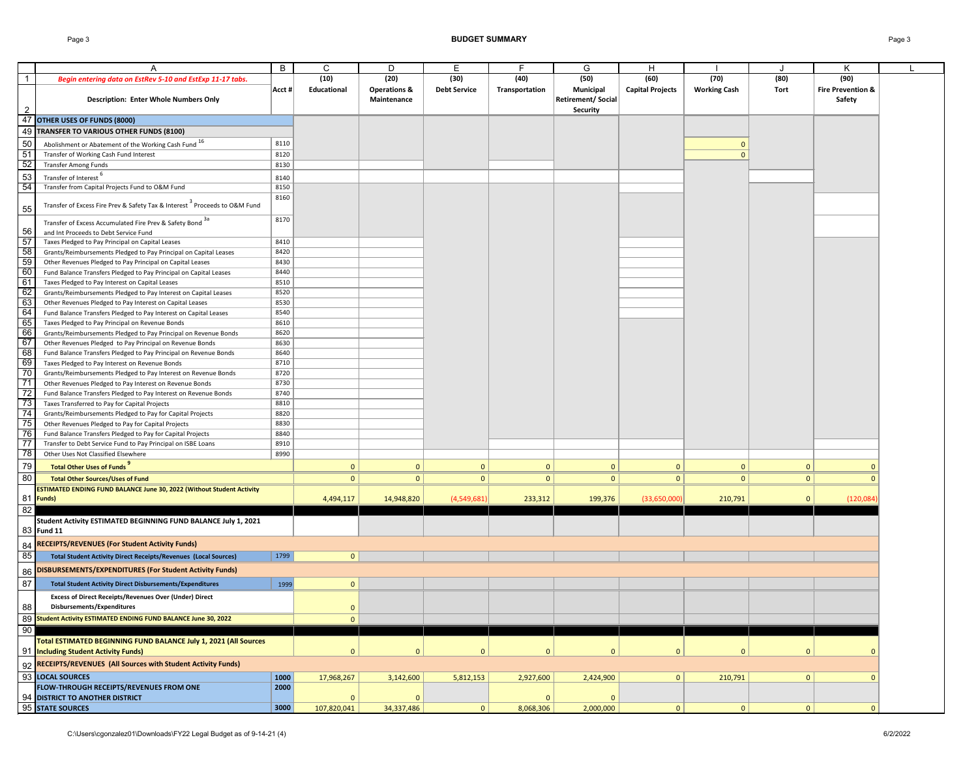### Page 3 **BUDGET SUMMARY** Page 3

|                 |                                                                                        | B      | C              | D                       | Е                   | F              | G                        |                         |                     |              |                              |  |
|-----------------|----------------------------------------------------------------------------------------|--------|----------------|-------------------------|---------------------|----------------|--------------------------|-------------------------|---------------------|--------------|------------------------------|--|
|                 |                                                                                        |        |                |                         |                     |                |                          | H                       |                     |              | ĸ                            |  |
| $\mathbf{1}$    | Begin entering data on EstRev 5-10 and EstExp 11-17 tabs.                              |        | (10)           | (20)                    | (30)                | (40)           | (50)                     | (60)                    | (70)                | (80)         | (90)                         |  |
|                 |                                                                                        | Acct # | Educational    | <b>Operations &amp;</b> | <b>Debt Service</b> | Transportation | <b>Municipal</b>         | <b>Capital Projects</b> | <b>Working Cash</b> | Tort         | <b>Fire Prevention &amp;</b> |  |
|                 | <b>Description: Enter Whole Numbers Only</b>                                           |        |                | Maintenance             |                     |                | <b>Retirement/Social</b> |                         |                     |              | Safety                       |  |
|                 |                                                                                        |        |                |                         |                     |                | <b>Security</b>          |                         |                     |              |                              |  |
|                 | 47 OTHER USES OF FUNDS (8000)                                                          |        |                |                         |                     |                |                          |                         |                     |              |                              |  |
|                 |                                                                                        |        |                |                         |                     |                |                          |                         |                     |              |                              |  |
|                 | 49 TRANSFER TO VARIOUS OTHER FUNDS (8100)                                              |        |                |                         |                     |                |                          |                         |                     |              |                              |  |
| 50              | Abolishment or Abatement of the Working Cash Fund <sup>16</sup>                        | 8110   |                |                         |                     |                |                          |                         |                     |              |                              |  |
| $\overline{51}$ | Transfer of Working Cash Fund Interest                                                 | 8120   |                |                         |                     |                |                          |                         | $\Omega$            |              |                              |  |
| 52              | <b>Transfer Among Funds</b>                                                            | 8130   |                |                         |                     |                |                          |                         |                     |              |                              |  |
|                 |                                                                                        |        |                |                         |                     |                |                          |                         |                     |              |                              |  |
| 53              | Transfer of Interest <sup>6</sup>                                                      | 8140   |                |                         |                     |                |                          |                         |                     |              |                              |  |
| 54              | Transfer from Capital Projects Fund to O&M Fund                                        | 8150   |                |                         |                     |                |                          |                         |                     |              |                              |  |
|                 |                                                                                        | 8160   |                |                         |                     |                |                          |                         |                     |              |                              |  |
| 55              | Transfer of Excess Fire Prev & Safety Tax & Interest <sup>3</sup> Proceeds to O&M Fund |        |                |                         |                     |                |                          |                         |                     |              |                              |  |
|                 |                                                                                        | 8170   |                |                         |                     |                |                          |                         |                     |              |                              |  |
|                 | Transfer of Excess Accumulated Fire Prev & Safety Bond 3a                              |        |                |                         |                     |                |                          |                         |                     |              |                              |  |
| 56              | and Int Proceeds to Debt Service Fund                                                  |        |                |                         |                     |                |                          |                         |                     |              |                              |  |
| 57              | Taxes Pledged to Pay Principal on Capital Leases                                       | 8410   |                |                         |                     |                |                          |                         |                     |              |                              |  |
| 58              | Grants/Reimbursements Pledged to Pay Principal on Capital Leases                       | 8420   |                |                         |                     |                |                          |                         |                     |              |                              |  |
| 59              | Other Revenues Pledged to Pay Principal on Capital Leases                              | 8430   |                |                         |                     |                |                          |                         |                     |              |                              |  |
| 60              | Fund Balance Transfers Pledged to Pay Principal on Capital Leases                      | 8440   |                |                         |                     |                |                          |                         |                     |              |                              |  |
| 61              | Taxes Pledged to Pay Interest on Capital Leases                                        | 8510   |                |                         |                     |                |                          |                         |                     |              |                              |  |
| 62              | Grants/Reimbursements Pledged to Pay Interest on Capital Leases                        | 8520   |                |                         |                     |                |                          |                         |                     |              |                              |  |
| 63              | Other Revenues Pledged to Pay Interest on Capital Leases                               | 8530   |                |                         |                     |                |                          |                         |                     |              |                              |  |
| 64              | Fund Balance Transfers Pledged to Pay Interest on Capital Leases                       | 8540   |                |                         |                     |                |                          |                         |                     |              |                              |  |
| 65              | Taxes Pledged to Pay Principal on Revenue Bonds                                        | 8610   |                |                         |                     |                |                          |                         |                     |              |                              |  |
| 66              | Grants/Reimbursements Pledged to Pay Principal on Revenue Bonds                        | 8620   |                |                         |                     |                |                          |                         |                     |              |                              |  |
| 67              | Other Revenues Pledged to Pay Principal on Revenue Bonds                               | 8630   |                |                         |                     |                |                          |                         |                     |              |                              |  |
| 68              | Fund Balance Transfers Pledged to Pay Principal on Revenue Bonds                       | 8640   |                |                         |                     |                |                          |                         |                     |              |                              |  |
|                 |                                                                                        |        |                |                         |                     |                |                          |                         |                     |              |                              |  |
| 69              | Taxes Pledged to Pay Interest on Revenue Bonds                                         | 8710   |                |                         |                     |                |                          |                         |                     |              |                              |  |
| 70              | Grants/Reimbursements Pledged to Pay Interest on Revenue Bonds                         | 8720   |                |                         |                     |                |                          |                         |                     |              |                              |  |
| $\overline{71}$ | Other Revenues Pledged to Pay Interest on Revenue Bonds                                | 8730   |                |                         |                     |                |                          |                         |                     |              |                              |  |
| 72              | Fund Balance Transfers Pledged to Pay Interest on Revenue Bonds                        | 8740   |                |                         |                     |                |                          |                         |                     |              |                              |  |
| 73              | Taxes Transferred to Pay for Capital Projects                                          | 8810   |                |                         |                     |                |                          |                         |                     |              |                              |  |
| 74              | Grants/Reimbursements Pledged to Pay for Capital Projects                              | 8820   |                |                         |                     |                |                          |                         |                     |              |                              |  |
| 75              | Other Revenues Pledged to Pay for Capital Projects                                     | 8830   |                |                         |                     |                |                          |                         |                     |              |                              |  |
| 76              | Fund Balance Transfers Pledged to Pay for Capital Projects                             | 8840   |                |                         |                     |                |                          |                         |                     |              |                              |  |
| 77              | Transfer to Debt Service Fund to Pay Principal on ISBE Loans                           | 8910   |                |                         |                     |                |                          |                         |                     |              |                              |  |
| 78              | Other Uses Not Classified Elsewhere                                                    | 8990   |                |                         |                     |                |                          |                         |                     |              |                              |  |
| 79              | Total Other Uses of Funds                                                              |        | $\Omega$       |                         |                     | $\Omega$       |                          | $\mathbf{0}$            |                     | $\Omega$     |                              |  |
|                 |                                                                                        |        |                | $\mathbf{0}$            | $\mathbf{0}$        |                | $\mathbf{0}$             |                         | $\mathbf{0}$        |              |                              |  |
| 80              | <b>Total Other Sources/Uses of Fund</b>                                                |        | $\overline{0}$ | 0                       | $\overline{0}$      | $\mathbf{0}$   | $\mathbf{0}$             | $\mathbf{0}$            | $\mathbf{0}$        | $\mathbf{0}$ |                              |  |
|                 | <b>ESTIMATED ENDING FUND BALANCE June 30, 2022 (Without Student Activity</b>           |        |                |                         |                     |                |                          |                         |                     |              |                              |  |
|                 | 81 Funds)                                                                              |        | 4,494,117      | 14,948,820              | (4,549,681)         | 233,312        | 199,376                  | (33,650,000)            | 210,791             | $\Omega$     | (120, 084)                   |  |
| 82              |                                                                                        |        |                |                         |                     |                |                          |                         |                     |              |                              |  |
|                 | Student Activity ESTIMATED BEGINNING FUND BALANCE July 1, 2021                         |        |                |                         |                     |                |                          |                         |                     |              |                              |  |
|                 | 83 Fund 11                                                                             |        |                |                         |                     |                |                          |                         |                     |              |                              |  |
|                 |                                                                                        |        |                |                         |                     |                |                          |                         |                     |              |                              |  |
| 84              | <b>RECEIPTS/REVENUES (For Student Activity Funds)</b>                                  |        |                |                         |                     |                |                          |                         |                     |              |                              |  |
| 85              | Total Student Activity Direct Receipts/Revenues (Local Sources)                        | 1799   | 0              |                         |                     |                |                          |                         |                     |              |                              |  |
|                 | DISBURSEMENTS/EXPENDITURES (For Student Activity Funds)                                |        |                |                         |                     |                |                          |                         |                     |              |                              |  |
| 86              |                                                                                        |        |                |                         |                     |                |                          |                         |                     |              |                              |  |
| 87              | <b>Total Student Activity Direct Disbursements/Expenditures</b>                        | 1999   | 0              |                         |                     |                |                          |                         |                     |              |                              |  |
|                 | <b>Excess of Direct Receipts/Revenues Over (Under) Direct</b>                          |        |                |                         |                     |                |                          |                         |                     |              |                              |  |
| 88              | Disbursements/Expenditures                                                             |        | $\Omega$       |                         |                     |                |                          |                         |                     |              |                              |  |
|                 |                                                                                        |        |                |                         |                     |                |                          |                         |                     |              |                              |  |
|                 | 89 Student Activity ESTIMATED ENDING FUND BALANCE June 30, 2022                        |        | $\mathbf{0}$   |                         |                     |                |                          |                         |                     |              |                              |  |
| 90              |                                                                                        |        |                |                         |                     |                |                          |                         |                     |              |                              |  |
|                 | Total ESTIMATED BEGINNING FUND BALANCE July 1, 2021 (All Sources                       |        |                |                         |                     |                |                          |                         |                     |              |                              |  |
|                 | 91 Including Student Activity Funds)                                                   |        | $\Omega$       | $\Omega$                | $\Omega$            | $\Omega$       | $\Omega$                 | $\Omega$                | $\Omega$            | $\Omega$     |                              |  |
|                 | <b>RECEIPTS/REVENUES (All Sources with Student Activity Funds)</b>                     |        |                |                         |                     |                |                          |                         |                     |              |                              |  |
| 92              |                                                                                        |        |                |                         |                     |                |                          |                         |                     |              |                              |  |
| 93              | <b>LOCAL SOURCES</b>                                                                   | 1000   | 17,968,267     | 3,142,600               | 5,812,153           | 2,927,600      | 2,424,900                | $\mathbf{0}$            | 210,791             | $\Omega$     |                              |  |
|                 | FLOW-THROUGH RECEIPTS/REVENUES FROM ONE                                                | 2000   |                |                         |                     |                |                          |                         |                     |              |                              |  |
|                 | 94 DISTRICT TO ANOTHER DISTRICT                                                        |        |                | $\overline{0}$          |                     |                |                          |                         |                     |              |                              |  |
|                 | 95 STATE SOURCES                                                                       | 3000   | 107,820,041    | 34,337,486              | $\mathbf{0}$        | 8,068,306      | 2,000,000                | $\mathbf{0}$            | $\mathbf{0}$        | $\mathbf 0$  |                              |  |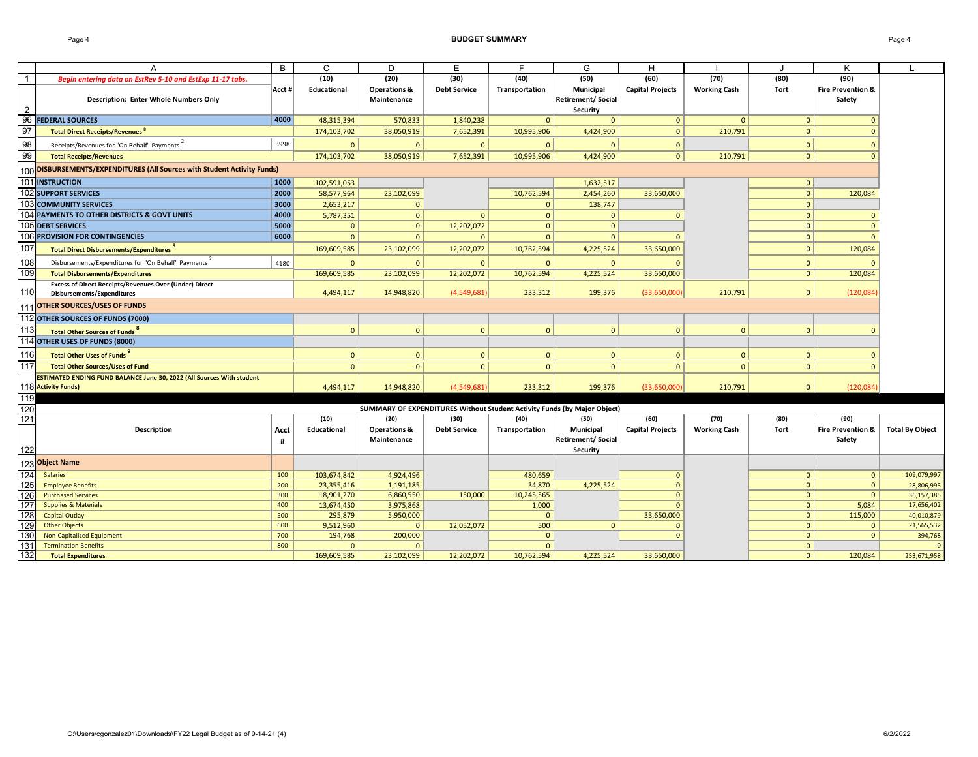### Page 4 **BUDGET SUMMARY** Page 4

|                   |                                                                                                                                                                                                       | B      | $\mathsf{C}$                | D                          | E                   | E                        | G                                                                        | H                       |                     |                                |                              |                           |
|-------------------|-------------------------------------------------------------------------------------------------------------------------------------------------------------------------------------------------------|--------|-----------------------------|----------------------------|---------------------|--------------------------|--------------------------------------------------------------------------|-------------------------|---------------------|--------------------------------|------------------------------|---------------------------|
|                   | Begin entering data on EstRev 5-10 and EstExp 11-17 tabs.                                                                                                                                             |        | (10)                        | (20)                       | (30)                | (40)                     | (50)                                                                     | (60)                    | (70)                | (80)                           | (90)                         |                           |
|                   |                                                                                                                                                                                                       | Acct # | Educational                 | <b>Operations &amp;</b>    | <b>Debt Service</b> | Transportation           | <b>Municipal</b>                                                         | <b>Capital Projects</b> | <b>Working Cash</b> | Tort                           | <b>Fire Prevention &amp;</b> |                           |
|                   | <b>Description: Enter Whole Numbers Only</b>                                                                                                                                                          |        |                             | Maintenance                |                     |                          | <b>Retirement/Social</b>                                                 |                         |                     |                                | Safety                       |                           |
| $\frac{2}{96}$    |                                                                                                                                                                                                       |        |                             |                            |                     |                          | Security                                                                 |                         |                     |                                |                              |                           |
|                   | <b>FEDERAL SOURCES</b>                                                                                                                                                                                | 4000   | 48,315,394                  | 570,833                    | 1,840,238           | $\mathbf{0}$             | $\Omega$                                                                 | $\mathbf{0}$            | $\mathbf{0}$        | $\Omega$                       |                              |                           |
| 97                | <b>Total Direct Receipts/Revenues 8</b>                                                                                                                                                               |        | 174,103,702                 | 38,050,919                 | 7,652,391           | 10,995,906               | 4,424,900                                                                | $\mathbf{0}$            | 210,791             | $\Omega$                       |                              |                           |
| 98                | Receipts/Revenues for "On Behalf" Payments <sup>2</sup>                                                                                                                                               | 3998   | $\mathbf{0}$                | $\mathbf{0}$               | $\mathbf{0}$        |                          | $\Omega$                                                                 | $\mathbf{0}$            |                     | $\Omega$                       |                              |                           |
| 99                | <b>Total Receipts/Revenues</b>                                                                                                                                                                        |        | 174,103,702                 | 38,050,919                 | 7,652,391           | 10,995,906               | 4,424,900                                                                | 0                       | 210,791             | 0 <sup>1</sup>                 |                              |                           |
|                   | 100 DISBURSEMENTS/EXPENDITURES (All Sources with Student Activity Funds)                                                                                                                              |        |                             |                            |                     |                          |                                                                          |                         |                     |                                |                              |                           |
| 101               | <b>INSTRUCTION</b>                                                                                                                                                                                    | 1000   | 102,591,053                 |                            |                     |                          | 1,632,517                                                                |                         |                     | $\mathbf{0}$                   |                              |                           |
|                   | <b>102 SUPPORT SERVICES</b>                                                                                                                                                                           | 2000   | 58,577,964                  | 23,102,099                 |                     | 10,762,594               | 2,454,260                                                                | 33,650,000              |                     | $\Omega$                       | 120,084                      |                           |
|                   | 103 COMMUNITY SERVICES                                                                                                                                                                                | 3000   | 2,653,217                   | $\mathbf{0}$               |                     | $\Omega$                 | 138,747                                                                  |                         |                     | $\Omega$                       |                              |                           |
|                   | 104 PAYMENTS TO OTHER DISTRICTS & GOVT UNITS                                                                                                                                                          | 4000   | 5,787,351                   | $\overline{0}$             | $\mathbf{0}$        | $\mathbf{0}$             | $\Omega$                                                                 | $\Omega$                |                     | $\Omega$                       | $\Omega$                     |                           |
|                   | 105 DEBT SERVICES                                                                                                                                                                                     | 5000   | $\Omega$                    | $\mathbf{0}$               | 12,202,072          | $\Omega$                 | $\Omega$                                                                 |                         |                     | $\Omega$                       | $\Omega$                     |                           |
|                   | 106 PROVISION FOR CONTINGENCIES                                                                                                                                                                       | 6000   | $\Omega$                    | $\mathbf{0}$               | $\mathbf{0}$        | $\Omega$                 | $\Omega$                                                                 | $\Omega$                |                     | $\Omega$                       | $\Omega$                     |                           |
| 107               | Total Direct Disbursements/Expenditures <sup>9</sup>                                                                                                                                                  |        | 169,609,585                 | 23,102,099                 | 12,202,072          | 10,762,594               | 4,225,524                                                                | 33,650,000              |                     | $\Omega$                       | 120,084                      |                           |
| 108               | Disbursements/Expenditures for "On Behalf" Payments <sup>2</sup>                                                                                                                                      | 4180   | $\Omega$                    | $\mathbf{0}$               | $\Omega$            | $\Omega$                 | $\Omega$                                                                 |                         |                     | $\Omega$                       |                              |                           |
| 109               | <b>Total Disbursements/Expenditures</b>                                                                                                                                                               |        | 169,609,585                 | 23,102,099                 | 12,202,072          | 10,762,594               | 4,225,524                                                                | 33,650,000              |                     | 0 <sup>1</sup>                 | 120,084                      |                           |
|                   | <b>Excess of Direct Receipts/Revenues Over (Under) Direct</b>                                                                                                                                         |        |                             |                            |                     |                          |                                                                          |                         |                     |                                |                              |                           |
| 110               | <b>Disbursements/Expenditures</b>                                                                                                                                                                     |        | 4,494,117                   | 14,948,820                 | (4,549,681)         | 233,312                  | 199,376                                                                  | (33,650,000)            | 210,791             | $\mathbf{0}$                   | (120, 084)                   |                           |
|                   | <b>OTHER SOURCES/USES OF FUNDS</b>                                                                                                                                                                    |        |                             |                            |                     |                          |                                                                          |                         |                     |                                |                              |                           |
|                   | 112 OTHER SOURCES OF FUNDS (7000)                                                                                                                                                                     |        |                             |                            |                     |                          |                                                                          |                         |                     |                                |                              |                           |
| 113               | <b>Total Other Sources of Funds<sup>8</sup></b>                                                                                                                                                       |        | $\Omega$                    | $\mathbf 0$                | 0                   | $\Omega$                 | $\mathbf{0}$                                                             | $\Omega$                | $\mathbf{0}$        | $\Omega$                       |                              |                           |
|                   | 114 OTHER USES OF FUNDS (8000)                                                                                                                                                                        |        |                             |                            |                     |                          |                                                                          |                         |                     |                                |                              |                           |
| 116               | Total Other Uses of Funds                                                                                                                                                                             |        | $\Omega$                    | $\mathbf{0}$               | $\mathbf{0}$        | $\Omega$                 | $\mathbf{0}$                                                             | $\mathbf{0}$            | $\mathbf{0}$        | $\Omega$                       |                              |                           |
| 117               | <b>Total Other Sources/Uses of Fund</b>                                                                                                                                                               |        | $\Omega$                    | $\mathbf{0}$               | $\mathbf{0}$        | $\Omega$                 | $\Omega$                                                                 | $\mathbf{0}$            | $\Omega$            | $\mathbf{0}$                   |                              |                           |
|                   | ESTIMATED ENDING FUND BALANCE June 30, 2022 (All Sources With student                                                                                                                                 |        |                             |                            |                     |                          |                                                                          |                         |                     |                                |                              |                           |
|                   | 118 Activity Funds)                                                                                                                                                                                   |        | 4,494,117                   | 14,948,820                 | (4,549,681)         | 233,312                  | 199,376                                                                  | (33,650,000)            | 210,791             | $\mathbf{0}$                   | (120,084)                    |                           |
| 119               |                                                                                                                                                                                                       |        |                             |                            |                     |                          |                                                                          |                         |                     |                                |                              |                           |
| $\frac{120}{121}$ |                                                                                                                                                                                                       |        |                             |                            |                     |                          | SUMMARY OF EXPENDITURES Without Student Activity Funds (by Major Object) |                         |                     |                                |                              |                           |
|                   |                                                                                                                                                                                                       |        | (10)                        | (20)                       | (30)                | (40)                     | (50)                                                                     | (60)                    | (70)                | (80)                           | (90)                         |                           |
|                   | <b>Description</b>                                                                                                                                                                                    | Acct   | <b>Educational</b>          | <b>Operations &amp;</b>    | <b>Debt Service</b> | Transportation           | <b>Municipal</b>                                                         | <b>Capital Projects</b> | <b>Working Cash</b> | Tort                           | <b>Fire Prevention &amp;</b> | <b>Total By Object</b>    |
|                   |                                                                                                                                                                                                       | #      |                             | Maintenance                |                     |                          | <b>Retirement/Social</b>                                                 |                         |                     |                                | <b>Safety</b>                |                           |
| 122               |                                                                                                                                                                                                       |        |                             |                            |                     |                          | Security                                                                 |                         |                     |                                |                              |                           |
|                   | 123 Object Name<br>124 Salaries<br>125 Employee Ber<br>126 Purchased See<br>127 Supplies & Ma<br>128 Capital Outlay<br>129 Other Objects<br>130 Non-Capitaliz<br>131 Termination E<br>132 Total Exper |        |                             |                            |                     |                          |                                                                          |                         |                     |                                |                              |                           |
|                   |                                                                                                                                                                                                       | 100    | 103,674,842                 | 4,924,496                  |                     | 480,659                  |                                                                          | $\Omega$                |                     | $\mathbf{0}$                   | $\mathbf{0}$                 | 109,079,997               |
|                   | <b>Employee Benefits</b>                                                                                                                                                                              | 200    | 23,355,416                  | 1,191,185                  |                     | 34,870                   | 4,225,524                                                                | $\mathbf{0}$            |                     | $\Omega$                       | $\mathbf{0}$                 | 28,806,995                |
|                   | <b>Purchased Services</b>                                                                                                                                                                             | 300    | 18,901,270                  | 6,860,550                  | 150,000             | 10,245,565               |                                                                          | $\mathbf{0}$            |                     | $\Omega$                       | $\mathbf{0}$                 | 36,157,385                |
|                   | <b>Supplies &amp; Materials</b>                                                                                                                                                                       | 400    | 13,674,450                  | 3,975,868                  |                     | 1,000                    |                                                                          | $\Omega$                |                     | $\Omega$                       | 5,084                        | 17,656,402                |
|                   | <b>Capital Outlay</b>                                                                                                                                                                                 | 500    | 295,879                     | 5,950,000                  |                     | $\Omega$                 |                                                                          | 33,650,000              |                     | $\Omega$                       | 115,000                      | 40,010,879                |
|                   | <b>Other Objects</b>                                                                                                                                                                                  | 600    | 9,512,960                   | $\mathbf{0}$               | 12,052,072          | 500                      | $\mathbf{0}$                                                             | $\mathbf 0$             |                     | $\Omega$                       | $\mathbf{0}$                 | 21,565,532                |
|                   | <b>Non-Capitalized Equipment</b><br><b>Termination Benefits</b>                                                                                                                                       | 700    | 194,768                     | 200,000                    |                     | $\mathbf{0}$<br>$\Omega$ |                                                                          | $\Omega$                |                     | $\mathbf{0}$                   | $\Omega$                     | 394,768<br>$\overline{0}$ |
|                   | <b>Total Expenditures</b>                                                                                                                                                                             | 800    | $\mathbf{0}$<br>169,609,585 | $\mathbf{0}$<br>23,102,099 | 12,202,072          | 10,762,594               | 4,225,524                                                                | 33,650,000              |                     | $\mathbf{0}$<br>0 <sup>1</sup> | 120,084                      | 253,671,958               |
|                   |                                                                                                                                                                                                       |        |                             |                            |                     |                          |                                                                          |                         |                     |                                |                              |                           |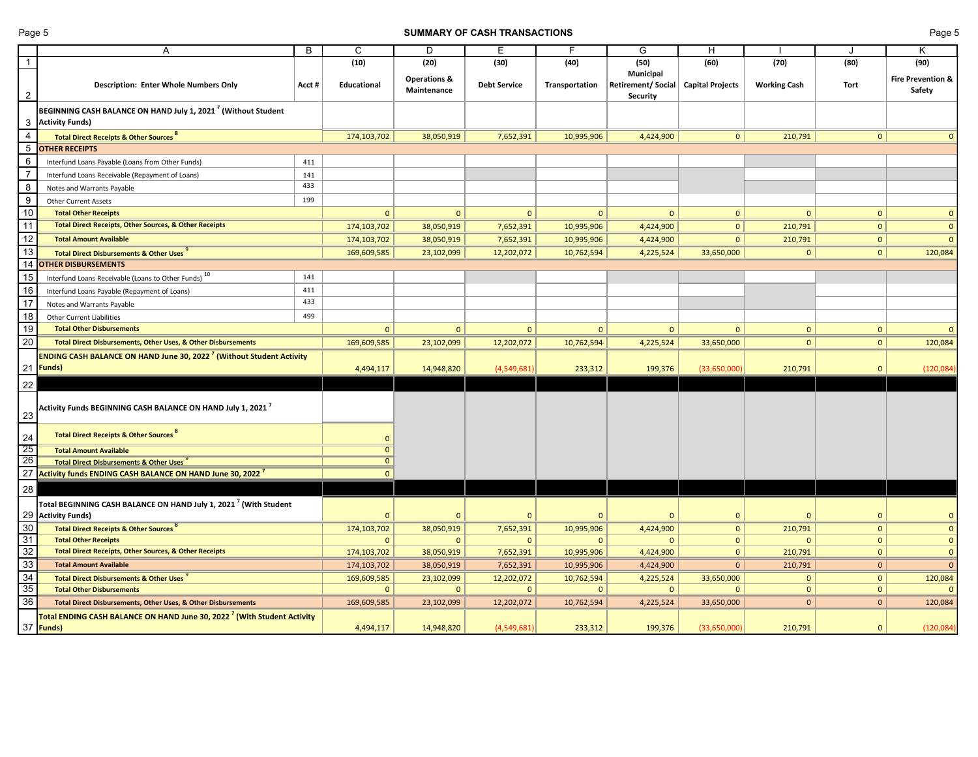## **Page 5 SUMMARY OF CASH TRANSACTIONS Page 5 Page 5**

|                                    | A                                                                                                  | B      | $\mathsf{C}$       | D                                      | E                   | F              | G                                                               | H                       |                     |                | Κ                                      |
|------------------------------------|----------------------------------------------------------------------------------------------------|--------|--------------------|----------------------------------------|---------------------|----------------|-----------------------------------------------------------------|-------------------------|---------------------|----------------|----------------------------------------|
|                                    |                                                                                                    |        | (10)               | (20)                                   | (30)                | (40)           | (50)                                                            | (60)                    | (70)                | (80)           | (90)                                   |
| $\mathbf{2}$                       | <b>Description: Enter Whole Numbers Only</b>                                                       | Acct # | <b>Educational</b> | <b>Operations &amp;</b><br>Maintenance | <b>Debt Service</b> | Transportation | <b>Municipal</b><br><b>Retirement/Social</b><br><b>Security</b> | <b>Capital Projects</b> | <b>Working Cash</b> | Tort           | <b>Fire Prevention &amp;</b><br>Safety |
|                                    | BEGINNING CASH BALANCE ON HAND July 1, 2021 <sup>7</sup> (Without Student                          |        |                    |                                        |                     |                |                                                                 |                         |                     |                |                                        |
|                                    | 3 Activity Funds)                                                                                  |        |                    |                                        |                     |                |                                                                 |                         |                     |                |                                        |
| $\overline{4}$                     | <b>Total Direct Receipts &amp; Other Sources</b> 8                                                 |        | 174,103,702        | 38,050,919                             | 7,652,391           | 10,995,906     | 4,424,900                                                       | 0                       | 210,791             | $\mathbf{0}$   | 0                                      |
|                                    | <b>OTHER RECEIPTS</b>                                                                              |        |                    |                                        |                     |                |                                                                 |                         |                     |                |                                        |
| $6\phantom{.}6$                    | Interfund Loans Payable (Loans from Other Funds)                                                   | 411    |                    |                                        |                     |                |                                                                 |                         |                     |                |                                        |
|                                    | Interfund Loans Receivable (Repayment of Loans)                                                    | 141    |                    |                                        |                     |                |                                                                 |                         |                     |                |                                        |
| 8                                  | Notes and Warrants Payable                                                                         | 433    |                    |                                        |                     |                |                                                                 |                         |                     |                |                                        |
| 9                                  | <b>Other Current Assets</b>                                                                        | 199    |                    |                                        |                     |                |                                                                 |                         |                     |                |                                        |
| $10\,$                             | <b>Total Other Receipts</b>                                                                        |        | $\mathbf{0}$       |                                        | $\mathbf{0}$        | $\mathbf{0}$   | $\Omega$                                                        | $\mathbf{0}$            | $\mathbf{0}$        | $\mathbf{0}$   | $\mathbf{0}$                           |
| 11                                 | Total Direct Receipts, Other Sources, & Other Receipts                                             |        | 174,103,702        | 38,050,919                             | 7,652,391           | 10,995,906     | 4,424,900                                                       | $\mathbf{0}$            | 210,791             | $\overline{0}$ | $\mathbf{0}$                           |
| 12                                 | <b>Total Amount Available</b>                                                                      |        | 174,103,702        | 38,050,919                             | 7,652,391           | 10,995,906     | 4,424,900                                                       | $\mathbf{0}$            | 210,791             | $\Omega$       | $\mathbf{0}$                           |
| 13                                 | <b>Total Direct Disbursements &amp; Other Uses</b>                                                 |        | 169,609,585        | 23,102,099                             | 12,202,072          | 10,762,594     | 4,225,524                                                       | 33,650,000              | $\mathbf{0}$        | $\mathbf{0}$   | 120,084                                |
| 14                                 | <b>OTHER DISBURSEMENTS</b>                                                                         |        |                    |                                        |                     |                |                                                                 |                         |                     |                |                                        |
| 15                                 | Interfund Loans Receivable (Loans to Other Funds) 10                                               | 141    |                    |                                        |                     |                |                                                                 |                         |                     |                |                                        |
| 16                                 | Interfund Loans Payable (Repayment of Loans)                                                       | 411    |                    |                                        |                     |                |                                                                 |                         |                     |                |                                        |
| 17                                 | Notes and Warrants Payable                                                                         | 433    |                    |                                        |                     |                |                                                                 |                         |                     |                |                                        |
| 18                                 | <b>Other Current Liabilities</b>                                                                   | 499    |                    |                                        |                     |                |                                                                 |                         |                     |                |                                        |
| 19                                 | <b>Total Other Disbursements</b>                                                                   |        | $\mathbf{0}$       | $\Omega$                               | $\mathbf{0}$        | $\mathbf{0}$   | $\mathbf{0}$                                                    | $\mathbf{0}$            | $\mathbf{0}$        | $\mathbf{0}$   | $\mathbf{0}$                           |
| 20                                 | Total Direct Disbursements, Other Uses, & Other Disbursements                                      |        | 169,609,585        | 23,102,099                             | 12,202,072          | 10,762,594     | 4,225,524                                                       | 33,650,000              | 0                   | $\mathbf{0}$   | 120,084                                |
|                                    | <b>ENDING CASH BALANCE ON HAND June 30, 2022<sup>7</sup> (Without Student Activity</b>             |        |                    |                                        |                     |                |                                                                 |                         |                     |                |                                        |
|                                    | 21   Funds)                                                                                        |        | 4,494,117          | 14,948,820                             | (4,549,681)         | 233,312        | 199,376                                                         | (33,650,000)            | 210,791             | $\overline{0}$ | (120,084)                              |
|                                    |                                                                                                    |        |                    |                                        |                     |                |                                                                 |                         |                     |                |                                        |
| 22<br>23                           | Activity Funds BEGINNING CASH BALANCE ON HAND July 1, 2021 $^7$                                    |        |                    |                                        |                     |                |                                                                 |                         |                     |                |                                        |
| $\frac{24}{25}$<br>$\frac{26}{26}$ | Total Direct Receipts & Other Sources                                                              |        |                    |                                        |                     |                |                                                                 |                         |                     |                |                                        |
|                                    | <b>Total Amount Available</b>                                                                      |        |                    |                                        |                     |                |                                                                 |                         |                     |                |                                        |
|                                    | <b>Total Direct Disbursements &amp; Other Uses</b>                                                 |        |                    |                                        |                     |                |                                                                 |                         |                     |                |                                        |
|                                    | 27 Activity funds ENDING CASH BALANCE ON HAND June 30, 2022 <sup>7</sup>                           |        |                    |                                        |                     |                |                                                                 |                         |                     |                |                                        |
| 28                                 |                                                                                                    |        |                    |                                        |                     |                |                                                                 |                         |                     |                |                                        |
|                                    | Total BEGINNING CASH BALANCE ON HAND July 1, 2021 <sup>7</sup> (With Student<br>29 Activity Funds) |        | $\Omega$           |                                        | $\mathbf{0}$        | $\mathbf{0}$   |                                                                 | $\mathbf{0}$            | $\Omega$            | $\Omega$       | $\mathbf{0}$                           |
|                                    | <b>Total Direct Receipts &amp; Other Sources</b>                                                   |        | 174,103,702        | 38,050,919                             | 7,652,391           | 10,995,906     | 4,424,900                                                       | $\mathbf{0}$            | 210,791             | 0              | $\mathbf{0}$                           |
| $\frac{30}{31}$                    | <b>Total Other Receipts</b>                                                                        |        | $\mathbf{0}$       |                                        | $\mathbf{0}$        | $\mathbf{0}$   | 0                                                               | $\mathbf{0}$            | $\mathbf{0}$        | 0              | $\mathbf{0}$                           |
| $\overline{32}$                    | <b>Total Direct Receipts, Other Sources, &amp; Other Receipts</b>                                  |        | 174,103,702        | 38,050,919                             | 7,652,391           | 10,995,906     | 4,424,900                                                       | $\mathbf{0}$            | 210,791             | 0              | $\mathbf{0}$                           |
| $\overline{33}$                    | <b>Total Amount Available</b>                                                                      |        | 174,103,702        | 38,050,919                             | 7,652,391           | 10,995,906     | 4,424,900                                                       | $\mathbf{0}$            | 210,791             | $\mathbf{0}$   | $\mathbf{0}$                           |
| $\overline{34}$                    | Total Direct Disbursements & Other Uses                                                            |        | 169,609,585        | 23,102,099                             | 12,202,072          | 10,762,594     | 4,225,524                                                       | 33,650,000              | $\Omega$            | $\mathbf{0}$   | 120,084                                |
| $\overline{35}$                    | <b>Total Other Disbursements</b>                                                                   |        | $\Omega$           |                                        | $\Omega$            | $\Omega$       | 0                                                               | $\Omega$                | $\mathbf{0}$        | $\Omega$       |                                        |
| $\overline{36}$                    | Total Direct Disbursements, Other Uses, & Other Disbursements                                      |        | 169,609,585        | 23,102,099                             | 12,202,072          | 10,762,594     | 4,225,524                                                       | 33,650,000              | $\mathbf{0}$        | $\mathbf{0}$   | 120,084                                |
|                                    | Total ENDING CASH BALANCE ON HAND June 30, 2022 <sup>7</sup> (With Student Activity                |        |                    |                                        |                     |                |                                                                 |                         |                     |                |                                        |
|                                    | 37 <b>Funds</b>                                                                                    |        | 4,494,117          | 14,948,820                             | (4,549,681)         | 233,312        | 199,376                                                         | (33,650,000)            | 210,791             | $\Omega$       | (120, 084)                             |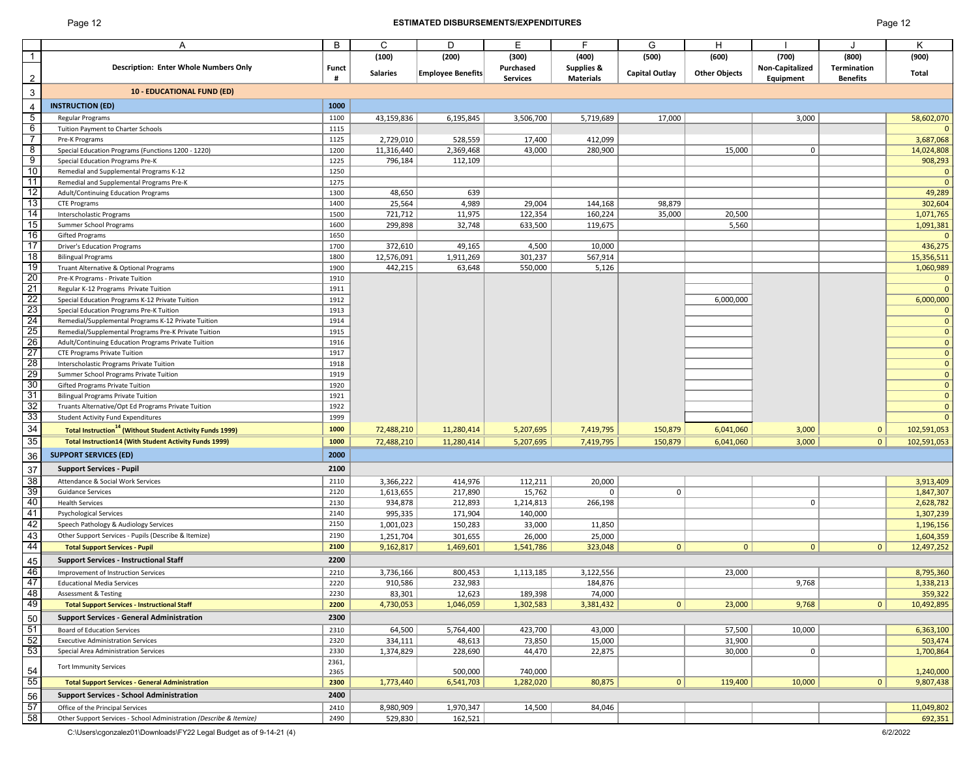# Page 12 **ESTIMATED DISBURSEMENTS/EXPENDITURES** Page 12

|                                                       | A                                                                                      | B            | C               | D                        | F                    | F.                    | G                     | H                    |                 |                 | K           |
|-------------------------------------------------------|----------------------------------------------------------------------------------------|--------------|-----------------|--------------------------|----------------------|-----------------------|-----------------------|----------------------|-----------------|-----------------|-------------|
|                                                       |                                                                                        |              | (100)           | (200)                    | (300)                | (400)                 | (500)                 | (600)                | (700)           | (800)           | (900)       |
|                                                       | <b>Description: Enter Whole Numbers Only</b>                                           | <b>Funct</b> |                 |                          | Purchased            | <b>Supplies &amp;</b> |                       |                      | Non-Capitalized | Termination     |             |
|                                                       |                                                                                        | #            | <b>Salaries</b> | <b>Employee Benefits</b> | <b>Services</b>      | <b>Materials</b>      | <b>Capital Outlay</b> | <b>Other Objects</b> | Equipment       | <b>Benefits</b> | Total       |
| $\mathbf{3}$                                          | <b>10 - EDUCATIONAL FUND (ED)</b>                                                      |              |                 |                          |                      |                       |                       |                      |                 |                 |             |
|                                                       |                                                                                        |              |                 |                          |                      |                       |                       |                      |                 |                 |             |
|                                                       | <b>INSTRUCTION (ED)</b>                                                                | 1000         |                 |                          |                      |                       |                       |                      |                 |                 |             |
| $\overline{5}$                                        | <b>Regular Programs</b>                                                                | 1100         | 43,159,836      | 6,195,845                | 3,506,700            | 5,719,689             | 17,000                |                      | 3,000           |                 | 58,602,070  |
| 6                                                     | Tuition Payment to Charter Schools                                                     | 1115         |                 |                          |                      |                       |                       |                      |                 |                 |             |
| $\overline{7}$                                        | Pre-K Programs                                                                         | 1125         | 2,729,010       | 528,559                  | 17,400               | 412,099               |                       |                      |                 |                 | 3,687,068   |
| $\infty$                                              | Special Education Programs (Functions 1200 - 1220)                                     | 1200         | 11,316,440      | 2,369,468                | 43,000               | 280,900               |                       | 15,000               | $\mathsf{O}$    |                 | 14,024,808  |
| $\frac{9}{10}$                                        | <b>Special Education Programs Pre-K</b>                                                | 1225         | 796,184         | 112,109                  |                      |                       |                       |                      |                 |                 | 908,293     |
| $\overline{11}$                                       | Remedial and Supplemental Programs K-12                                                | 1250<br>1275 |                 |                          |                      |                       |                       |                      |                 |                 |             |
| $\overline{12}$                                       | Remedial and Supplemental Programs Pre-K<br><b>Adult/Continuing Education Programs</b> | 1300         | 48,650          | 639                      |                      |                       |                       |                      |                 |                 | 49,289      |
| $\overline{13}$                                       | <b>CTE Programs</b>                                                                    | 1400         | 25,564          | 4,989                    | 29,004               | 144,168               | 98,879                |                      |                 |                 | 302,604     |
|                                                       | Interscholastic Programs                                                               | 1500         | 721,712         | 11,975                   | 122,354              | 160,224               | 35,000                | 20,500               |                 |                 | 1,071,765   |
| $\frac{14}{15}$                                       | Summer School Programs                                                                 | 1600         | 299,898         | 32,748                   | 633,500              | 119,675               |                       | 5,560                |                 |                 | 1,091,381   |
| 16                                                    | <b>Gifted Programs</b>                                                                 | 1650         |                 |                          |                      |                       |                       |                      |                 |                 |             |
| $\overline{17}$                                       | <b>Driver's Education Programs</b>                                                     | 1700         | 372,610         | 49,165                   | 4,500                | 10,000                |                       |                      |                 |                 | 436,275     |
| $\overline{18}$                                       | <b>Bilingual Programs</b>                                                              | 1800         | 12,576,091      | 1,911,269                | 301,237              | 567,914               |                       |                      |                 |                 | 15,356,511  |
| 19                                                    | Truant Alternative & Optional Programs                                                 | 1900         | 442,215         | 63,648                   | 550,000              | 5,126                 |                       |                      |                 |                 | 1,060,989   |
| $\overline{20}$                                       | Pre-K Programs - Private Tuition                                                       | 1910         |                 |                          |                      |                       |                       |                      |                 |                 |             |
| $\overline{21}$                                       | Regular K-12 Programs Private Tuition                                                  | 1911         |                 |                          |                      |                       |                       |                      |                 |                 |             |
|                                                       | Special Education Programs K-12 Private Tuition                                        | 1912         |                 |                          |                      |                       |                       | 6,000,000            |                 |                 | 6,000,000   |
| $\frac{22}{23}$<br>$\frac{24}{25}$                    | <b>Special Education Programs Pre-K Tuition</b>                                        | 1913         |                 |                          |                      |                       |                       |                      |                 |                 |             |
|                                                       | Remedial/Supplemental Programs K-12 Private Tuition                                    | 1914         |                 |                          |                      |                       |                       |                      |                 |                 |             |
|                                                       | Remedial/Supplemental Programs Pre-K Private Tuition                                   | 1915         |                 |                          |                      |                       |                       |                      |                 |                 |             |
|                                                       | Adult/Continuing Education Programs Private Tuition                                    | 1916         |                 |                          |                      |                       |                       |                      |                 |                 |             |
| $\frac{26}{27}$<br>$\frac{28}{29}$<br>$\frac{29}{30}$ | <b>CTE Programs Private Tuition</b>                                                    | 1917         |                 |                          |                      |                       |                       |                      |                 |                 |             |
|                                                       | Interscholastic Programs Private Tuition                                               | 1918         |                 |                          |                      |                       |                       |                      |                 |                 |             |
|                                                       | Summer School Programs Private Tuition                                                 | 1919         |                 |                          |                      |                       |                       |                      |                 |                 |             |
|                                                       | <b>Gifted Programs Private Tuition</b>                                                 | 1920         |                 |                          |                      |                       |                       |                      |                 |                 |             |
| <u>31</u>                                             | <b>Bilingual Programs Private Tuition</b>                                              | 1921         |                 |                          |                      |                       |                       |                      |                 |                 |             |
| $\frac{32}{33}$                                       | Truants Alternative/Opt Ed Programs Private Tuition                                    | 1922         |                 |                          |                      |                       |                       |                      |                 |                 |             |
|                                                       | <b>Student Activity Fund Expenditures</b>                                              | 1999         |                 |                          |                      |                       |                       |                      |                 |                 |             |
| 34                                                    | Total Instruction <sup>14</sup> (Without Student Activity Funds 1999)                  | 1000         | 72,488,210      | 11,280,414               | 5,207,695            | 7,419,795             | 150,879               | 6,041,060            | 3,000           | 0               | 102,591,053 |
| $35 \vert$                                            | Total Instruction14 (With Student Activity Funds 1999)                                 | 1000         | 72,488,210      | 11,280,414               | 5,207,695            | 7,419,795             | 150,879               | 6,041,060            | 3,000           | 0 <sup>1</sup>  | 102,591,053 |
| 36                                                    | <b>SUPPORT SERVICES (ED)</b>                                                           | 2000         |                 |                          |                      |                       |                       |                      |                 |                 |             |
| 37                                                    | <b>Support Services - Pupil</b>                                                        | 2100         |                 |                          |                      |                       |                       |                      |                 |                 |             |
| $\overline{38}$                                       | Attendance & Social Work Services                                                      | 2110         | 3,366,222       | 414,976                  | 112,211              | 20,000                |                       |                      |                 |                 | 3,913,409   |
| 39                                                    | <b>Guidance Services</b>                                                               | 2120         | 1,613,655       | 217,890                  | 15,762               | $\Omega$              | $\mathbf{0}$          |                      |                 |                 | 1,847,307   |
| 40                                                    | <b>Health Services</b>                                                                 | 2130         | 934,878         | 212,893                  | 1,214,813            | 266,198               |                       |                      | $\mathbf 0$     |                 | 2,628,782   |
| 41                                                    | <b>Psychological Services</b>                                                          | 2140         | 995,335         | 171,904                  | 140,000              |                       |                       |                      |                 |                 | 1,307,239   |
| <u>42</u>                                             | Speech Pathology & Audiology Services                                                  | 2150         | 1,001,023       | 150,283                  | 33,000               | 11,850                |                       |                      |                 |                 | 1,196,156   |
| 43                                                    | Other Support Services - Pupils (Describe & Itemize)                                   | 2190         | 1,251,704       | 301,655                  | 26,000               | 25,000                |                       |                      |                 |                 | 1,604,359   |
| 44                                                    | <b>Total Support Services - Pupil</b>                                                  | 2100         | 9,162,817       | 1,469,601                | 1,541,786            | 323,048               | 0                     | 0                    | 0               | 0               | 12,497,252  |
|                                                       | <b>Support Services - Instructional Staff</b>                                          | 2200         |                 |                          |                      |                       |                       |                      |                 |                 |             |
| $\frac{45}{5}$                                        |                                                                                        |              |                 |                          |                      |                       |                       |                      |                 |                 |             |
|                                                       | Improvement of Instruction Services                                                    | 2210         | 3,736,166       | 800,453                  | 1,113,185            | 3,122,556             |                       | 23,000               |                 |                 | 8,795,360   |
|                                                       | <b>Educational Media Services</b>                                                      | 2220         | 910,586         | 232,983                  |                      | 184,876               |                       |                      | 9,768           |                 | 1,338,213   |
| 46<br>47<br>48<br>49                                  | <b>Assessment &amp; Testing</b>                                                        | 2230         | 83,301          | 12,623                   | 189,398              | 74,000                | 0                     | 23,000               | 9,768           | 0               | 359,322     |
|                                                       | <b>Total Support Services - Instructional Staff</b>                                    | 2200         | 4,730,053       | 1,046,059                | 1,302,583            | 3,381,432             |                       |                      |                 |                 | 10,492,895  |
| 50                                                    | <b>Support Services - General Administration</b>                                       | 2300         |                 |                          |                      |                       |                       |                      |                 |                 |             |
| 51                                                    | <b>Board of Education Services</b>                                                     | 2310         | 64,500          | 5,764,400                | 423,700              | 43,000                |                       | 57,500               | 10,000          |                 | 6,363,100   |
| 52                                                    | <b>Executive Administration Services</b>                                               | 2320         | 334,111         | 48,613                   | 73,850               | 15,000                |                       | 31,900               |                 |                 | 503,474     |
| 53                                                    | <b>Special Area Administration Services</b>                                            | 2330         | 1,374,829       | 228,690                  | 44,470               | 22,875                |                       | 30,000               | $\mathbf 0$     |                 | 1,700,864   |
|                                                       | <b>Tort Immunity Services</b>                                                          | 2361,        |                 |                          |                      |                       |                       |                      |                 |                 |             |
| 54<br>55                                              |                                                                                        | 2365         | 1,773,440       | 500,000                  | 740,000<br>1,282,020 | 80,875                | 0                     | 119,400              | 10,000          | 0               | 1,240,000   |
|                                                       | <b>Total Support Services - General Administration</b>                                 | 2300         |                 | 6,541,703                |                      |                       |                       |                      |                 |                 | 9,807,438   |
| 56                                                    | <b>Support Services - School Administration</b>                                        | 2400         |                 |                          |                      |                       |                       |                      |                 |                 |             |
| 57                                                    | Office of the Principal Services                                                       | 2410         | 8,980,909       | 1,970,347                | 14,500               | 84,046                |                       |                      |                 |                 | 11,049,802  |
| $\overline{58}$                                       | Other Support Services - School Administration (Describe & Itemize)                    | 2490         | 529,830         | 162,521                  |                      |                       |                       |                      |                 |                 | 692,351     |

C:\Users\cgonzalez01\Downloads\FY22 Legal Budget as of 9-14-21 (4) 6/2/2022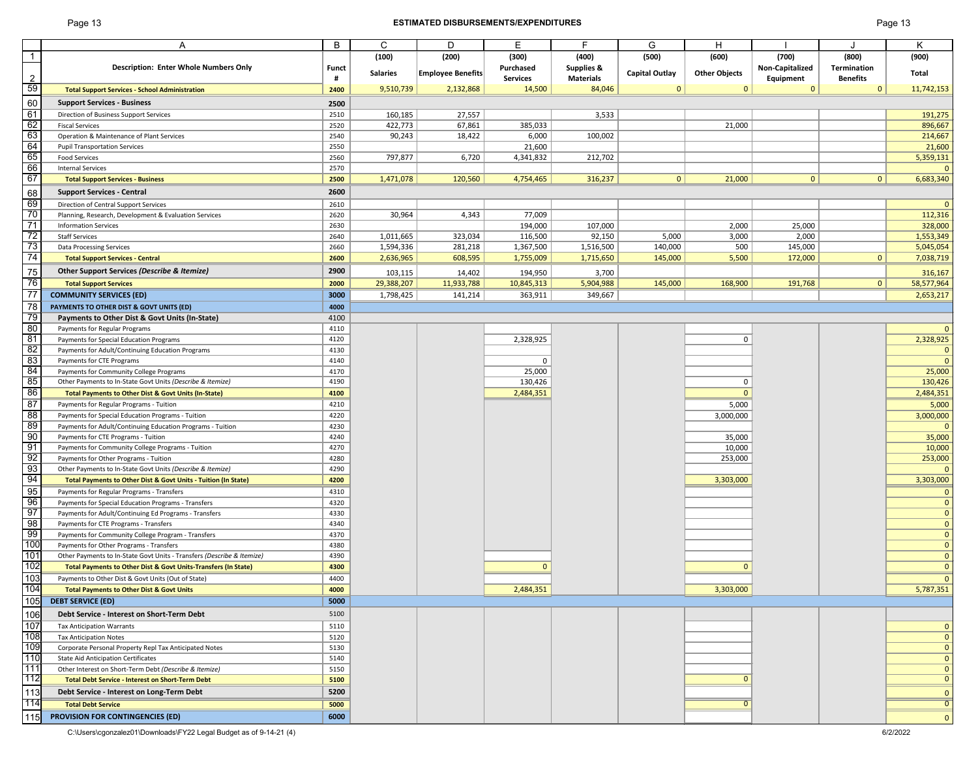# Page 13 **ESTIMATED DISBURSEMENTS/EXPENDITURES** Page 13

| Page 13 |  |  |
|---------|--|--|
|---------|--|--|

|                |                                                                        | B            | $\mathsf{C}$    | D                        | E               | E.                    | G                     | H                    |                        |                    | Κ              |
|----------------|------------------------------------------------------------------------|--------------|-----------------|--------------------------|-----------------|-----------------------|-----------------------|----------------------|------------------------|--------------------|----------------|
|                | A                                                                      |              |                 |                          |                 |                       |                       |                      |                        |                    |                |
|                |                                                                        |              | (100)           | (200)                    | (300)           | (400)                 | (500)                 | (600)                | (700)                  | (800)              | (900)          |
|                | <b>Description: Enter Whole Numbers Only</b>                           | <b>Funct</b> | <b>Salaries</b> | <b>Employee Benefits</b> | Purchased       | <b>Supplies &amp;</b> | <b>Capital Outlay</b> | <b>Other Objects</b> | <b>Non-Capitalized</b> | <b>Termination</b> | Total          |
| $\overline{2}$ |                                                                        | #            |                 |                          | <b>Services</b> | <b>Materials</b>      |                       |                      | Equipment              | <b>Benefits</b>    |                |
| 59             | <b>Total Support Services - School Administration</b>                  | 2400         | 9,510,739       | 2,132,868                | 14,500          | 84,046                | $\Omega$              | $\mathbf{0}$         | $\mathbf{0}$           | $\Omega$           | 11,742,153     |
| 60             | <b>Support Services - Business</b>                                     | 2500         |                 |                          |                 |                       |                       |                      |                        |                    |                |
| 61             | <b>Direction of Business Support Services</b>                          | 2510         | 160,185         | 27,557                   |                 | 3,533                 |                       |                      |                        |                    | 191,275        |
| 62             |                                                                        | 2520         |                 |                          |                 |                       |                       |                      |                        |                    |                |
|                | <b>Fiscal Services</b>                                                 |              | 422,773         | 67,861                   | 385,033         |                       |                       | 21,000               |                        |                    | 896,667        |
| 63             | Operation & Maintenance of Plant Services                              | 2540         | 90,243          | 18,422                   | 6,000           | 100,002               |                       |                      |                        |                    | 214,667        |
| 64             | <b>Pupil Transportation Services</b>                                   | 2550         |                 |                          | 21,600          |                       |                       |                      |                        |                    | 21,600         |
| 65             | <b>Food Services</b>                                                   | 2560         | 797,877         | 6,720                    | 4,341,832       | 212,702               |                       |                      |                        |                    | 5,359,131      |
| 66             | <b>Internal Services</b>                                               | 2570         |                 |                          |                 |                       |                       |                      |                        |                    | $\overline{0}$ |
| 67             | <b>Total Support Services - Business</b>                               | 2500         | 1,471,078       | 120,560                  | 4,754,465       | 316,237               | 0                     | 21,000               | $\mathbf{0}$           | 0                  | 6,683,340      |
| 68             | <b>Support Services - Central</b>                                      | 2600         |                 |                          |                 |                       |                       |                      |                        |                    |                |
| 69             | Direction of Central Support Services                                  | 2610         |                 |                          |                 |                       |                       |                      |                        |                    | $\overline{0}$ |
| 70             | Planning, Research, Development & Evaluation Services                  | 2620         | 30,964          | 4,343                    | 77,009          |                       |                       |                      |                        |                    | 112,316        |
| 71             | <b>Information Services</b>                                            | 2630         |                 |                          | 194,000         | 107,000               |                       | 2,000                | 25,000                 |                    | 328,000        |
| 72             |                                                                        |              |                 |                          |                 |                       |                       |                      |                        |                    |                |
| 73             | <b>Staff Services</b>                                                  | 2640         | 1,011,665       | 323,034                  | 116,500         | 92,150                | 5,000                 | 3,000                | 2,000                  |                    | 1,553,349      |
|                | <b>Data Processing Services</b>                                        | 2660         | 1,594,336       | 281,218                  | 1,367,500       | 1,516,500             | 140,000               | 500                  | 145,000                |                    | 5,045,054      |
| 74             | <b>Total Support Services - Central</b>                                | 2600         | 2,636,965       | 608,595                  | 1,755,009       | 1,715,650             | 145,000               | 5,500                | 172,000                | 0                  | 7,038,719      |
| 75             | Other Support Services (Describe & Itemize)                            | 2900         | 103,115         | 14,402                   | 194,950         | 3,700                 |                       |                      |                        |                    | 316,167        |
| 76             | <b>Total Support Services</b>                                          | 2000         | 29,388,207      | 11,933,788               | 10,845,313      | 5,904,988             | 145,000               | 168,900              | 191,768                | $\mathbf{0}$       | 58,577,964     |
| 77             | <b>COMMUNITY SERVICES (ED)</b>                                         | 3000         | 1,798,425       | 141,214                  | 363,911         | 349,667               |                       |                      |                        |                    | 2,653,217      |
| 78             | PAYMENTS TO OTHER DIST & GOVT UNITS (ED)                               | 4000         |                 |                          |                 |                       |                       |                      |                        |                    |                |
| 79             | Payments to Other Dist & Govt Units (In-State)                         | 4100         |                 |                          |                 |                       |                       |                      |                        |                    |                |
| 80             |                                                                        |              |                 |                          |                 |                       |                       |                      |                        |                    |                |
|                | Payments for Regular Programs                                          | 4110         |                 |                          |                 |                       |                       |                      |                        |                    | $\overline{0}$ |
| 81             | Payments for Special Education Programs                                | 4120         |                 |                          | 2,328,925       |                       |                       | $\mathbf 0$          |                        |                    | 2,328,925      |
| 82             | Payments for Adult/Continuing Education Programs                       | 4130         |                 |                          |                 |                       |                       |                      |                        |                    | $\overline{0}$ |
| 83             | Payments for CTE Programs                                              | 4140         |                 |                          | 0               |                       |                       |                      |                        |                    | $\overline{0}$ |
| 84             | Payments for Community College Programs                                | 4170         |                 |                          | 25,000          |                       |                       |                      |                        |                    | 25,000         |
| 85             | Other Payments to In-State Govt Units (Describe & Itemize)             | 4190         |                 |                          | 130,426         |                       |                       | 0                    |                        |                    | 130,426        |
| 86             | Total Payments to Other Dist & Govt Units (In-State)                   | 4100         |                 |                          | 2,484,351       |                       |                       | $\Omega$             |                        |                    | 2,484,351      |
| 87             | Payments for Regular Programs - Tuition                                | 4210         |                 |                          |                 |                       |                       | 5,000                |                        |                    | 5,000          |
| 88             | Payments for Special Education Programs - Tuition                      | 4220         |                 |                          |                 |                       |                       | 3,000,000            |                        |                    | 3,000,000      |
| 89             | Payments for Adult/Continuing Education Programs - Tuition             | 4230         |                 |                          |                 |                       |                       |                      |                        |                    | $\overline{0}$ |
| 90             | Payments for CTE Programs - Tuition                                    | 4240         |                 |                          |                 |                       |                       | 35,000               |                        |                    | 35,000         |
| 91             | Payments for Community College Programs - Tuition                      | 4270         |                 |                          |                 |                       |                       | 10,000               |                        |                    | 10,000         |
| 92             | Payments for Other Programs - Tuition                                  | 4280         |                 |                          |                 |                       |                       | 253,000              |                        |                    |                |
| 93             |                                                                        | 4290         |                 |                          |                 |                       |                       |                      |                        |                    | 253,000        |
| 94             | Other Payments to In-State Govt Units (Describe & Itemize)             |              |                 |                          |                 |                       |                       |                      |                        |                    | $\overline{0}$ |
|                | Total Payments to Other Dist & Govt Units - Tuition (In State)         | 4200         |                 |                          |                 |                       |                       | 3,303,000            |                        |                    | 3,303,000      |
| 95             | Payments for Regular Programs - Transfers                              | 4310         |                 |                          |                 |                       |                       |                      |                        |                    | 0              |
| 96             | Payments for Special Education Programs - Transfers                    | 4320         |                 |                          |                 |                       |                       |                      |                        |                    | $\overline{0}$ |
| 97             | Payments for Adult/Continuing Ed Programs - Transfers                  | 4330         |                 |                          |                 |                       |                       |                      |                        |                    | $\overline{0}$ |
| 98             | Payments for CTE Programs - Transfers                                  | 4340         |                 |                          |                 |                       |                       |                      |                        |                    | $\overline{0}$ |
| 99             | Payments for Community College Program - Transfers                     | 4370         |                 |                          |                 |                       |                       |                      |                        |                    | $\overline{0}$ |
| 100            | Payments for Other Programs - Transfers                                | 4380         |                 |                          |                 |                       |                       |                      |                        |                    | $\overline{0}$ |
| 101            | Other Payments to In-State Govt Units - Transfers (Describe & Itemize) | 4390         |                 |                          |                 |                       |                       |                      |                        |                    | $\overline{0}$ |
| 102            | Total Payments to Other Dist & Govt Units-Transfers (In State)         | 4300         |                 |                          | $\Omega$        |                       |                       |                      |                        |                    | $\overline{0}$ |
| 103            | Payments to Other Dist & Govt Units (Out of State)                     | 4400         |                 |                          |                 |                       |                       |                      |                        |                    | $\overline{0}$ |
| 104            | <b>Total Payments to Other Dist &amp; Govt Units</b>                   | 4000         |                 |                          | 2,484,351       |                       |                       | 3,303,000            |                        |                    | 5,787,351      |
| 105            | <b>DEBT SERVICE (ED)</b>                                               | 5000         |                 |                          |                 |                       |                       |                      |                        |                    |                |
|                | Debt Service - Interest on Short-Term Debt                             | 5100         |                 |                          |                 |                       |                       |                      |                        |                    |                |
| 106            |                                                                        |              |                 |                          |                 |                       |                       |                      |                        |                    |                |
| 107            | <b>Tax Anticipation Warrants</b>                                       | 5110         |                 |                          |                 |                       |                       |                      |                        |                    | $\overline{0}$ |
| 108            | <b>Tax Anticipation Notes</b>                                          | 5120         |                 |                          |                 |                       |                       |                      |                        |                    | $\overline{0}$ |
| 109            | Corporate Personal Property Repl Tax Anticipated Notes                 | 5130         |                 |                          |                 |                       |                       |                      |                        |                    | $\overline{0}$ |
| 110            | <b>State Aid Anticipation Certificates</b>                             | 5140         |                 |                          |                 |                       |                       |                      |                        |                    | $\overline{0}$ |
| 111            | Other Interest on Short-Term Debt (Describe & Itemize)                 | 5150         |                 |                          |                 |                       |                       |                      |                        |                    | $\overline{0}$ |
| 112            | <b>Total Debt Service - Interest on Short-Term Debt</b>                | 5100         |                 |                          |                 |                       |                       |                      |                        |                    | $\overline{0}$ |
| 113            | Debt Service - Interest on Long-Term Debt                              | 5200         |                 |                          |                 |                       |                       |                      |                        |                    | $\overline{0}$ |
| 114            | <b>Total Debt Service</b>                                              | 5000         |                 |                          |                 |                       |                       |                      |                        |                    | $\overline{0}$ |
|                |                                                                        |              |                 |                          |                 |                       |                       |                      |                        |                    |                |
|                | <b>PROVISION FOR CONTINGENCIES (ED)</b>                                | 6000         |                 |                          |                 |                       |                       |                      |                        |                    | $\overline{0}$ |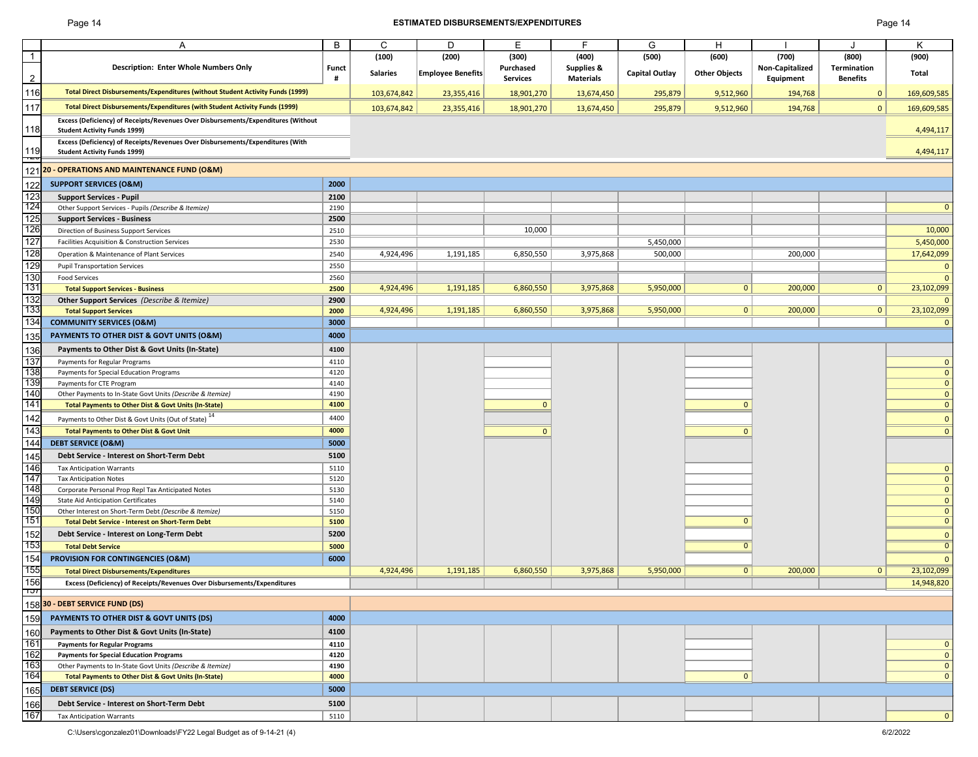# Page 14 **ESTIMATED DISBURSEMENTS/EXPENDITURES** Page 14

|                   | Α                                                                                 | B            | $\mathsf{C}$    | D                        | E               | F.                    | G                     | H                    |                        |                 | K            |
|-------------------|-----------------------------------------------------------------------------------|--------------|-----------------|--------------------------|-----------------|-----------------------|-----------------------|----------------------|------------------------|-----------------|--------------|
|                   |                                                                                   |              | (100)           | (200)                    | (300)           | (400)                 | (500)                 | (600)                | (700)                  | (800)           | (900)        |
|                   | <b>Description: Enter Whole Numbers Only</b>                                      | <b>Funct</b> | <b>Salaries</b> | <b>Employee Benefits</b> | Purchased       | <b>Supplies &amp;</b> | <b>Capital Outlay</b> | <b>Other Objects</b> | <b>Non-Capitalized</b> | Termination     | Total        |
| $\overline{2}$    |                                                                                   |              |                 |                          | <b>Services</b> | <b>Materials</b>      |                       |                      | Equipment              | <b>Benefits</b> |              |
| 16                | Total Direct Disbursements/Expenditures (without Student Activity Funds (1999)    |              | 103,674,842     | 23,355,416               | 18,901,270      | 13,674,450            | 295,879               | 9,512,960            | 194,768                | $\mathbf{0}$    | 169,609,585  |
| 117               | Total Direct Disbursements/Expenditures (with Student Activity Funds (1999)       |              | 103,674,842     | 23,355,416               | 18,901,270      | 13,674,450            | 295,879               | 9,512,960            | 194,768                | $\mathbf{0}$    | 169,609,585  |
|                   | Excess (Deficiency) of Receipts/Revenues Over Disbursements/Expenditures (Without |              |                 |                          |                 |                       |                       |                      |                        |                 |              |
| 18                | <b>Student Activity Funds 1999)</b>                                               |              |                 |                          |                 |                       |                       |                      |                        |                 | 4,494,117    |
|                   | Excess (Deficiency) of Receipts/Revenues Over Disbursements/Expenditures (With    |              |                 |                          |                 |                       |                       |                      |                        |                 |              |
| 19<br>ᅲ           | <b>Student Activity Funds 1999)</b>                                               |              |                 |                          |                 |                       |                       |                      |                        |                 | 4,494,117    |
|                   | 121 20 - OPERATIONS AND MAINTENANCE FUND (O&M)                                    |              |                 |                          |                 |                       |                       |                      |                        |                 |              |
| 122               | <b>SUPPORT SERVICES (O&amp;M)</b>                                                 | 2000         |                 |                          |                 |                       |                       |                      |                        |                 |              |
| $\frac{123}{124}$ | <b>Support Services - Pupil</b>                                                   | 2100         |                 |                          |                 |                       |                       |                      |                        |                 |              |
|                   | Other Support Services - Pupils (Describe & Itemize)                              | 2190         |                 |                          |                 |                       |                       |                      |                        |                 | $\mathbf{0}$ |
| 125               | <b>Support Services - Business</b>                                                | 2500         |                 |                          |                 |                       |                       |                      |                        |                 |              |
| 126               | Direction of Business Support Services                                            | 2510         |                 |                          | 10,000          |                       |                       |                      |                        |                 | 10,000       |
| 127               | Facilities Acquisition & Construction Services                                    | 2530         |                 |                          |                 |                       | 5,450,000             |                      |                        |                 | 5,450,000    |
| 128               | Operation & Maintenance of Plant Services                                         | 2540         | 4,924,496       | 1,191,185                | 6,850,550       | 3,975,868             | 500,000               |                      | 200,000                |                 | 17,642,099   |
| 129               |                                                                                   |              |                 |                          |                 |                       |                       |                      |                        |                 | $\mathbf 0$  |
|                   | <b>Pupil Transportation Services</b>                                              | 2550         |                 |                          |                 |                       |                       |                      |                        |                 |              |
| 130<br>131        | <b>Food Services</b>                                                              | 2560         |                 |                          |                 |                       |                       |                      |                        |                 | $\mathbf{0}$ |
|                   | <b>Total Support Services - Business</b>                                          | 2500         | 4,924,496       | 1,191,185                | 6,860,550       | 3,975,868             | 5,950,000             | 0                    | 200,000                | $\mathbf{0}$    | 23,102,099   |
| 132               | <b>Other Support Services</b> (Describe & Itemize)                                | 2900         |                 |                          |                 |                       |                       |                      |                        |                 | $\mathbf{0}$ |
| 133               | <b>Total Support Services</b>                                                     | 2000         | 4,924,496       | 1,191,185                | 6,860,550       | 3,975,868             | 5,950,000             | 0                    | 200,000                | $\mathbf{0}$    | 23,102,099   |
| 134               | <b>COMMUNITY SERVICES (O&amp;M)</b>                                               | 3000         |                 |                          |                 |                       |                       |                      |                        |                 | $\mathbf{0}$ |
| 135               | PAYMENTS TO OTHER DIST & GOVT UNITS (O&M)                                         | 4000         |                 |                          |                 |                       |                       |                      |                        |                 |              |
|                   | Payments to Other Dist & Govt Units (In-State)                                    | 4100         |                 |                          |                 |                       |                       |                      |                        |                 |              |
| 136               |                                                                                   |              |                 |                          |                 |                       |                       |                      |                        |                 |              |
| 137               | Payments for Regular Programs                                                     | 4110         |                 |                          |                 |                       |                       |                      |                        |                 | $\mathbf 0$  |
| 138               | Payments for Special Education Programs                                           | 4120         |                 |                          |                 |                       |                       |                      |                        |                 | $\mathbf 0$  |
| 139               | Payments for CTE Program                                                          | 4140         |                 |                          |                 |                       |                       |                      |                        |                 | $\mathbf 0$  |
| 140               | Other Payments to In-State Govt Units (Describe & Itemize)                        | 4190         |                 |                          |                 |                       |                       |                      |                        |                 | $\mathbf{0}$ |
| 141               | Total Payments to Other Dist & Govt Units (In-State)                              | 4100         |                 |                          |                 |                       |                       |                      |                        |                 | $\mathbf{0}$ |
| 142               | Payments to Other Dist & Govt Units (Out of State) <sup>14</sup>                  | 4400         |                 |                          |                 |                       |                       |                      |                        |                 | $\mathbf{0}$ |
| 143               | <b>Total Payments to Other Dist &amp; Govt Unit</b>                               | 4000         |                 |                          |                 |                       |                       |                      |                        |                 | $\mathbf{0}$ |
| 144               | <b>DEBT SERVICE (O&amp;M)</b>                                                     | 5000         |                 |                          |                 |                       |                       |                      |                        |                 |              |
|                   | Debt Service - Interest on Short-Term Debt                                        | 5100         |                 |                          |                 |                       |                       |                      |                        |                 |              |
| 145               |                                                                                   |              |                 |                          |                 |                       |                       |                      |                        |                 |              |
| 146               | <b>Tax Anticipation Warrants</b>                                                  | 5110         |                 |                          |                 |                       |                       |                      |                        |                 | $\mathbf{0}$ |
| 147               | <b>Tax Anticipation Notes</b>                                                     | 5120         |                 |                          |                 |                       |                       |                      |                        |                 | $\mathbf{0}$ |
| 148               | Corporate Personal Prop Repl Tax Anticipated Notes                                | 5130         |                 |                          |                 |                       |                       |                      |                        |                 | $\mathbf{0}$ |
| 149               | <b>State Aid Anticipation Certificates</b>                                        | 5140         |                 |                          |                 |                       |                       |                      |                        |                 | $\mathbf{0}$ |
| 150               | Other Interest on Short-Term Debt (Describe & Itemize)                            | 5150         |                 |                          |                 |                       |                       |                      |                        |                 | $\mathbf{0}$ |
| 151               | <b>Total Debt Service - Interest on Short-Term Debt</b>                           | 5100         |                 |                          |                 |                       |                       | O                    |                        |                 | $\mathbf{0}$ |
| 152               | Debt Service - Interest on Long-Term Debt                                         | 5200         |                 |                          |                 |                       |                       |                      |                        |                 | $\mathbf{0}$ |
| 153               | <b>Total Debt Service</b>                                                         | 5000         |                 |                          |                 |                       |                       |                      |                        |                 | $\mathbf{0}$ |
| 154               | PROVISION FOR CONTINGENCIES (O&M)                                                 | 6000         |                 |                          |                 |                       |                       |                      |                        |                 | $\Omega$     |
| 155               | <b>Total Direct Disbursements/Expenditures</b>                                    |              | 4,924,496       | 1,191,185                | 6,860,550       | 3,975,868             | 5,950,000             | 0                    | 200,000                | $\mathbf{0}$    | 23,102,099   |
| 156               | Excess (Deficiency) of Receipts/Revenues Over Disbursements/Expenditures          |              |                 |                          |                 |                       |                       |                      |                        |                 |              |
| זטו               |                                                                                   |              |                 |                          |                 |                       |                       |                      |                        |                 | 14,948,820   |
|                   | 158 30 - DEBT SERVICE FUND (DS)                                                   |              |                 |                          |                 |                       |                       |                      |                        |                 |              |
| 159               | PAYMENTS TO OTHER DIST & GOVT UNITS (DS)                                          | 4000         |                 |                          |                 |                       |                       |                      |                        |                 |              |
| 160               | Payments to Other Dist & Govt Units (In-State)                                    | 4100         |                 |                          |                 |                       |                       |                      |                        |                 |              |
| 161               | <b>Payments for Regular Programs</b>                                              | 4110         |                 |                          |                 |                       |                       |                      |                        |                 | 0            |
| 162               | <b>Payments for Special Education Programs</b>                                    | 4120         |                 |                          |                 |                       |                       |                      |                        |                 | $\mathbf{0}$ |
| 163               | Other Payments to In-State Govt Units (Describe & Itemize)                        | 4190         |                 |                          |                 |                       |                       |                      |                        |                 | $\mathbf{0}$ |
| 164               | <b>Total Payments to Other Dist &amp; Govt Units (In-State)</b>                   | 4000         |                 |                          |                 |                       |                       | $\mathbf 0$          |                        |                 | $\mathbf{0}$ |
|                   |                                                                                   |              |                 |                          |                 |                       |                       |                      |                        |                 |              |
| 165               | <b>DEBT SERVICE (DS)</b>                                                          | 5000         |                 |                          |                 |                       |                       |                      |                        |                 |              |
| 166               | Debt Service - Interest on Short-Term Debt                                        | 5100         |                 |                          |                 |                       |                       |                      |                        |                 |              |
| 167               | <b>Tax Anticipation Warrants</b>                                                  | 5110         |                 |                          |                 |                       |                       |                      |                        |                 | $\mathbf{0}$ |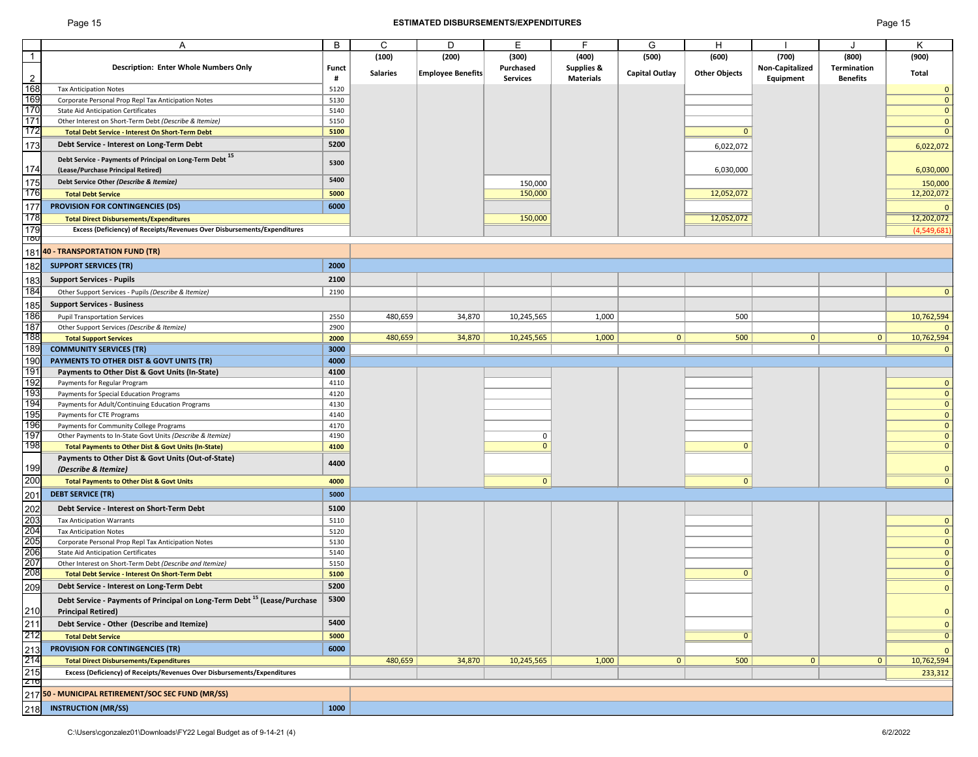# Page 15 **ESTIMATED DISBURSEMENTS/EXPENDITURES** Page 15

|                | A                                                                                    | B            | C               | D                        | E               | F.                    | G                     | H                    |                 |                    | K            |
|----------------|--------------------------------------------------------------------------------------|--------------|-----------------|--------------------------|-----------------|-----------------------|-----------------------|----------------------|-----------------|--------------------|--------------|
| $\mathbf{1}$   |                                                                                      |              | (100)           | (200)                    | (300)           | (400)                 | (500)                 | (600)                | (700)           | (800)              | (900)        |
|                | <b>Description: Enter Whole Numbers Only</b>                                         | <b>Funct</b> | <b>Salaries</b> | <b>Employee Benefits</b> | Purchased       | <b>Supplies &amp;</b> | <b>Capital Outlay</b> | <b>Other Objects</b> | Non-Capitalized | <b>Termination</b> | Total        |
| $\overline{2}$ |                                                                                      | #            |                 |                          | <b>Services</b> | <b>Materials</b>      |                       |                      | Equipment       | <b>Benefits</b>    |              |
| 168            | <b>Tax Anticipation Notes</b>                                                        | 5120         |                 |                          |                 |                       |                       |                      |                 |                    | $\mathbf 0$  |
| 169            | Corporate Personal Prop Repl Tax Anticipation Notes                                  | 5130         |                 |                          |                 |                       |                       |                      |                 |                    | $\mathbf{0}$ |
| 170            | <b>State Aid Anticipation Certificates</b>                                           | 5140         |                 |                          |                 |                       |                       |                      |                 |                    | $\mathbf{0}$ |
| 171            | Other Interest on Short-Term Debt (Describe & Itemize)                               | 5150         |                 |                          |                 |                       |                       |                      |                 |                    | $\mathbf{0}$ |
| 172            | <b>Total Debt Service - Interest On Short-Term Debt</b>                              | 5100         |                 |                          |                 |                       |                       | $\Omega$             |                 |                    | $\mathbf{0}$ |
| 173            | Debt Service - Interest on Long-Term Debt                                            | 5200         |                 |                          |                 |                       |                       | 6,022,072            |                 |                    | 6,022,072    |
|                |                                                                                      |              |                 |                          |                 |                       |                       |                      |                 |                    |              |
|                | Debt Service - Payments of Principal on Long-Term Debt <sup>15</sup>                 | 5300         |                 |                          |                 |                       |                       |                      |                 |                    |              |
| 174            | (Lease/Purchase Principal Retired)                                                   |              |                 |                          |                 |                       |                       | 6,030,000            |                 |                    | 6,030,000    |
| 175            | Debt Service Other (Describe & Itemize)                                              | 5400         |                 |                          | 150,000         |                       |                       |                      |                 |                    | 150,000      |
| 176            | <b>Total Debt Service</b>                                                            | 5000         |                 |                          | 150,000         |                       |                       | 12,052,072           |                 |                    | 12,202,072   |
| 177            | <b>PROVISION FOR CONTINGENCIES (DS)</b>                                              | 6000         |                 |                          |                 |                       |                       |                      |                 |                    | $\mathbf{0}$ |
| 178            | <b>Total Direct Disbursements/Expenditures</b>                                       |              |                 |                          | 150,000         |                       |                       | 12,052,072           |                 |                    | 12,202,072   |
| 179            | Excess (Deficiency) of Receipts/Revenues Over Disbursements/Expenditures             |              |                 |                          |                 |                       |                       |                      |                 |                    | (4,549,681)  |
| Πδυ            |                                                                                      |              |                 |                          |                 |                       |                       |                      |                 |                    |              |
|                | 181 40 - TRANSPORTATION FUND (TR)                                                    |              |                 |                          |                 |                       |                       |                      |                 |                    |              |
|                |                                                                                      |              |                 |                          |                 |                       |                       |                      |                 |                    |              |
| 182            | <b>SUPPORT SERVICES (TR)</b>                                                         | 2000         |                 |                          |                 |                       |                       |                      |                 |                    |              |
| 183            | <b>Support Services - Pupils</b>                                                     | 2100         |                 |                          |                 |                       |                       |                      |                 |                    |              |
| 184            | Other Support Services - Pupils (Describe & Itemize)                                 | 2190         |                 |                          |                 |                       |                       |                      |                 |                    | $\mathbf{0}$ |
|                |                                                                                      |              |                 |                          |                 |                       |                       |                      |                 |                    |              |
| 185            | <b>Support Services - Business</b>                                                   |              |                 |                          |                 |                       |                       |                      |                 |                    |              |
| 186            | <b>Pupil Transportation Services</b>                                                 | 2550         | 480,659         | 34,870                   | 10,245,565      | 1,000                 |                       | 500                  |                 |                    | 10,762,594   |
| 187            | Other Support Services (Describe & Itemize)                                          | 2900         |                 |                          |                 |                       |                       |                      |                 |                    |              |
| 188            | <b>Total Support Services</b>                                                        | 2000         | 480,659         | 34,870                   | 10,245,565      | 1,000                 | $\Omega$              | 500                  | $\overline{0}$  | 0                  | 10,762,594   |
| 189            | <b>COMMUNITY SERVICES (TR)</b>                                                       | 3000         |                 |                          |                 |                       |                       |                      |                 |                    | $\Omega$     |
| 190            | PAYMENTS TO OTHER DIST & GOVT UNITS (TR)                                             | 4000         |                 |                          |                 |                       |                       |                      |                 |                    |              |
| 191            | Payments to Other Dist & Govt Units (In-State)                                       | 4100         |                 |                          |                 |                       |                       |                      |                 |                    |              |
| 192            | Payments for Regular Program                                                         | 4110         |                 |                          |                 |                       |                       |                      |                 |                    | 0            |
| 193            | Payments for Special Education Programs                                              | 4120         |                 |                          |                 |                       |                       |                      |                 |                    |              |
| 194            | Payments for Adult/Continuing Education Programs                                     | 4130         |                 |                          |                 |                       |                       |                      |                 |                    | $\Omega$     |
| 195            | Payments for CTE Programs                                                            | 4140         |                 |                          |                 |                       |                       |                      |                 |                    | 0            |
| 196            | Payments for Community College Programs                                              | 4170         |                 |                          |                 |                       |                       |                      |                 |                    | $\Omega$     |
| 197            | Other Payments to In-State Govt Units (Describe & Itemize)                           | 4190         |                 |                          |                 |                       |                       |                      |                 |                    | $\mathbf{0}$ |
| 198            | Total Payments to Other Dist & Govt Units (In-State)                                 | 4100         |                 |                          | $\Omega$        |                       |                       | $\Omega$             |                 |                    |              |
|                | Payments to Other Dist & Govt Units (Out-of-State)                                   |              |                 |                          |                 |                       |                       |                      |                 |                    |              |
| 199            | (Describe & Itemize)                                                                 | 4400         |                 |                          |                 |                       |                       |                      |                 |                    |              |
| 200            | <b>Total Payments to Other Dist &amp; Govt Units</b>                                 | 4000         |                 |                          |                 |                       |                       | $\mathbf{0}$         |                 |                    |              |
|                |                                                                                      |              |                 |                          |                 |                       |                       |                      |                 |                    |              |
| 201            | <b>DEBT SERVICE (TR)</b>                                                             | 5000         |                 |                          |                 |                       |                       |                      |                 |                    |              |
| 202            | Debt Service - Interest on Short-Term Debt                                           | 5100         |                 |                          |                 |                       |                       |                      |                 |                    |              |
|                | <b>Tax Anticipation Warrants</b>                                                     | 5110         |                 |                          |                 |                       |                       |                      |                 |                    | $\mathbf{0}$ |
| 203<br>204     | <b>Tax Anticipation Notes</b>                                                        | 5120         |                 |                          |                 |                       |                       |                      |                 |                    | 0            |
| 205            | Corporate Personal Prop Repl Tax Anticipation Notes                                  | 5130         |                 |                          |                 |                       |                       |                      |                 |                    |              |
| 206            | <b>State Aid Anticipation Certificates</b>                                           | 5140         |                 |                          |                 |                       |                       |                      |                 |                    |              |
| 207            | Other Interest on Short-Term Debt (Describe and Itemize)                             | 5150         |                 |                          |                 |                       |                       |                      |                 |                    |              |
| 208            | Total Debt Service - Interest On Short-Term Debt                                     | 5100         |                 |                          |                 |                       |                       | $\Omega$             |                 |                    |              |
|                |                                                                                      | 5200         |                 |                          |                 |                       |                       |                      |                 |                    |              |
| 209            | Debt Service - Interest on Long-Term Debt                                            |              |                 |                          |                 |                       |                       |                      |                 |                    | $\Omega$     |
|                | Debt Service - Payments of Principal on Long-Term Debt <sup>15</sup> (Lease/Purchase | 5300         |                 |                          |                 |                       |                       |                      |                 |                    |              |
| 210            | <b>Principal Retired)</b>                                                            |              |                 |                          |                 |                       |                       |                      |                 |                    |              |
| 211            | Debt Service - Other (Describe and Itemize)                                          | 5400         |                 |                          |                 |                       |                       |                      |                 |                    |              |
| 212            | <b>Total Debt Service</b>                                                            | 5000         |                 |                          |                 |                       |                       |                      |                 |                    |              |
|                | <b>PROVISION FOR CONTINGENCIES (TR)</b>                                              | 6000         |                 |                          |                 |                       |                       |                      |                 |                    |              |
| 213<br>214     |                                                                                      |              |                 |                          |                 |                       |                       |                      |                 |                    |              |
|                | <b>Total Direct Disbursements/Expenditures</b>                                       |              | 480,659         | 34,870                   | 10,245,565      | 1,000                 | $\overline{0}$        | 500                  | $\mathbf{0}$    | $\overline{0}$     | 10,762,594   |
| 215            | Excess (Deficiency) of Receipts/Revenues Over Disbursements/Expenditures             |              |                 |                          |                 |                       |                       |                      |                 |                    | 233,312      |
| $Z$ 10         |                                                                                      |              |                 |                          |                 |                       |                       |                      |                 |                    |              |
|                | 217 50 - MUNICIPAL RETIREMENT/SOC SEC FUND (MR/SS)                                   |              |                 |                          |                 |                       |                       |                      |                 |                    |              |
| 218            | <b>INSTRUCTION (MR/SS)</b>                                                           | 1000         |                 |                          |                 |                       |                       |                      |                 |                    |              |
|                |                                                                                      |              |                 |                          |                 |                       |                       |                      |                 |                    |              |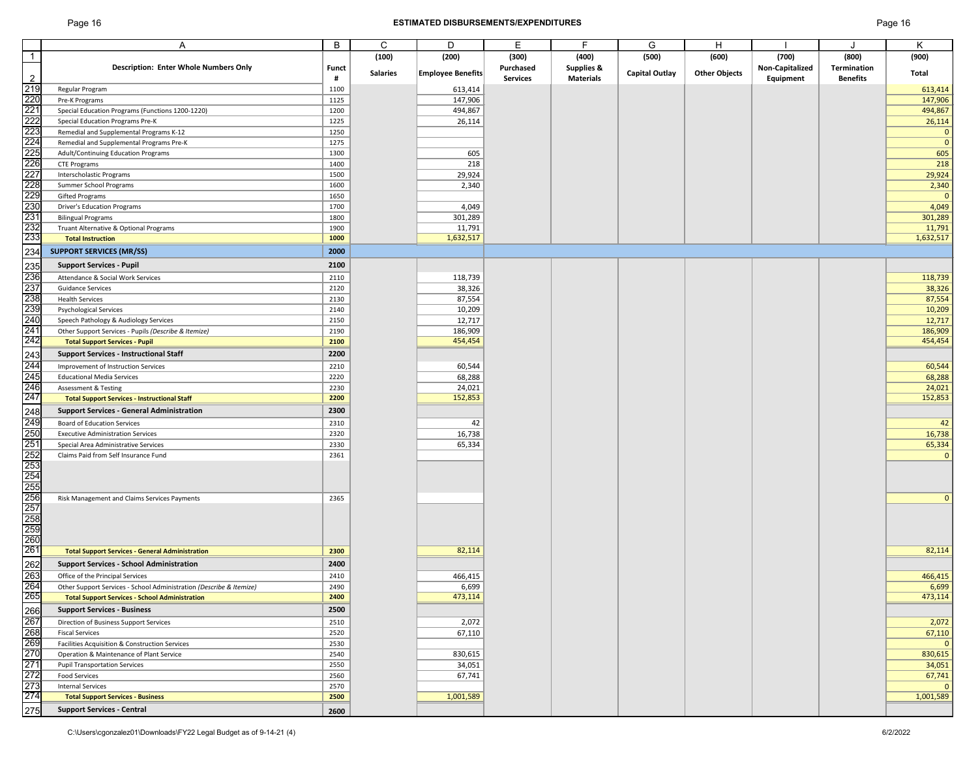# Page 16 **ESTIMATED DISBURSEMENTS/EXPENDITURES** Page 16

|                                                                    |                                                                     | B     | C               | D                        | Е               | F                     | G                     | H                    |                        |                    | K                      |
|--------------------------------------------------------------------|---------------------------------------------------------------------|-------|-----------------|--------------------------|-----------------|-----------------------|-----------------------|----------------------|------------------------|--------------------|------------------------|
| $\overline{1}$                                                     |                                                                     |       | (100)           | (200)                    | (300)           | (400)                 | (500)                 | (600)                | (700)                  | (800)              | (900)                  |
|                                                                    | <b>Description: Enter Whole Numbers Only</b>                        | Funct |                 |                          | Purchased       | <b>Supplies &amp;</b> |                       |                      | <b>Non-Capitalized</b> | <b>Termination</b> |                        |
| $\overline{2}$                                                     |                                                                     | #     | <b>Salaries</b> | <b>Employee Benefits</b> | <b>Services</b> | <b>Materials</b>      | <b>Capital Outlay</b> | <b>Other Objects</b> | Equipment              | <b>Benefits</b>    | Total                  |
|                                                                    | Regular Program                                                     | 1100  |                 | 613,414                  |                 |                       |                       |                      |                        |                    | 613,414                |
|                                                                    | Pre-K Programs                                                      | 1125  |                 | 147,906                  |                 |                       |                       |                      |                        |                    | 147,906                |
|                                                                    | Special Education Programs (Functions 1200-1220)                    | 1200  |                 | 494,867                  |                 |                       |                       |                      |                        |                    | 494,867                |
|                                                                    | <b>Special Education Programs Pre-K</b>                             | 1225  |                 | 26,114                   |                 |                       |                       |                      |                        |                    | 26,114                 |
|                                                                    | Remedial and Supplemental Programs K-12                             | 1250  |                 |                          |                 |                       |                       |                      |                        |                    | $\mathbf 0$            |
|                                                                    | Remedial and Supplemental Programs Pre-K                            | 1275  |                 |                          |                 |                       |                       |                      |                        |                    | $\mathbf{0}$           |
|                                                                    | <b>Adult/Continuing Education Programs</b>                          | 1300  |                 | 605                      |                 |                       |                       |                      |                        |                    | 605                    |
|                                                                    | <b>CTE Programs</b>                                                 | 1400  |                 | 218                      |                 |                       |                       |                      |                        |                    | 218                    |
|                                                                    | Interscholastic Programs                                            | 1500  |                 | 29,924                   |                 |                       |                       |                      |                        |                    | 29,924                 |
|                                                                    | Summer School Programs                                              | 1600  |                 | 2,340                    |                 |                       |                       |                      |                        |                    | 2,340                  |
|                                                                    | <b>Gifted Programs</b>                                              | 1650  |                 |                          |                 |                       |                       |                      |                        |                    | $\mathbf{0}$           |
|                                                                    | <b>Driver's Education Programs</b>                                  | 1700  |                 | 4,049                    |                 |                       |                       |                      |                        |                    | 4,049                  |
|                                                                    | <b>Bilingual Programs</b>                                           | 1800  |                 | 301,289                  |                 |                       |                       |                      |                        |                    | 301,289                |
|                                                                    | Truant Alternative & Optional Programs                              | 1900  |                 | 11,791                   |                 |                       |                       |                      |                        |                    | 11,791                 |
|                                                                    | <b>Total Instruction</b>                                            | 1000  |                 | 1,632,517                |                 |                       |                       |                      |                        |                    | 1,632,517              |
|                                                                    | <b>SUPPORT SERVICES (MR/SS)</b>                                     | 2000  |                 |                          |                 |                       |                       |                      |                        |                    |                        |
|                                                                    |                                                                     |       |                 |                          |                 |                       |                       |                      |                        |                    |                        |
|                                                                    | <b>Support Services - Pupil</b>                                     | 2100  |                 |                          |                 |                       |                       |                      |                        |                    |                        |
|                                                                    | Attendance & Social Work Services                                   | 2110  |                 | 118,739                  |                 |                       |                       |                      |                        |                    | 118,739                |
|                                                                    | <b>Guidance Services</b>                                            | 2120  |                 | 38,326                   |                 |                       |                       |                      |                        |                    | 38,326                 |
|                                                                    | <b>Health Services</b>                                              | 2130  |                 | 87,554                   |                 |                       |                       |                      |                        |                    | 87,554                 |
|                                                                    | <b>Psychological Services</b>                                       | 2140  |                 | 10,209                   |                 |                       |                       |                      |                        |                    | 10,209                 |
|                                                                    | Speech Pathology & Audiology Services                               | 2150  |                 | 12,717                   |                 |                       |                       |                      |                        |                    | 12,717                 |
|                                                                    | Other Support Services - Pupils (Describe & Itemize)                | 2190  |                 | 186,909                  |                 |                       |                       |                      |                        |                    | 186,909                |
|                                                                    | <b>Total Support Services - Pupil</b>                               | 2100  |                 | 454,454                  |                 |                       |                       |                      |                        |                    | 454,454                |
|                                                                    | <b>Support Services - Instructional Staff</b>                       | 2200  |                 |                          |                 |                       |                       |                      |                        |                    |                        |
|                                                                    | Improvement of Instruction Services                                 | 2210  |                 | 60,544                   |                 |                       |                       |                      |                        |                    | 60,544                 |
|                                                                    | <b>Educational Media Services</b>                                   | 2220  |                 | 68,288                   |                 |                       |                       |                      |                        |                    | 68,288                 |
|                                                                    | <b>Assessment &amp; Testing</b>                                     | 2230  |                 | 24,021                   |                 |                       |                       |                      |                        |                    | 24,021                 |
|                                                                    | <b>Total Support Services - Instructional Staff</b>                 | 2200  |                 | 152,853                  |                 |                       |                       |                      |                        |                    | 152,853                |
| 243<br>244<br>245<br>245<br>246<br>248<br>249<br>250<br>251<br>251 | <b>Support Services - General Administration</b>                    | 2300  |                 |                          |                 |                       |                       |                      |                        |                    |                        |
|                                                                    |                                                                     |       |                 |                          |                 |                       |                       |                      |                        |                    |                        |
|                                                                    | <b>Board of Education Services</b>                                  | 2310  |                 | 42                       |                 |                       |                       |                      |                        |                    | 42                     |
|                                                                    | <b>Executive Administration Services</b>                            | 2320  |                 | 16,738                   |                 |                       |                       |                      |                        |                    | 16,738                 |
|                                                                    | Special Area Administrative Services                                | 2330  |                 | 65,334                   |                 |                       |                       |                      |                        |                    | 65,334                 |
|                                                                    | Claims Paid from Self Insurance Fund                                | 2361  |                 |                          |                 |                       |                       |                      |                        |                    | $\mathbf 0$            |
|                                                                    |                                                                     |       |                 |                          |                 |                       |                       |                      |                        |                    |                        |
|                                                                    |                                                                     |       |                 |                          |                 |                       |                       |                      |                        |                    |                        |
|                                                                    |                                                                     |       |                 |                          |                 |                       |                       |                      |                        |                    |                        |
|                                                                    | Risk Management and Claims Services Payments                        | 2365  |                 |                          |                 |                       |                       |                      |                        |                    | $\mathbf{0}$           |
|                                                                    |                                                                     |       |                 |                          |                 |                       |                       |                      |                        |                    |                        |
|                                                                    |                                                                     |       |                 |                          |                 |                       |                       |                      |                        |                    |                        |
|                                                                    |                                                                     |       |                 |                          |                 |                       |                       |                      |                        |                    |                        |
|                                                                    |                                                                     |       |                 |                          |                 |                       |                       |                      |                        |                    |                        |
|                                                                    | <b>Total Support Services - General Administration</b>              | 2300  |                 | 82,114                   |                 |                       |                       |                      |                        |                    | 82,114                 |
|                                                                    | <b>Support Services - School Administration</b>                     | 2400  |                 |                          |                 |                       |                       |                      |                        |                    |                        |
|                                                                    | Office of the Principal Services                                    | 2410  |                 | 466,415                  |                 |                       |                       |                      |                        |                    | 466,415                |
|                                                                    | Other Support Services - School Administration (Describe & Itemize) | 2490  |                 | 6,699                    |                 |                       |                       |                      |                        |                    | 6,699                  |
|                                                                    | <b>Total Support Services - School Administration</b>               | 2400  |                 | 473,114                  |                 |                       |                       |                      |                        |                    | 473,114                |
|                                                                    | <b>Support Services - Business</b>                                  | 2500  |                 |                          |                 |                       |                       |                      |                        |                    |                        |
|                                                                    | Direction of Business Support Services                              | 2510  |                 | 2,072                    |                 |                       |                       |                      |                        |                    | 2,072                  |
|                                                                    | <b>Fiscal Services</b>                                              | 2520  |                 | 67,110                   |                 |                       |                       |                      |                        |                    | 67,110                 |
|                                                                    | Facilities Acquisition & Construction Services                      | 2530  |                 |                          |                 |                       |                       |                      |                        |                    | $\mathbf{0}$           |
|                                                                    | Operation & Maintenance of Plant Service                            | 2540  |                 | 830,615                  |                 |                       |                       |                      |                        |                    | 830,615                |
|                                                                    | <b>Pupil Transportation Services</b>                                | 2550  |                 | 34,051                   |                 |                       |                       |                      |                        |                    | 34,051                 |
|                                                                    | <b>Food Services</b>                                                | 2560  |                 | 67,741                   |                 |                       |                       |                      |                        |                    |                        |
|                                                                    | <b>Internal Services</b>                                            | 2570  |                 |                          |                 |                       |                       |                      |                        |                    | 67,741<br>$\mathbf{0}$ |
|                                                                    | <b>Total Support Services - Business</b>                            | 2500  |                 | 1,001,589                |                 |                       |                       |                      |                        |                    | 1,001,589              |
|                                                                    |                                                                     |       |                 |                          |                 |                       |                       |                      |                        |                    |                        |
|                                                                    | <b>Support Services - Central</b>                                   | 2600  |                 |                          |                 |                       |                       |                      |                        |                    |                        |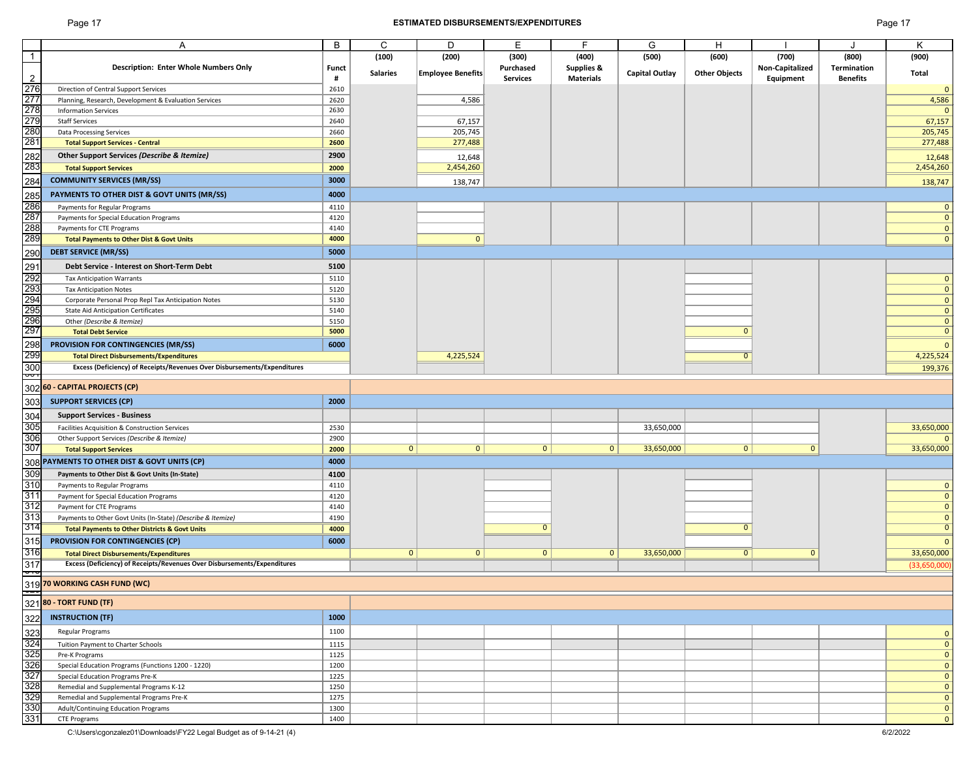# Page 17 **ESTIMATED DISBURSEMENTS/EXPENDITURES** Page 17

| ſ |  |
|---|--|
|   |  |

|                            |                                                                          |              |                 |                          |                 | E.                    |                       |                      |                        |                 |                                         |
|----------------------------|--------------------------------------------------------------------------|--------------|-----------------|--------------------------|-----------------|-----------------------|-----------------------|----------------------|------------------------|-----------------|-----------------------------------------|
|                            | A                                                                        | B            | C               | D                        | E               |                       | G                     | H                    |                        |                 | Κ                                       |
| $\overline{1}$             |                                                                          |              | (100)           | (200)                    | (300)           | (400)                 | (500)                 | (600)                | (700)                  | (800)           | (900)                                   |
|                            | <b>Description: Enter Whole Numbers Only</b>                             | <b>Funct</b> |                 |                          | Purchased       | <b>Supplies &amp;</b> |                       |                      | <b>Non-Capitalized</b> | Termination     |                                         |
| $\overline{2}$             |                                                                          | #            | <b>Salaries</b> | <b>Employee Benefits</b> | <b>Services</b> | <b>Materials</b>      | <b>Capital Outlay</b> | <b>Other Objects</b> | Equipment              | <b>Benefits</b> | <b>Total</b>                            |
| 276                        | Direction of Central Support Services                                    | 2610         |                 |                          |                 |                       |                       |                      |                        |                 | $\mathbf{0}$                            |
| 277                        | Planning, Research, Development & Evaluation Services                    | 2620         |                 | 4,586                    |                 |                       |                       |                      |                        |                 | 4,586                                   |
|                            | <b>Information Services</b>                                              | 2630         |                 |                          |                 |                       |                       |                      |                        |                 |                                         |
| 278<br>279                 |                                                                          |              |                 |                          |                 |                       |                       |                      |                        |                 |                                         |
|                            | <b>Staff Services</b>                                                    | 2640         |                 | 67,157                   |                 |                       |                       |                      |                        |                 | 67,157                                  |
| 280                        | <b>Data Processing Services</b>                                          | 2660         |                 | 205,745                  |                 |                       |                       |                      |                        |                 | 205,745                                 |
| 281                        | <b>Total Support Services - Central</b>                                  | 2600         |                 | 277,488                  |                 |                       |                       |                      |                        |                 | 277,488                                 |
|                            | <b>Other Support Services (Describe &amp; Itemize)</b>                   | 2900         |                 | 12,648                   |                 |                       |                       |                      |                        |                 | 12,648                                  |
| 282<br>283                 | <b>Total Support Services</b>                                            | 2000         |                 | 2,454,260                |                 |                       |                       |                      |                        |                 | 2,454,260                               |
|                            |                                                                          |              |                 |                          |                 |                       |                       |                      |                        |                 |                                         |
| 284                        | <b>COMMUNITY SERVICES (MR/SS)</b>                                        | 3000         |                 | 138,747                  |                 |                       |                       |                      |                        |                 | 138,747                                 |
| 285                        | PAYMENTS TO OTHER DIST & GOVT UNITS (MR/SS)                              | 4000         |                 |                          |                 |                       |                       |                      |                        |                 |                                         |
| 286                        | Payments for Regular Programs                                            | 4110         |                 |                          |                 |                       |                       |                      |                        |                 |                                         |
| 287                        | Payments for Special Education Programs                                  | 4120         |                 |                          |                 |                       |                       |                      |                        |                 | $\mathbf{0}$                            |
| 288                        | Payments for CTE Programs                                                | 4140         |                 |                          |                 |                       |                       |                      |                        |                 | $\mathbf{0}$                            |
| 289                        |                                                                          | 4000         |                 | $\mathbf{0}$             |                 |                       |                       |                      |                        |                 |                                         |
|                            | <b>Total Payments to Other Dist &amp; Govt Units</b>                     |              |                 |                          |                 |                       |                       |                      |                        |                 | $\mathbf{0}$                            |
| 290                        | <b>DEBT SERVICE (MR/SS)</b>                                              | 5000         |                 |                          |                 |                       |                       |                      |                        |                 |                                         |
| 291                        | <b>Debt Service - Interest on Short-Term Debt</b>                        | 5100         |                 |                          |                 |                       |                       |                      |                        |                 |                                         |
| 292                        | <b>Tax Anticipation Warrants</b>                                         | 5110         |                 |                          |                 |                       |                       |                      |                        |                 | $\mathbf{0}$                            |
|                            |                                                                          | 5120         |                 |                          |                 |                       |                       |                      |                        |                 | $\mathbf 0$                             |
| 80<br>1982<br>1982<br>1982 | <b>Tax Anticipation Notes</b>                                            |              |                 |                          |                 |                       |                       |                      |                        |                 |                                         |
|                            | Corporate Personal Prop Repl Tax Anticipation Notes                      | 5130         |                 |                          |                 |                       |                       |                      |                        |                 | $\mathbf{0}$                            |
|                            | <b>State Aid Anticipation Certificates</b>                               | 5140         |                 |                          |                 |                       |                       |                      |                        |                 | $\mathbf{0}$                            |
| 296<br>297                 | Other (Describe & Itemize)                                               | 5150         |                 |                          |                 |                       |                       |                      |                        |                 | $\mathbf{0}$                            |
|                            | <b>Total Debt Service</b>                                                | 5000         |                 |                          |                 |                       |                       |                      |                        |                 | $\mathbf{0}$                            |
| 298                        | PROVISION FOR CONTINGENCIES (MR/SS)                                      | 6000         |                 |                          |                 |                       |                       |                      |                        |                 | $\Omega$                                |
| 299                        | <b>Total Direct Disbursements/Expenditures</b>                           |              |                 | 4,225,524                |                 |                       |                       |                      |                        |                 | 4,225,524                               |
| 300                        | Excess (Deficiency) of Receipts/Revenues Over Disbursements/Expenditures |              |                 |                          |                 |                       |                       |                      |                        |                 | 199,376                                 |
| १                          |                                                                          |              |                 |                          |                 |                       |                       |                      |                        |                 |                                         |
|                            | 302 60 - CAPITAL PROJECTS (CP)                                           |              |                 |                          |                 |                       |                       |                      |                        |                 |                                         |
|                            |                                                                          |              |                 |                          |                 |                       |                       |                      |                        |                 |                                         |
| 303                        | <b>SUPPORT SERVICES (CP)</b>                                             | 2000         |                 |                          |                 |                       |                       |                      |                        |                 |                                         |
| 304                        | <b>Support Services - Business</b>                                       |              |                 |                          |                 |                       |                       |                      |                        |                 |                                         |
| 305                        | Facilities Acquisition & Construction Services                           | 2530         |                 |                          |                 |                       | 33,650,000            |                      |                        |                 | 33,650,000                              |
| 306                        | Other Support Services (Describe & Itemize)                              | 2900         |                 |                          |                 |                       |                       |                      |                        |                 | $\mathbf{0}$                            |
| 307                        | <b>Total Support Services</b>                                            | 2000         | 0               | $\mathbf{0}$             | 0 <sup>1</sup>  | 0                     | 33,650,000            | $\mathbf{0}$         | $\mathbf{0}$           |                 | 33,650,000                              |
|                            | 308 PAYMENTS TO OTHER DIST & GOVT UNITS (CP)                             | 4000         |                 |                          |                 |                       |                       |                      |                        |                 |                                         |
|                            |                                                                          |              |                 |                          |                 |                       |                       |                      |                        |                 |                                         |
| 309                        | Payments to Other Dist & Govt Units (In-State)                           | 4100         |                 |                          |                 |                       |                       |                      |                        |                 |                                         |
| 310                        | Payments to Regular Programs                                             | 4110         |                 |                          |                 |                       |                       |                      |                        |                 | $\mathbf{0}$                            |
| 311                        | Payment for Special Education Programs                                   | 4120         |                 |                          |                 |                       |                       |                      |                        |                 | $\mathbf{0}$                            |
| 312                        | Payment for CTE Programs                                                 | 4140         |                 |                          |                 |                       |                       |                      |                        |                 | $\mathbf{0}$                            |
| 313                        | Payments to Other Govt Units (In-State) (Describe & Itemize)             | 4190         |                 |                          |                 |                       |                       |                      |                        |                 | $\mathbf{O}$                            |
| 314                        | <b>Total Payments to Other Districts &amp; Govt Units</b>                | 4000         |                 |                          | O               |                       |                       | <sup>0</sup>         |                        |                 | $\overline{0}$                          |
| 315                        | PROVISION FOR CONTINGENCIES (CP)                                         | 6000         |                 |                          |                 |                       |                       |                      |                        |                 | $\mathbf{0}$                            |
| 316                        | <b>Total Direct Disbursements/Expenditures</b>                           |              | $\mathbf{0}$    | $\mathbf{0}$             | $\overline{0}$  | 0                     | 33,650,000            | $\Omega$             |                        |                 | 33,650,000                              |
| 317                        | Excess (Deficiency) of Receipts/Revenues Over Disbursements/Expenditures |              |                 |                          |                 |                       |                       |                      |                        |                 |                                         |
| न्न                        |                                                                          |              |                 |                          |                 |                       |                       |                      |                        |                 | (33,650,000)                            |
|                            | 319 70 WORKING CASH FUND (WC)                                            |              |                 |                          |                 |                       |                       |                      |                        |                 |                                         |
|                            |                                                                          |              |                 |                          |                 |                       |                       |                      |                        |                 |                                         |
|                            | 321 80 - TORT FUND (TF)                                                  |              |                 |                          |                 |                       |                       |                      |                        |                 |                                         |
|                            | <b>INSTRUCTION (TF)</b>                                                  | 1000         |                 |                          |                 |                       |                       |                      |                        |                 |                                         |
| 322                        |                                                                          |              |                 |                          |                 |                       |                       |                      |                        |                 |                                         |
| 323                        | <b>Regular Programs</b>                                                  | 1100         |                 |                          |                 |                       |                       |                      |                        |                 | $\mathbf{0}$                            |
| 324                        | Tuition Payment to Charter Schools                                       | 1115         |                 |                          |                 |                       |                       |                      |                        |                 | $\mathbf{0}$                            |
| 325                        | Pre-K Programs                                                           | 1125         |                 |                          |                 |                       |                       |                      |                        |                 | $\mathbf{0}$                            |
| 326                        | Special Education Programs (Functions 1200 - 1220)                       | 1200         |                 |                          |                 |                       |                       |                      |                        |                 | $\mathbf{0}$                            |
| 327                        | <b>Special Education Programs Pre-K</b>                                  | 1225         |                 |                          |                 |                       |                       |                      |                        |                 | $\mathbf{0}$                            |
|                            | Remedial and Supplemental Programs K-12                                  | 1250         |                 |                          |                 |                       |                       |                      |                        |                 | $\mathbf{0}$                            |
| 328<br>329                 | Remedial and Supplemental Programs Pre-K                                 | 1275         |                 |                          |                 |                       |                       |                      |                        |                 | $\overline{0}$                          |
| 330                        | Adult/Continuing Education Programs                                      | 1300         |                 |                          |                 |                       |                       |                      |                        |                 |                                         |
| 331                        | <b>CTE Programs</b>                                                      | 1400         |                 |                          |                 |                       |                       |                      |                        |                 | $\mathbf{0}$<br>$\overline{\mathbf{0}}$ |
|                            |                                                                          |              |                 |                          |                 |                       |                       |                      |                        |                 |                                         |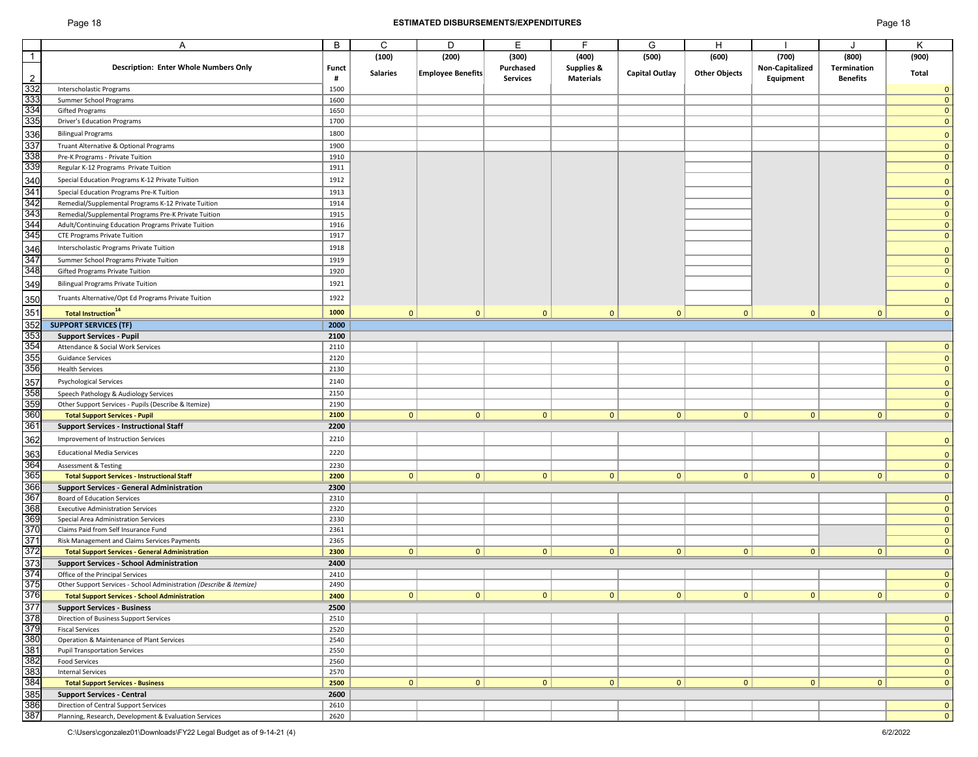# Page 18 **ESTIMATED DISBURSEMENTS/EXPENDITURES** Page 18

| ane |  | Q |
|-----|--|---|
|-----|--|---|

|                | A                                                                   | $\sf B$      | $\mathsf{C}$    | D                        | E               | F                     | G                     | H                    |                        |                    | K            |
|----------------|---------------------------------------------------------------------|--------------|-----------------|--------------------------|-----------------|-----------------------|-----------------------|----------------------|------------------------|--------------------|--------------|
| $\overline{1}$ |                                                                     |              | (100)           | (200)                    | (300)           | (400)                 | (500)                 | (600)                | (700)                  | (800)              | (900)        |
|                | <b>Description: Enter Whole Numbers Only</b>                        | <b>Funct</b> |                 |                          | Purchased       | <b>Supplies &amp;</b> |                       |                      | <b>Non-Capitalized</b> | <b>Termination</b> |              |
| $\overline{2}$ |                                                                     | #            | <b>Salaries</b> | <b>Employee Benefits</b> | <b>Services</b> | <b>Materials</b>      | <b>Capital Outlay</b> | <b>Other Objects</b> | Equipment              | <b>Benefits</b>    | Total        |
| 332            | Interscholastic Programs                                            | 1500         |                 |                          |                 |                       |                       |                      |                        |                    | $\mathbf 0$  |
| 333            | Summer School Programs                                              | 1600         |                 |                          |                 |                       |                       |                      |                        |                    | $\mathbf{0}$ |
| 334            | <b>Gifted Programs</b>                                              | 1650         |                 |                          |                 |                       |                       |                      |                        |                    | $\mathbf{0}$ |
| 335            | <b>Driver's Education Programs</b>                                  | 1700         |                 |                          |                 |                       |                       |                      |                        |                    | $\mathbf{0}$ |
|                |                                                                     |              |                 |                          |                 |                       |                       |                      |                        |                    |              |
| 336            | <b>Bilingual Programs</b>                                           | 1800         |                 |                          |                 |                       |                       |                      |                        |                    | $\mathbf 0$  |
| 337            | Truant Alternative & Optional Programs                              | 1900         |                 |                          |                 |                       |                       |                      |                        |                    | $\mathbf{0}$ |
| 338            | Pre-K Programs - Private Tuition                                    | 1910         |                 |                          |                 |                       |                       |                      |                        |                    | $\mathbf{0}$ |
| 339            | Regular K-12 Programs Private Tuition                               | 1911         |                 |                          |                 |                       |                       |                      |                        |                    | $\mathbf{0}$ |
| 340            | Special Education Programs K-12 Private Tuition                     | 1912         |                 |                          |                 |                       |                       |                      |                        |                    | $\mathbf 0$  |
| 341            | <b>Special Education Programs Pre-K Tuition</b>                     | 1913         |                 |                          |                 |                       |                       |                      |                        |                    | $\mathbf{0}$ |
| 342            | Remedial/Supplemental Programs K-12 Private Tuition                 | 1914         |                 |                          |                 |                       |                       |                      |                        |                    | $\mathbf{0}$ |
| 343            | Remedial/Supplemental Programs Pre-K Private Tuition                | 1915         |                 |                          |                 |                       |                       |                      |                        |                    | $\mathbf{0}$ |
| 344            | Adult/Continuing Education Programs Private Tuition                 | 1916         |                 |                          |                 |                       |                       |                      |                        |                    | $\mathbf{0}$ |
| 345            | <b>CTE Programs Private Tuition</b>                                 | 1917         |                 |                          |                 |                       |                       |                      |                        |                    | $\mathbf 0$  |
| 346            | Interscholastic Programs Private Tuition                            | 1918         |                 |                          |                 |                       |                       |                      |                        |                    |              |
| 347            |                                                                     |              |                 |                          |                 |                       |                       |                      |                        |                    | $\mathbf{0}$ |
| 348            | Summer School Programs Private Tuition                              | 1919         |                 |                          |                 |                       |                       |                      |                        |                    | $\mathbf{0}$ |
|                | <b>Gifted Programs Private Tuition</b>                              | 1920         |                 |                          |                 |                       |                       |                      |                        |                    | $\mathbf 0$  |
| 349            | <b>Bilingual Programs Private Tuition</b>                           | 1921         |                 |                          |                 |                       |                       |                      |                        |                    | $\mathbf 0$  |
| 350            | Truants Alternative/Opt Ed Programs Private Tuition                 | 1922         |                 |                          |                 |                       |                       |                      |                        |                    | $\mathbf 0$  |
| 351            | Total Instruction <sup>14</sup>                                     | 1000         | $\mathbf{0}$    | $\mathbf{0}$             | $\mathbf{0}$    | $\overline{0}$        | $\mathbf{0}$          | $\mathbf{0}$         | $\mathbf{0}$           | $\mathbf{0}$       | $\mathbf 0$  |
|                |                                                                     |              |                 |                          |                 |                       |                       |                      |                        |                    |              |
| 352            | <b>SUPPORT SERVICES (TF)</b>                                        | 2000         |                 |                          |                 |                       |                       |                      |                        |                    |              |
| 353            | <b>Support Services - Pupil</b>                                     | 2100         |                 |                          |                 |                       |                       |                      |                        |                    |              |
| 354            | Attendance & Social Work Services                                   | 2110         |                 |                          |                 |                       |                       |                      |                        |                    | $\mathbf 0$  |
| 355            | <b>Guidance Services</b>                                            | 2120         |                 |                          |                 |                       |                       |                      |                        |                    | $\mathbf 0$  |
| 356            | <b>Health Services</b>                                              | 2130         |                 |                          |                 |                       |                       |                      |                        |                    | $\mathbf 0$  |
| 357            | <b>Psychological Services</b>                                       | 2140         |                 |                          |                 |                       |                       |                      |                        |                    | $\mathbf 0$  |
| 358            | Speech Pathology & Audiology Services                               | 2150         |                 |                          |                 |                       |                       |                      |                        |                    | $\mathbf{0}$ |
| 359            | Other Support Services - Pupils (Describe & Itemize)                | 2190         |                 |                          |                 |                       |                       |                      |                        |                    | $\mathbf{0}$ |
| 360            | <b>Total Support Services - Pupil</b>                               | 2100         | 0               | $\mathbf{0}$             | $\overline{0}$  | $\mathbf{0}$          | $\Omega$              | 0                    | $\mathbf{0}$           | $\mathbf{0}$       | $\mathbf{0}$ |
| 361            | <b>Support Services - Instructional Staff</b>                       | 2200         |                 |                          |                 |                       |                       |                      |                        |                    |              |
| 362            | Improvement of Instruction Services                                 | 2210         |                 |                          |                 |                       |                       |                      |                        |                    | $\mathbf{0}$ |
|                |                                                                     |              |                 |                          |                 |                       |                       |                      |                        |                    |              |
| 363            | <b>Educational Media Services</b>                                   | 2220         |                 |                          |                 |                       |                       |                      |                        |                    | $\mathbf 0$  |
| 364            | <b>Assessment &amp; Testing</b>                                     | 2230         |                 |                          |                 |                       |                       |                      |                        |                    | $\mathbf 0$  |
| 365            | <b>Total Support Services - Instructional Staff</b>                 | 2200         | 0 <sup>1</sup>  | $\mathbf{0}$             | $\overline{0}$  | $\mathbf{0}$          | 0                     | 0                    | $\mathbf{0}$           | $\mathbf{0}$       | $\mathbf{0}$ |
| 366            | <b>Support Services - General Administration</b>                    | 2300         |                 |                          |                 |                       |                       |                      |                        |                    |              |
| 367            | <b>Board of Education Services</b>                                  | 2310         |                 |                          |                 |                       |                       |                      |                        |                    | $\mathbf{0}$ |
| 368            | <b>Executive Administration Services</b>                            | 2320         |                 |                          |                 |                       |                       |                      |                        |                    | $\mathbf 0$  |
| 369            | <b>Special Area Administration Services</b>                         | 2330         |                 |                          |                 |                       |                       |                      |                        |                    | $\mathbf 0$  |
| 370            | Claims Paid from Self Insurance Fund                                | 2361         |                 |                          |                 |                       |                       |                      |                        |                    | $\mathbf{0}$ |
| 371            | Risk Management and Claims Services Payments                        | 2365         |                 |                          |                 |                       |                       |                      |                        |                    | $\mathbf{0}$ |
| 372            | <b>Total Support Services - General Administration</b>              | 2300         | 0               | $\mathbf{0}$             | $\mathbf{0}$    | $\mathbf{0}$          | $\mathbf{0}$          | 0 <sup>1</sup>       | $\mathbf{0}$           | $\mathbf{0}$       | $\mathbf{0}$ |
| 373            | <b>Support Services - School Administration</b>                     | 2400         |                 |                          |                 |                       |                       |                      |                        |                    |              |
| 374            | Office of the Principal Services                                    | 2410         |                 |                          |                 |                       |                       |                      |                        |                    | $\mathbf 0$  |
| 375            | Other Support Services - School Administration (Describe & Itemize) | 2490         |                 |                          |                 |                       |                       |                      |                        |                    | $\mathbf 0$  |
| 376            | <b>Total Support Services - School Administration</b>               | 2400         | 0 <sup>1</sup>  | $\mathbf{0}$             | $\overline{0}$  | $\mathbf{0}$          | 0 <sup>1</sup>        | 0                    | $\mathbf{0}$           | $\mathbf{0}$       | $\mathbf{0}$ |
| 377            | <b>Support Services - Business</b>                                  | 2500         |                 |                          |                 |                       |                       |                      |                        |                    |              |
| 378            | Direction of Business Support Services                              | 2510         |                 |                          |                 |                       |                       |                      |                        |                    | $\mathbf{0}$ |
| 379            | <b>Fiscal Services</b>                                              | 2520         |                 |                          |                 |                       |                       |                      |                        |                    | $\mathbf 0$  |
| 380            | Operation & Maintenance of Plant Services                           | 2540         |                 |                          |                 |                       |                       |                      |                        |                    | $\mathbf{0}$ |
| 381            | <b>Pupil Transportation Services</b>                                | 2550         |                 |                          |                 |                       |                       |                      |                        |                    | $\mathbf 0$  |
| 382            | <b>Food Services</b>                                                | 2560         |                 |                          |                 |                       |                       |                      |                        |                    | $\mathbf{0}$ |
| 383            | <b>Internal Services</b>                                            | 2570         |                 |                          |                 |                       |                       |                      |                        |                    | $\mathbf{0}$ |
| 384            | <b>Total Support Services - Business</b>                            | 2500         | 0 <sup>1</sup>  | $\mathbf{0}$             | $\overline{0}$  | $\mathbf{0}$          | $\Omega$              | $\mathbf{0}$         | $\mathbf{0}$           | $\mathbf{0}$       | $\mathbf{0}$ |
| 385            | <b>Support Services - Central</b>                                   | 2600         |                 |                          |                 |                       |                       |                      |                        |                    |              |
| 386            | Direction of Central Support Services                               | 2610         |                 |                          |                 |                       |                       |                      |                        |                    | $\mathbf{0}$ |
| 387            | Planning, Research, Development & Evaluation Services               | 2620         |                 |                          |                 |                       |                       |                      |                        |                    | $\mathbf{0}$ |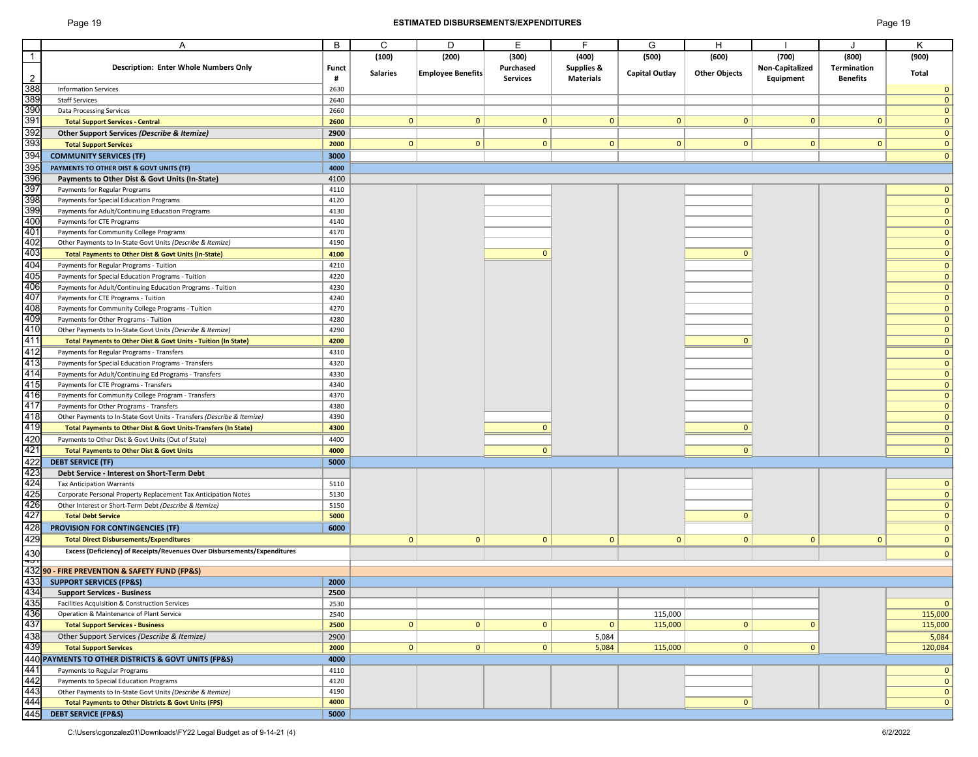# Page 19 **ESTIMATED DISBURSEMENTS/EXPENDITURES** Page 19

|                                                      | A                                                                                                        | B     | C               | D                        | E               | E                     | G                     | H                    |                        |                 | Κ            |
|------------------------------------------------------|----------------------------------------------------------------------------------------------------------|-------|-----------------|--------------------------|-----------------|-----------------------|-----------------------|----------------------|------------------------|-----------------|--------------|
| $\overline{1}$                                       |                                                                                                          |       | (100)           | (200)                    | (300)           | (400)                 | (500)                 | (600)                | (700)                  | (800)           | (900)        |
|                                                      | <b>Description: Enter Whole Numbers Only</b>                                                             | Funct |                 |                          | Purchased       | <b>Supplies &amp;</b> |                       |                      | <b>Non-Capitalized</b> | Termination     |              |
| $\overline{2}$                                       |                                                                                                          | #     | <b>Salaries</b> | <b>Employee Benefits</b> | <b>Services</b> | <b>Materials</b>      | <b>Capital Outlay</b> | <b>Other Objects</b> | Equipment              | <b>Benefits</b> | Total        |
| 388                                                  | <b>Information Services</b>                                                                              | 2630  |                 |                          |                 |                       |                       |                      |                        |                 | 0            |
|                                                      | <b>Staff Services</b>                                                                                    | 2640  |                 |                          |                 |                       |                       |                      |                        |                 |              |
|                                                      | <b>Data Processing Services</b>                                                                          | 2660  |                 |                          |                 |                       |                       |                      |                        |                 |              |
|                                                      | <b>Total Support Services - Central</b>                                                                  | 2600  | $\mathbf{0}$    | $\mathbf{0}$             | $\mathbf{0}$    | $\mathbf{0}$          | $\mathbf{0}$          | $\mathbf{0}$         | $\mathbf{0}$           | $\mathbf{0}$    |              |
|                                                      | Other Support Services (Describe & Itemize)                                                              | 2900  |                 |                          |                 |                       |                       |                      |                        |                 | $\mathbf 0$  |
| 392<br>393                                           | <b>Total Support Services</b>                                                                            | 2000  | $\mathbf{0}$    | $\mathbf{0}$             | $\mathbf{0}$    | $\mathbf 0$           | $\mathbf{0}$          | $\mathbf{0}$         | $\mathbf{0}$           | $\mathbf{0}$    | 0            |
| 394                                                  |                                                                                                          |       |                 |                          |                 |                       |                       |                      |                        |                 | $\Omega$     |
|                                                      | <b>COMMUNITY SERVICES (TF)</b>                                                                           | 3000  |                 |                          |                 |                       |                       |                      |                        |                 |              |
| 395                                                  | PAYMENTS TO OTHER DIST & GOVT UNITS (TF)                                                                 | 4000  |                 |                          |                 |                       |                       |                      |                        |                 |              |
| 396                                                  | Payments to Other Dist & Govt Units (In-State)                                                           | 4100  |                 |                          |                 |                       |                       |                      |                        |                 |              |
| 397                                                  | Payments for Regular Programs                                                                            | 4110  |                 |                          |                 |                       |                       |                      |                        |                 |              |
| 398                                                  | Payments for Special Education Programs                                                                  | 4120  |                 |                          |                 |                       |                       |                      |                        |                 | $\Omega$     |
| 399                                                  | Payments for Adult/Continuing Education Programs                                                         | 4130  |                 |                          |                 |                       |                       |                      |                        |                 | $\mathbf{0}$ |
| 400                                                  | Payments for CTE Programs                                                                                | 4140  |                 |                          |                 |                       |                       |                      |                        |                 | $\mathbf{0}$ |
| 401                                                  | Payments for Community College Programs                                                                  | 4170  |                 |                          |                 |                       |                       |                      |                        |                 | $\mathbf{0}$ |
| 402                                                  | Other Payments to In-State Govt Units (Describe & Itemize)                                               | 4190  |                 |                          |                 |                       |                       |                      |                        |                 | 0            |
| 403                                                  | <b>Total Payments to Other Dist &amp; Govt Units (In-State)</b>                                          | 4100  |                 |                          | $\Omega$        |                       |                       | <sup>0</sup>         |                        |                 | 0            |
| 404                                                  | Payments for Regular Programs - Tuition                                                                  | 4210  |                 |                          |                 |                       |                       |                      |                        |                 | $\Omega$     |
| 405                                                  | Payments for Special Education Programs - Tuition                                                        | 4220  |                 |                          |                 |                       |                       |                      |                        |                 | $\Omega$     |
| 406                                                  | Payments for Adult/Continuing Education Programs - Tuition                                               | 4230  |                 |                          |                 |                       |                       |                      |                        |                 | $\mathbf{0}$ |
| 407                                                  | Payments for CTE Programs - Tuition                                                                      | 4240  |                 |                          |                 |                       |                       |                      |                        |                 | 0            |
| 408                                                  | Payments for Community College Programs - Tuition                                                        | 4270  |                 |                          |                 |                       |                       |                      |                        |                 |              |
| 409                                                  | Payments for Other Programs - Tuition                                                                    | 4280  |                 |                          |                 |                       |                       |                      |                        |                 |              |
| 410                                                  | Other Payments to In-State Govt Units (Describe & Itemize)                                               | 4290  |                 |                          |                 |                       |                       |                      |                        |                 |              |
| 411                                                  | Total Payments to Other Dist & Govt Units - Tuition (In State)                                           | 4200  |                 |                          |                 |                       |                       |                      |                        |                 |              |
| 412                                                  | Payments for Regular Programs - Transfers                                                                | 4310  |                 |                          |                 |                       |                       |                      |                        |                 | 0            |
| 413                                                  | Payments for Special Education Programs - Transfers                                                      | 4320  |                 |                          |                 |                       |                       |                      |                        |                 |              |
|                                                      | Payments for Adult/Continuing Ed Programs - Transfers                                                    | 4330  |                 |                          |                 |                       |                       |                      |                        |                 |              |
| $\frac{414}{415}$                                    | Payments for CTE Programs - Transfers                                                                    | 4340  |                 |                          |                 |                       |                       |                      |                        |                 |              |
|                                                      | Payments for Community College Program - Transfers                                                       | 4370  |                 |                          |                 |                       |                       |                      |                        |                 |              |
| 417                                                  | Payments for Other Programs - Transfers                                                                  | 4380  |                 |                          |                 |                       |                       |                      |                        |                 |              |
| 418                                                  | Other Payments to In-State Govt Units - Transfers (Describe & Itemize)                                   | 4390  |                 |                          |                 |                       |                       |                      |                        |                 |              |
| 419                                                  | Total Payments to Other Dist & Govt Units-Transfers (In State)                                           | 4300  |                 |                          |                 |                       |                       |                      |                        |                 | $\mathbf{0}$ |
|                                                      | Payments to Other Dist & Govt Units (Out of State)                                                       | 4400  |                 |                          |                 |                       |                       |                      |                        |                 | 0            |
|                                                      | <b>Total Payments to Other Dist &amp; Govt Units</b>                                                     |       |                 |                          |                 |                       |                       | $\mathbf{0}$         |                        |                 |              |
|                                                      |                                                                                                          | 4000  |                 |                          | $\sigma$        |                       |                       |                      |                        |                 |              |
|                                                      | <b>DEBT SERVICE (TF)</b>                                                                                 | 5000  |                 |                          |                 |                       |                       |                      |                        |                 |              |
| 420<br>421<br>422<br>423<br>425<br>426<br>427<br>428 | Debt Service - Interest on Short-Term Debt                                                               |       |                 |                          |                 |                       |                       |                      |                        |                 |              |
|                                                      | <b>Tax Anticipation Warrants</b>                                                                         | 5110  |                 |                          |                 |                       |                       |                      |                        |                 |              |
|                                                      | Corporate Personal Property Replacement Tax Anticipation Notes                                           | 5130  |                 |                          |                 |                       |                       |                      |                        |                 |              |
|                                                      | Other Interest or Short-Term Debt (Describe & Itemize)                                                   | 5150  |                 |                          |                 |                       |                       |                      |                        |                 |              |
|                                                      | <b>Total Debt Service</b>                                                                                | 5000  |                 |                          |                 |                       |                       |                      |                        |                 | 0            |
|                                                      | <b>PROVISION FOR CONTINGENCIES (TF)</b>                                                                  | 6000  |                 |                          |                 |                       |                       |                      |                        |                 | 0            |
| 429                                                  | <b>Total Direct Disbursements/Expenditures</b>                                                           |       | $\mathbf{0}$    | $\mathbf{0}$             | $\mathbf{0}$    | $\mathbf{0}$          | $\Omega$              | $\mathbf{0}$         | $\mathbf{0}$           | $\mathbf{0}$    | $\mathbf{0}$ |
|                                                      | Excess (Deficiency) of Receipts/Revenues Over Disbursements/Expenditures                                 |       |                 |                          |                 |                       |                       |                      |                        |                 | $\mathbf{0}$ |
|                                                      | 425<br>430 Excess (Deficiency) of Receipts/Revenues Ove<br>432 90 - FIRE PREVENTION & SAFETY FUND (FP&S) |       |                 |                          |                 |                       |                       |                      |                        |                 |              |
|                                                      |                                                                                                          |       |                 |                          |                 |                       |                       |                      |                        |                 |              |
| 433                                                  | <b>SUPPORT SERVICES (FP&amp;S)</b>                                                                       | 2000  |                 |                          |                 |                       |                       |                      |                        |                 |              |
| 434                                                  | <b>Support Services - Business</b>                                                                       | 2500  |                 |                          |                 |                       |                       |                      |                        |                 |              |
| 435                                                  | Facilities Acquisition & Construction Services                                                           | 2530  |                 |                          |                 |                       |                       |                      |                        |                 | $\mathbf{0}$ |
| 436                                                  | Operation & Maintenance of Plant Service                                                                 | 2540  |                 |                          |                 |                       | 115,000               |                      |                        |                 | 115,000      |
| 437                                                  | <b>Total Support Services - Business</b>                                                                 | 2500  | $\mathbf{0}$    | $\overline{0}$           | $\mathbf{0}$    | $\Omega$              | 115,000               | $\Omega$             | $\Omega$               |                 | 115,000      |
| 438                                                  | Other Support Services (Describe & Itemize)                                                              | 2900  |                 |                          |                 | 5,084                 |                       |                      |                        |                 | 5,084        |
| 439                                                  | <b>Total Support Services</b>                                                                            | 2000  | $\mathbf{0}$    | $\mathbf{0}$             | $\mathbf{0}$    | 5,084                 | 115,000               | $\mathbf{0}$         | $\mathbf{0}$           |                 | 120,084      |
|                                                      | 440 PAYMENTS TO OTHER DISTRICTS & GOVT UNITS (FP&S)                                                      | 4000  |                 |                          |                 |                       |                       |                      |                        |                 |              |
| 441                                                  | Payments to Regular Programs                                                                             | 4110  |                 |                          |                 |                       |                       |                      |                        |                 |              |
| 442                                                  | Payments to Special Education Programs                                                                   | 4120  |                 |                          |                 |                       |                       |                      |                        |                 |              |
| 443                                                  | Other Payments to In-State Govt Units (Describe & Itemize)                                               | 4190  |                 |                          |                 |                       |                       |                      |                        |                 |              |
| 444                                                  | <b>Total Payments to Other Districts &amp; Govt Units (FPS)</b>                                          | 4000  |                 |                          |                 |                       |                       | $\mathbf{0}$         |                        |                 | $\mathbf{0}$ |
| 445                                                  | <b>DEBT SERVICE (FP&amp;S)</b>                                                                           | 5000  |                 |                          |                 |                       |                       |                      |                        |                 |              |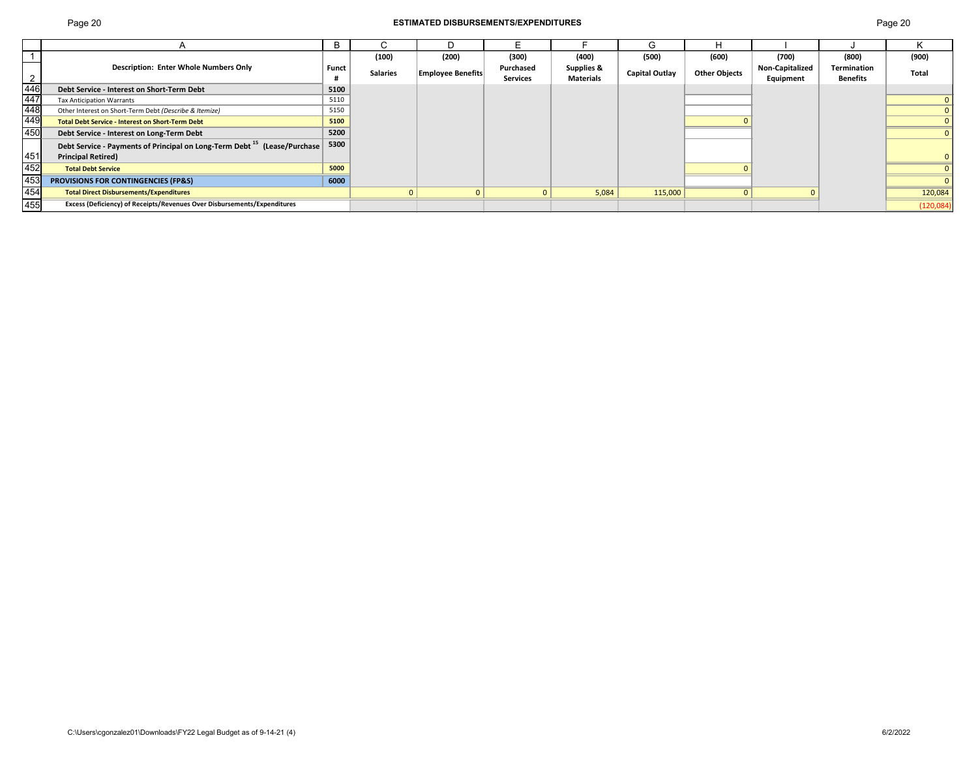# Page 20 **ESTIMATED DISBURSEMENTS/EXPENDITURES** Page 20

|                                         |                                                                                      |              |                 |                          |                 |                       | G                     |                      |                        |                 |            |
|-----------------------------------------|--------------------------------------------------------------------------------------|--------------|-----------------|--------------------------|-----------------|-----------------------|-----------------------|----------------------|------------------------|-----------------|------------|
|                                         |                                                                                      |              | (100)           | (200)                    | (300)           | (400)                 | (500)                 | (600)                | (700)                  | (800)           | (900)      |
|                                         | <b>Description: Enter Whole Numbers Only</b>                                         | <b>Funct</b> | <b>Salaries</b> | <b>Employee Benefits</b> | Purchased       | <b>Supplies &amp;</b> | <b>Capital Outlay</b> | <b>Other Objects</b> | <b>Non-Capitalized</b> | Termination     | Total      |
| $\overline{2}$                          |                                                                                      |              |                 |                          | <b>Services</b> | <b>Materials</b>      |                       |                      | Equipment              | <b>Benefits</b> |            |
|                                         | Debt Service - Interest on Short-Term Debt                                           | 5100         |                 |                          |                 |                       |                       |                      |                        |                 |            |
|                                         | <b>Tax Anticipation Warrants</b>                                                     | 5110         |                 |                          |                 |                       |                       |                      |                        |                 |            |
|                                         | Other Interest on Short-Term Debt (Describe & Itemize)                               | 5150         |                 |                          |                 |                       |                       |                      |                        |                 |            |
| $\frac{\frac{2}{446}}{\frac{447}{448}}$ | <b>Total Debt Service - Interest on Short-Term Debt</b>                              | 5100         |                 |                          |                 |                       |                       |                      |                        |                 |            |
| 450                                     | Debt Service - Interest on Long-Term Debt                                            | 5200         |                 |                          |                 |                       |                       |                      |                        |                 |            |
|                                         | Debt Service - Payments of Principal on Long-Term Debt <sup>15</sup> (Lease/Purchase | 5300         |                 |                          |                 |                       |                       |                      |                        |                 |            |
| 451                                     | <b>Principal Retired)</b>                                                            |              |                 |                          |                 |                       |                       |                      |                        |                 |            |
| 452                                     | <b>Total Debt Service</b>                                                            | 5000         |                 |                          |                 |                       |                       |                      |                        |                 |            |
| 453                                     | <b>PROVISIONS FOR CONTINGENCIES (FP&amp;S)</b>                                       | 6000         |                 |                          |                 |                       |                       |                      |                        |                 |            |
| 454                                     | <b>Total Direct Disbursements/Expenditures</b>                                       |              |                 |                          | $\Omega$        | 5,084                 | 115,000               |                      |                        |                 | 120,084    |
| 455                                     | Excess (Deficiency) of Receipts/Revenues Over Disbursements/Expenditures             |              |                 |                          |                 |                       |                       |                      |                        |                 | (120, 084) |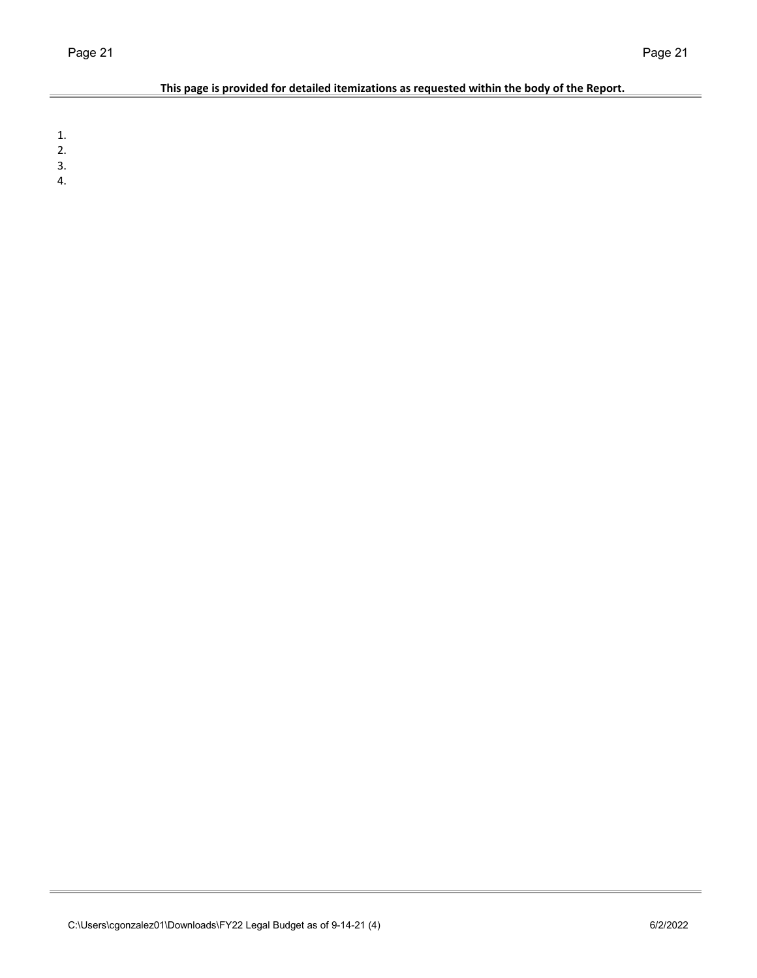÷.

## **This page is provided for detailed itemizations as requested within the body of the Report.**

1.

- 2.
- 3.
- 4.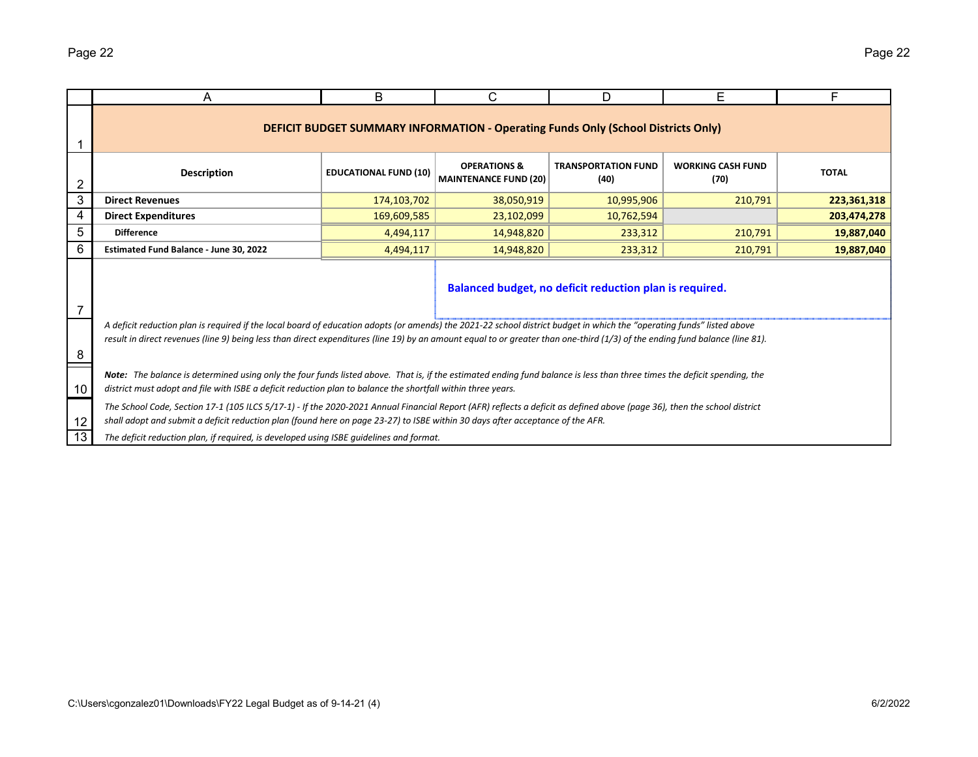|    | A                                                                                                                                                                                                                                                                                                                                                      | B           | C                                                                                        | D          | Е       | F           |  |  |  |  |  |
|----|--------------------------------------------------------------------------------------------------------------------------------------------------------------------------------------------------------------------------------------------------------------------------------------------------------------------------------------------------------|-------------|------------------------------------------------------------------------------------------|------------|---------|-------------|--|--|--|--|--|
|    |                                                                                                                                                                                                                                                                                                                                                        |             | <b>DEFICIT BUDGET SUMMARY INFORMATION - Operating Funds Only (School Districts Only)</b> |            |         |             |  |  |  |  |  |
| 2  | <b>OPERATIONS &amp;</b><br><b>TRANSPORTATION FUND</b><br><b>WORKING CASH FUND</b><br><b>Description</b><br><b>TOTAL</b><br><b>EDUCATIONAL FUND (10)</b><br><b>MAINTENANCE FUND (20)</b><br>(40)<br>(70)                                                                                                                                                |             |                                                                                          |            |         |             |  |  |  |  |  |
| 3  | <b>Direct Revenues</b>                                                                                                                                                                                                                                                                                                                                 | 174,103,702 | 38,050,919                                                                               | 10,995,906 | 210,791 | 223,361,318 |  |  |  |  |  |
| 4  | <b>Direct Expenditures</b>                                                                                                                                                                                                                                                                                                                             | 169,609,585 | 23,102,099                                                                               | 10,762,594 |         | 203,474,278 |  |  |  |  |  |
| 5  | <b>Difference</b>                                                                                                                                                                                                                                                                                                                                      | 4,494,117   | 14.948.820                                                                               | 233,312    | 210,791 | 19,887,040  |  |  |  |  |  |
| 6  | Estimated Fund Balance - June 30, 2022                                                                                                                                                                                                                                                                                                                 | 4,494,117   | 14,948,820                                                                               | 233,312    | 210,791 | 19,887,040  |  |  |  |  |  |
| 7  | Balanced budget, no deficit reduction plan is required.                                                                                                                                                                                                                                                                                                |             |                                                                                          |            |         |             |  |  |  |  |  |
| 8  | A deficit reduction plan is required if the local board of education adopts (or amends) the 2021-22 school district budget in which the "operating funds" listed above<br>result in direct revenues (line 9) being less than direct expenditures (line 19) by an amount equal to or greater than one-third (1/3) of the ending fund balance (line 81). |             |                                                                                          |            |         |             |  |  |  |  |  |
| 10 | Note: The balance is determined using only the four funds listed above. That is, if the estimated ending fund balance is less than three times the deficit spending, the<br>district must adopt and file with ISBE a deficit reduction plan to balance the shortfall within three years.                                                               |             |                                                                                          |            |         |             |  |  |  |  |  |
| 12 | The School Code, Section 17-1 (105 ILCS 5/17-1) - If the 2020-2021 Annual Financial Report (AFR) reflects a deficit as defined above (page 36), then the school district<br>shall adopt and submit a deficit reduction plan (found here on page 23-27) to ISBE within 30 days after acceptance of the AFR.                                             |             |                                                                                          |            |         |             |  |  |  |  |  |
| 13 | The deficit reduction plan, if required, is developed using ISBE quidelines and format.                                                                                                                                                                                                                                                                |             |                                                                                          |            |         |             |  |  |  |  |  |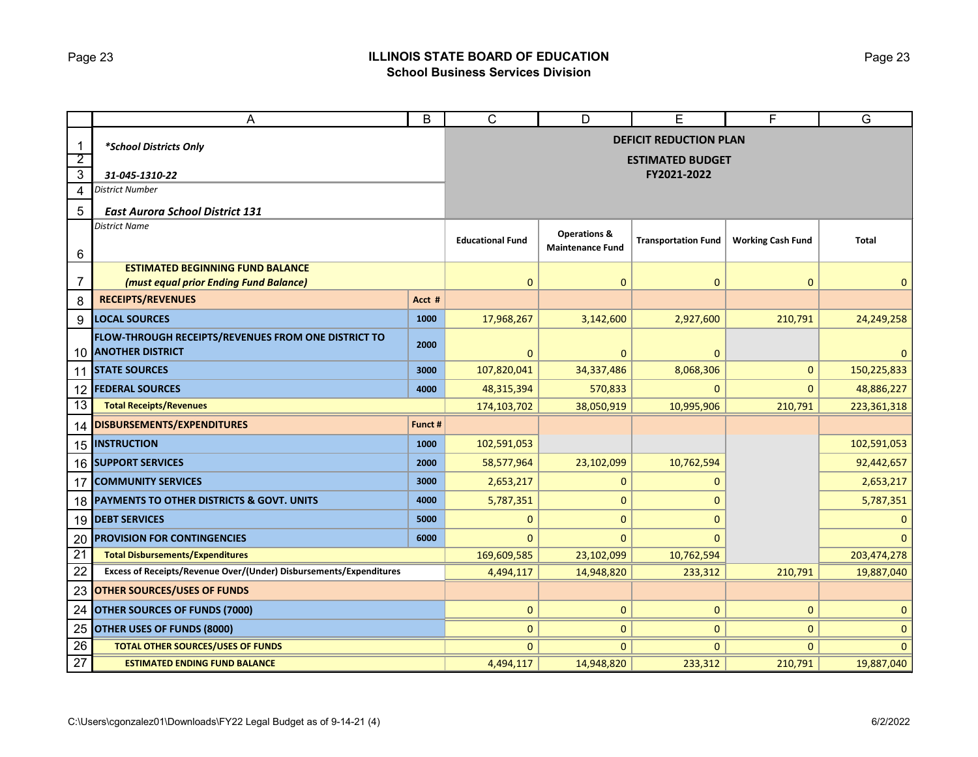### Page 23 **ILLINOIS STATE BOARD OF EDUCATION School Business Services Division**

|                                | A                                                                          | B                       | C                                                        | D                          | Е                        | F            | $\overline{G}$ |  |
|--------------------------------|----------------------------------------------------------------------------|-------------------------|----------------------------------------------------------|----------------------------|--------------------------|--------------|----------------|--|
| $\mathbf{1}$<br>$\overline{2}$ | *School Districts Only                                                     |                         | <b>DEFICIT REDUCTION PLAN</b><br><b>ESTIMATED BUDGET</b> |                            |                          |              |                |  |
| 3                              | 31-045-1310-22                                                             |                         |                                                          | FY2021-2022                |                          |              |                |  |
| 4                              | <b>District Number</b>                                                     |                         |                                                          |                            |                          |              |                |  |
| 5                              | <b>East Aurora School District 131</b>                                     |                         |                                                          |                            |                          |              |                |  |
| 6                              | <b>District Name</b>                                                       | <b>Educational Fund</b> | <b>Operations &amp;</b><br><b>Maintenance Fund</b>       | <b>Transportation Fund</b> | <b>Working Cash Fund</b> | <b>Total</b> |                |  |
|                                | <b>ESTIMATED BEGINNING FUND BALANCE</b>                                    |                         |                                                          |                            |                          |              |                |  |
| 7                              | (must equal prior Ending Fund Balance)                                     |                         | $\mathbf{0}$                                             | $\mathbf{0}$               | $\overline{0}$           | $\mathbf{0}$ | $\mathbf{0}$   |  |
| 8                              | <b>RECEIPTS/REVENUES</b>                                                   | Acct #                  |                                                          |                            |                          |              |                |  |
| 9                              | <b>LOCAL SOURCES</b>                                                       | 1000                    | 17,968,267                                               | 3,142,600                  | 2,927,600                | 210,791      | 24,249,258     |  |
|                                | FLOW-THROUGH RECEIPTS/REVENUES FROM ONE DISTRICT TO<br>10 ANOTHER DISTRICT | 2000                    | 0                                                        | 0                          | $\mathbf 0$              |              | $\mathbf{0}$   |  |
|                                | 11 STATE SOURCES                                                           | 3000                    | 107,820,041                                              | 34,337,486                 | 8,068,306                | $\mathbf{0}$ | 150,225,833    |  |
| 12                             | <b>FEDERAL SOURCES</b>                                                     | 4000                    | 48,315,394                                               | 570,833                    | 0                        | $\mathbf{0}$ | 48,886,227     |  |
| 13                             | <b>Total Receipts/Revenues</b>                                             |                         | 174,103,702                                              | 38,050,919                 | 10,995,906               | 210,791      | 223,361,318    |  |
| 14                             | <b>DISBURSEMENTS/EXPENDITURES</b>                                          | Funct #                 |                                                          |                            |                          |              |                |  |
| 15                             | <b>INSTRUCTION</b>                                                         | 1000                    | 102,591,053                                              |                            |                          |              | 102,591,053    |  |
|                                | <b>16 SUPPORT SERVICES</b>                                                 | 2000                    | 58,577,964                                               | 23,102,099                 | 10,762,594               |              | 92,442,657     |  |
| 17                             | <b>COMMUNITY SERVICES</b>                                                  | 3000                    | 2,653,217                                                | 0                          | 0                        |              | 2,653,217      |  |
| 18                             | <b>PAYMENTS TO OTHER DISTRICTS &amp; GOVT. UNITS</b>                       | 4000                    | 5,787,351                                                | $\overline{0}$             | $\Omega$                 |              | 5,787,351      |  |
| 19                             | <b>DEBT SERVICES</b>                                                       | 5000                    | 0                                                        | 0                          | $\Omega$                 |              | $\mathbf 0$    |  |
| 20                             | <b>PROVISION FOR CONTINGENCIES</b>                                         | 6000                    | 0                                                        | 0                          | $\Omega$                 |              | $\Omega$       |  |
| $\overline{21}$                | <b>Total Disbursements/Expenditures</b>                                    |                         | 169,609,585                                              | 23,102,099                 | 10,762,594               |              | 203,474,278    |  |
| 22                             | Excess of Receipts/Revenue Over/(Under) Disbursements/Expenditures         |                         | 4,494,117                                                | 14,948,820                 | 233,312                  | 210,791      | 19,887,040     |  |
| 23                             | <b>OTHER SOURCES/USES OF FUNDS</b>                                         |                         |                                                          |                            |                          |              |                |  |
| 24                             | <b>OTHER SOURCES OF FUNDS (7000)</b>                                       | 0                       | $\mathbf{0}$                                             | 0                          | $\mathbf{0}$             | $\mathbf{0}$ |                |  |
| 25                             | OTHER USES OF FUNDS (8000)                                                 |                         | 0                                                        | 0                          | 0                        | $\mathbf{0}$ | $\mathbf 0$    |  |
| 26                             | <b>TOTAL OTHER SOURCES/USES OF FUNDS</b>                                   |                         | $\Omega$                                                 | $\Omega$                   | $\mathbf{0}$             | $\Omega$     | $\mathbf{0}$   |  |
| 27                             | <b>ESTIMATED ENDING FUND BALANCE</b>                                       | 4,494,117               | 14,948,820                                               | 233,312                    | 210,791                  | 19,887,040   |                |  |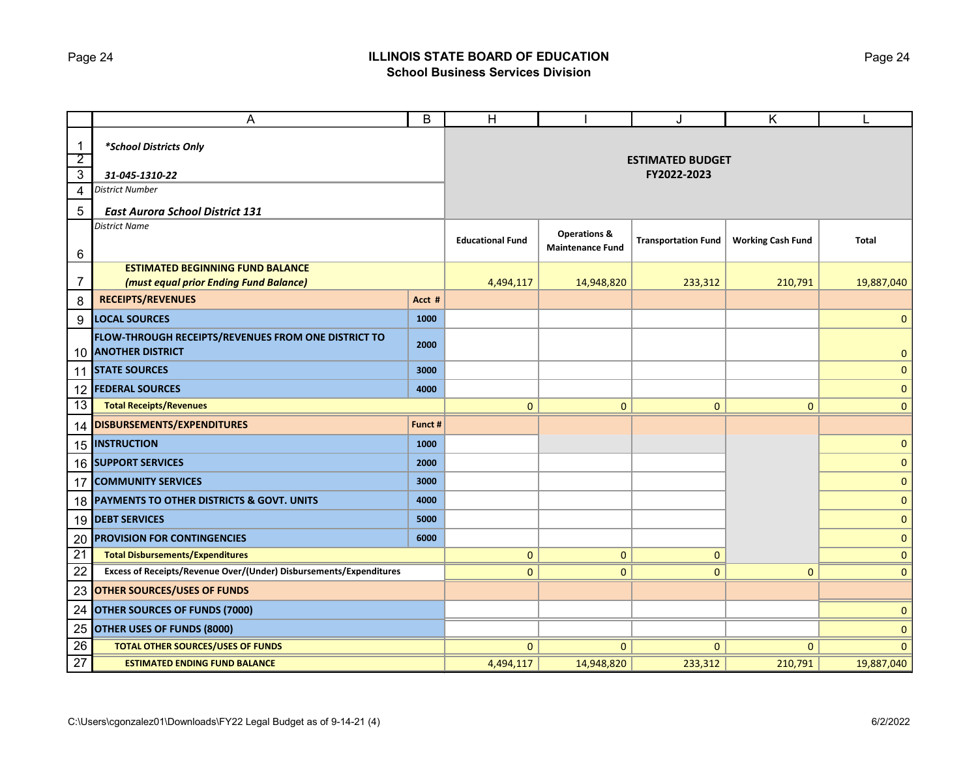### Page 24 **ILLINOIS STATE BOARD OF EDUCATION School Business Services Division**

|                                  | A                                                                          | B                       | $\mathsf{H}$                                       |                            | J                        | Κ            |              |  |
|----------------------------------|----------------------------------------------------------------------------|-------------------------|----------------------------------------------------|----------------------------|--------------------------|--------------|--------------|--|
| $\mathbf 1$                      | *School Districts Only                                                     |                         |                                                    |                            |                          |              |              |  |
| $\overline{2}$<br>$\overline{3}$ | 31-045-1310-22                                                             |                         | <b>ESTIMATED BUDGET</b><br>FY2022-2023             |                            |                          |              |              |  |
| 4                                | <b>District Number</b>                                                     |                         |                                                    |                            |                          |              |              |  |
| 5                                | <b>East Aurora School District 131</b>                                     |                         |                                                    |                            |                          |              |              |  |
| 6                                | <b>District Name</b>                                                       | <b>Educational Fund</b> | <b>Operations &amp;</b><br><b>Maintenance Fund</b> | <b>Transportation Fund</b> | <b>Working Cash Fund</b> | <b>Total</b> |              |  |
|                                  | <b>ESTIMATED BEGINNING FUND BALANCE</b>                                    |                         |                                                    |                            |                          |              |              |  |
| 7                                | (must equal prior Ending Fund Balance)                                     |                         | 4,494,117                                          | 14,948,820                 | 233,312                  | 210,791      | 19,887,040   |  |
| 8                                | <b>RECEIPTS/REVENUES</b>                                                   | Acct #                  |                                                    |                            |                          |              |              |  |
| 9                                | <b>LOCAL SOURCES</b>                                                       | 1000                    |                                                    |                            |                          |              | $\mathbf 0$  |  |
|                                  | FLOW-THROUGH RECEIPTS/REVENUES FROM ONE DISTRICT TO<br>10 ANOTHER DISTRICT | 2000                    |                                                    |                            |                          |              | $\mathbf{0}$ |  |
|                                  | 11 STATE SOURCES                                                           | 3000                    |                                                    |                            |                          |              | $\mathbf 0$  |  |
| 12                               | <b>FEDERAL SOURCES</b>                                                     | 4000                    |                                                    |                            |                          |              | $\mathbf{0}$ |  |
| 13                               | <b>Total Receipts/Revenues</b>                                             |                         | 0                                                  | $\mathbf{0}$               | 0                        | $\mathbf{0}$ | $\mathbf{0}$ |  |
|                                  | 14 DISBURSEMENTS/EXPENDITURES                                              | Funct #                 |                                                    |                            |                          |              |              |  |
|                                  | <b>15 INSTRUCTION</b>                                                      | 1000                    |                                                    |                            |                          |              | $\mathbf 0$  |  |
|                                  | 16 SUPPORT SERVICES                                                        | 2000                    |                                                    |                            |                          |              | $\mathbf 0$  |  |
| 17                               | <b>COMMUNITY SERVICES</b>                                                  | 3000                    |                                                    |                            |                          |              | $\mathbf{0}$ |  |
| 18                               | PAYMENTS TO OTHER DISTRICTS & GOVT. UNITS                                  | 4000                    |                                                    |                            |                          |              | $\mathbf 0$  |  |
|                                  | 19 DEBT SERVICES                                                           | 5000                    |                                                    |                            |                          |              | $\mathbf 0$  |  |
| 20                               | <b>PROVISION FOR CONTINGENCIES</b>                                         | 6000                    |                                                    |                            |                          |              | $\mathbf{0}$ |  |
| $\overline{21}$                  | <b>Total Disbursements/Expenditures</b>                                    |                         | 0                                                  | $\mathbf{0}$               | $\mathbf{0}$             |              | $\mathbf{0}$ |  |
| 22                               | Excess of Receipts/Revenue Over/(Under) Disbursements/Expenditures         |                         | $\mathbf{0}$                                       | $\mathbf 0$                | $\mathbf{0}$             | $\mathbf{0}$ | $\mathbf{0}$ |  |
| 23                               | <b>OTHER SOURCES/USES OF FUNDS</b>                                         |                         |                                                    |                            |                          |              |              |  |
| 24                               | <b>OTHER SOURCES OF FUNDS (7000)</b>                                       |                         |                                                    |                            |                          | $\pmb{0}$    |              |  |
| 25                               | <b>OTHER USES OF FUNDS (8000)</b>                                          |                         |                                                    |                            |                          | $\mathbf 0$  |              |  |
| 26                               | <b>TOTAL OTHER SOURCES/USES OF FUNDS</b>                                   |                         | $\mathbf{0}$                                       | $\mathbf{0}$               | $\mathbf{0}$             | $\Omega$     | $\mathbf{0}$ |  |
| $\overline{27}$                  | <b>ESTIMATED ENDING FUND BALANCE</b>                                       |                         | 4,494,117                                          | 14,948,820                 | 233,312                  | 210,791      | 19,887,040   |  |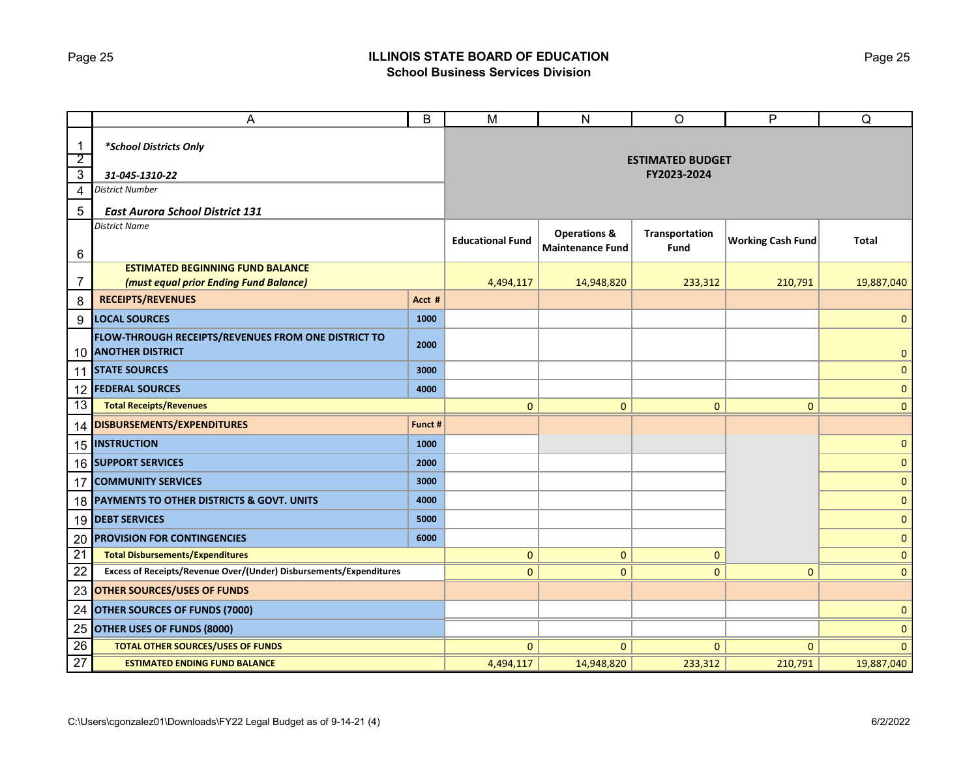### Page 25 **ILLINOIS STATE BOARD OF EDUCATION School Business Services Division**

|                                | Α                                                                          | B                       | $\overline{M}$          | ${\sf N}$                                          | $\circ$                | P                        | Q              |
|--------------------------------|----------------------------------------------------------------------------|-------------------------|-------------------------|----------------------------------------------------|------------------------|--------------------------|----------------|
| $\mathbf{1}$<br>$\overline{2}$ | *School Districts Only                                                     | <b>ESTIMATED BUDGET</b> |                         |                                                    |                        |                          |                |
| $\overline{\omega}$            | 31-045-1310-22                                                             |                         |                         |                                                    | FY2023-2024            |                          |                |
| $\overline{4}$                 | <b>District Number</b>                                                     |                         |                         |                                                    |                        |                          |                |
| 5                              | <b>East Aurora School District 131</b>                                     |                         |                         |                                                    |                        |                          |                |
| 6                              | <b>District Name</b>                                                       |                         | <b>Educational Fund</b> | <b>Operations &amp;</b><br><b>Maintenance Fund</b> | Transportation<br>Fund | <b>Working Cash Fund</b> | <b>Total</b>   |
|                                | <b>ESTIMATED BEGINNING FUND BALANCE</b>                                    |                         |                         |                                                    |                        |                          |                |
| $\overline{7}$                 | (must equal prior Ending Fund Balance)                                     |                         | 4,494,117               | 14,948,820                                         | 233,312                | 210,791                  | 19,887,040     |
| 8                              | <b>RECEIPTS/REVENUES</b>                                                   | Acct #                  |                         |                                                    |                        |                          |                |
| 9                              | <b>LOCAL SOURCES</b>                                                       | 1000                    |                         |                                                    |                        |                          | $\mathbf 0$    |
|                                | FLOW-THROUGH RECEIPTS/REVENUES FROM ONE DISTRICT TO<br>10 ANOTHER DISTRICT | 2000                    |                         |                                                    |                        |                          | $\mathbf{0}$   |
|                                | <b>11 STATE SOURCES</b>                                                    | 3000                    |                         |                                                    |                        |                          | $\mathbf{0}$   |
| 12                             | <b>FEDERAL SOURCES</b>                                                     | 4000                    |                         |                                                    |                        |                          | $\mathbf{0}$   |
| 13                             | <b>Total Receipts/Revenues</b>                                             |                         | $\mathbf{0}$            | $\mathbf{0}$                                       | $\mathbf{0}$           | $\mathbf{0}$             | $\overline{0}$ |
|                                | 14 DISBURSEMENTS/EXPENDITURES                                              | Funct #                 |                         |                                                    |                        |                          |                |
|                                | <b>15 INSTRUCTION</b>                                                      | 1000                    |                         |                                                    |                        |                          | $\mathbf{0}$   |
|                                | 16 SUPPORT SERVICES                                                        | 2000                    |                         |                                                    |                        |                          | $\mathbf 0$    |
| 17                             | <b>COMMUNITY SERVICES</b>                                                  | 3000                    |                         |                                                    |                        |                          | $\mathbf 0$    |
|                                | 18 PAYMENTS TO OTHER DISTRICTS & GOVT. UNITS                               | 4000                    |                         |                                                    |                        |                          | $\pmb{0}$      |
|                                | 19 DEBT SERVICES                                                           | 5000                    |                         |                                                    |                        |                          | $\mathbf 0$    |
| 20                             | <b>PROVISION FOR CONTINGENCIES</b>                                         | 6000                    |                         |                                                    |                        |                          | $\pmb{0}$      |
| 21                             | <b>Total Disbursements/Expenditures</b>                                    |                         | 0                       | $\mathbf{0}$                                       | $\mathbf{0}$           |                          | $\mathbf 0$    |
| 22                             | Excess of Receipts/Revenue Over/(Under) Disbursements/Expenditures         |                         | $\overline{0}$          | $\mathbf{0}$                                       | $\mathbf{0}$           | $\mathbf{0}$             | $\mathbf{0}$   |
| 23                             | <b>OTHER SOURCES/USES OF FUNDS</b>                                         |                         |                         |                                                    |                        |                          |                |
| 24                             | <b>OTHER SOURCES OF FUNDS (7000)</b>                                       |                         |                         |                                                    |                        | $\mathbf{0}$             |                |
| 25                             | <b>OTHER USES OF FUNDS (8000)</b>                                          |                         |                         |                                                    |                        |                          | $\mathbf 0$    |
| 26                             | <b>TOTAL OTHER SOURCES/USES OF FUNDS</b>                                   |                         | $\mathbf{0}$            | $\mathbf{0}$                                       | $\mathbf{0}$           | $\Omega$                 | $\mathbf{0}$   |
| 27                             | <b>ESTIMATED ENDING FUND BALANCE</b>                                       | 4,494,117               | 14,948,820              | 233,312                                            | 210,791                | 19,887,040               |                |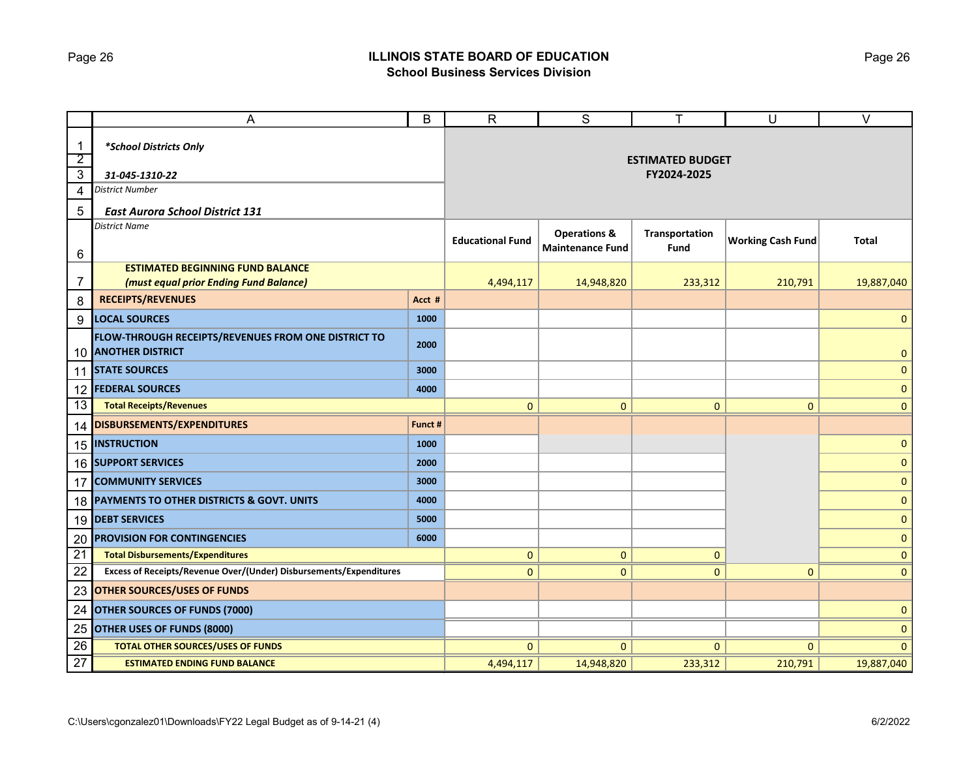### Page 26 **ILLINOIS STATE BOARD OF EDUCATION School Business Services Division**

|                                | A                                                                                 | B                       | $\mathsf{R}$            | S                                                  | T                      | $\cup$                   | $\overline{\vee}$ |
|--------------------------------|-----------------------------------------------------------------------------------|-------------------------|-------------------------|----------------------------------------------------|------------------------|--------------------------|-------------------|
| $\mathbf{1}$<br>$\overline{2}$ | *School Districts Only                                                            | <b>ESTIMATED BUDGET</b> |                         |                                                    |                        |                          |                   |
| $\overline{3}$                 | 31-045-1310-22                                                                    |                         |                         |                                                    | FY2024-2025            |                          |                   |
| $\overline{4}$                 | <b>District Number</b>                                                            |                         |                         |                                                    |                        |                          |                   |
| 5                              | <b>East Aurora School District 131</b>                                            |                         |                         |                                                    |                        |                          |                   |
| 6                              | <b>District Name</b>                                                              |                         | <b>Educational Fund</b> | <b>Operations &amp;</b><br><b>Maintenance Fund</b> | Transportation<br>Fund | <b>Working Cash Fund</b> | <b>Total</b>      |
|                                | <b>ESTIMATED BEGINNING FUND BALANCE</b>                                           |                         |                         |                                                    |                        |                          |                   |
| 7                              | (must equal prior Ending Fund Balance)                                            |                         | 4,494,117               | 14,948,820                                         | 233,312                | 210,791                  | 19,887,040        |
| 8                              | <b>RECEIPTS/REVENUES</b>                                                          | Acct #                  |                         |                                                    |                        |                          |                   |
| 9                              | <b>LOCAL SOURCES</b>                                                              | 1000                    |                         |                                                    |                        |                          | $\mathbf 0$       |
|                                | FLOW-THROUGH RECEIPTS/REVENUES FROM ONE DISTRICT TO<br><b>10 ANOTHER DISTRICT</b> | 2000                    |                         |                                                    |                        |                          | $\mathbf{0}$      |
|                                | <b>11 STATE SOURCES</b>                                                           | 3000                    |                         |                                                    |                        |                          | $\mathbf 0$       |
| 12                             | <b>FEDERAL SOURCES</b>                                                            | 4000                    |                         |                                                    |                        |                          | $\mathbf{0}$      |
| 13                             | <b>Total Receipts/Revenues</b>                                                    |                         | $\mathbf{0}$            | $\overline{0}$                                     | $\mathbf{0}$           | $\mathbf{0}$             | $\overline{0}$    |
|                                | 14 DISBURSEMENTS/EXPENDITURES                                                     | Funct #                 |                         |                                                    |                        |                          |                   |
|                                | 15  INSTRUCTION                                                                   | 1000                    |                         |                                                    |                        |                          | $\mathbf{0}$      |
|                                | 16 SUPPORT SERVICES                                                               | 2000                    |                         |                                                    |                        |                          | $\mathbf 0$       |
| 17                             | <b>COMMUNITY SERVICES</b>                                                         | 3000                    |                         |                                                    |                        |                          | $\mathbf 0$       |
| 18                             | PAYMENTS TO OTHER DISTRICTS & GOVT. UNITS                                         | 4000                    |                         |                                                    |                        |                          | $\mathbf{0}$      |
|                                | 19 DEBT SERVICES                                                                  | 5000                    |                         |                                                    |                        |                          | $\mathbf 0$       |
| 20                             | <b>PROVISION FOR CONTINGENCIES</b>                                                | 6000                    |                         |                                                    |                        |                          | $\mathbf 0$       |
| $\overline{21}$                | <b>Total Disbursements/Expenditures</b>                                           |                         | 0                       | $\mathbf{0}$                                       | $\mathbf{0}$           |                          | $\mathbf 0$       |
| 22                             | Excess of Receipts/Revenue Over/(Under) Disbursements/Expenditures                |                         | $\mathbf 0$             | $\mathbf 0$                                        | $\mathbf{0}$           | $\mathbf{0}$             | $\mathbf{0}$      |
| 23                             | <b>OTHER SOURCES/USES OF FUNDS</b>                                                |                         |                         |                                                    |                        |                          |                   |
| 24                             | <b>OTHER SOURCES OF FUNDS (7000)</b>                                              |                         |                         |                                                    |                        | $\mathbf 0$              |                   |
| 25                             | <b>OTHER USES OF FUNDS (8000)</b>                                                 |                         |                         |                                                    |                        |                          | $\mathbf 0$       |
| 26                             | <b>TOTAL OTHER SOURCES/USES OF FUNDS</b>                                          |                         | $\mathbf{0}$            | $\mathbf{0}$                                       | $\mathbf{0}$           | $\Omega$                 | $\mathbf{0}$      |
| 27                             | <b>ESTIMATED ENDING FUND BALANCE</b>                                              |                         | 4,494,117               | 14,948,820                                         | 233,312                | 210,791                  | 19,887,040        |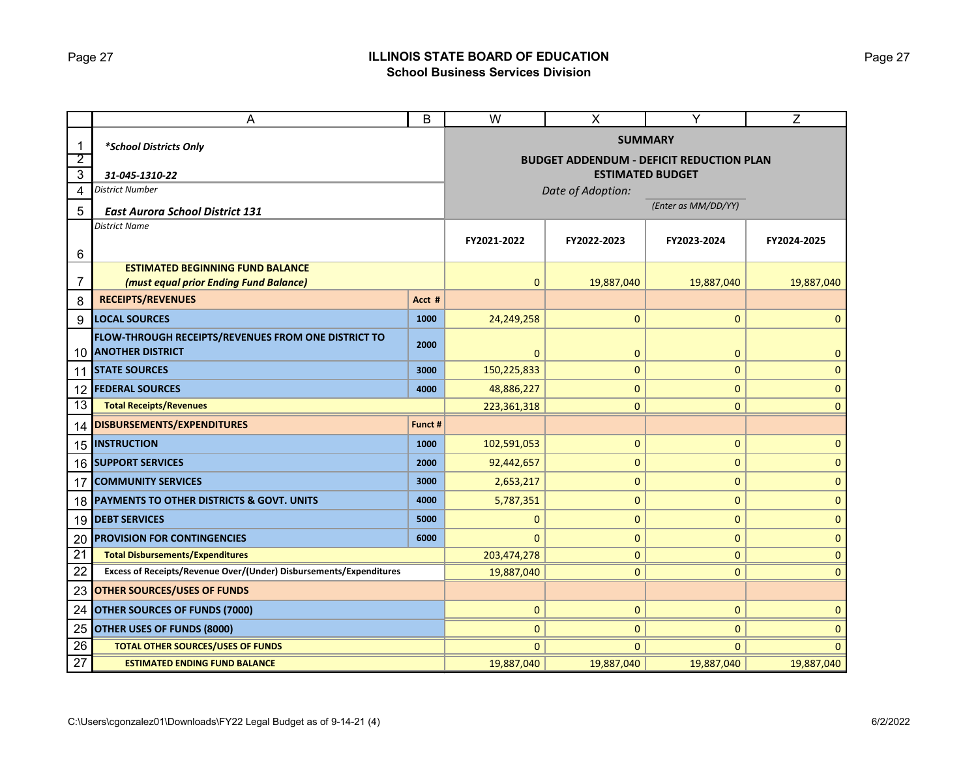### Page 27 **ILLINOIS STATE BOARD OF EDUCATION School Business Services Division**

|                     | A                                                                          |               | W                                                                 | X            | Y            | Z            |  |
|---------------------|----------------------------------------------------------------------------|---------------|-------------------------------------------------------------------|--------------|--------------|--------------|--|
| 1<br>$\overline{2}$ | *School Districts Only                                                     |               | <b>SUMMARY</b><br><b>BUDGET ADDENDUM - DEFICIT REDUCTION PLAN</b> |              |              |              |  |
| 3                   | 31-045-1310-22                                                             |               | <b>ESTIMATED BUDGET</b>                                           |              |              |              |  |
| 4                   | District Number                                                            |               | Date of Adoption:                                                 |              |              |              |  |
| 5                   | <b>East Aurora School District 131</b>                                     |               | (Enter as MM/DD/YY)                                               |              |              |              |  |
| 6                   | <b>District Name</b>                                                       | FY2021-2022   | FY2022-2023                                                       | FY2023-2024  | FY2024-2025  |              |  |
|                     | <b>ESTIMATED BEGINNING FUND BALANCE</b>                                    |               |                                                                   |              |              |              |  |
| 7                   | (must equal prior Ending Fund Balance)                                     |               | $\mathbf 0$                                                       | 19,887,040   | 19,887,040   | 19,887,040   |  |
| 8                   | <b>RECEIPTS/REVENUES</b>                                                   | Acct #        |                                                                   |              |              |              |  |
| 9                   | <b>LOCAL SOURCES</b>                                                       | 1000          | 24,249,258                                                        | $\mathbf 0$  | 0            | $\Omega$     |  |
|                     | FLOW-THROUGH RECEIPTS/REVENUES FROM ONE DISTRICT TO<br>10 ANOTHER DISTRICT | 2000          | 0                                                                 | $\mathbf 0$  | 0            | 0            |  |
| 11                  | <b>STATE SOURCES</b>                                                       | 3000          | 150,225,833                                                       | 0            | 0            | $\mathbf 0$  |  |
| 12                  | <b>FEDERAL SOURCES</b>                                                     | 4000          | 48,886,227                                                        | 0            | 0            | $\mathbf 0$  |  |
| 13                  | <b>Total Receipts/Revenues</b>                                             | 223, 361, 318 | $\mathbf 0$                                                       | 0            | $\mathbf 0$  |              |  |
| 14                  | DISBURSEMENTS/EXPENDITURES                                                 | Funct #       |                                                                   |              |              |              |  |
|                     | <b>15 INSTRUCTION</b>                                                      | 1000          | 102,591,053                                                       | $\pmb{0}$    | $\pmb{0}$    | $\mathbf 0$  |  |
|                     | 16 SUPPORT SERVICES                                                        | 2000          | 92,442,657                                                        | $\mathbf 0$  | 0            | $\mathbf 0$  |  |
| 17                  | <b>COMMUNITY SERVICES</b>                                                  | 3000          | 2,653,217                                                         | $\pmb{0}$    | $\pmb{0}$    | $\mathbf 0$  |  |
| 18                  | <b>PAYMENTS TO OTHER DISTRICTS &amp; GOVT. UNITS</b>                       | 4000          | 5,787,351                                                         | $\pmb{0}$    | 0            | $\mathbf 0$  |  |
| 19                  | <b>DEBT SERVICES</b>                                                       | 5000          | 0                                                                 | $\pmb{0}$    | $\pmb{0}$    | $\mathbf 0$  |  |
| 20                  | <b>PROVISION FOR CONTINGENCIES</b>                                         | 6000          | $\Omega$                                                          | $\pmb{0}$    | 0            | $\mathbf 0$  |  |
| 21                  | <b>Total Disbursements/Expenditures</b>                                    |               | 203,474,278                                                       | $\pmb{0}$    | $\mathbf{0}$ | $\Omega$     |  |
| 22                  | Excess of Receipts/Revenue Over/(Under) Disbursements/Expenditures         |               | 19,887,040                                                        | $\mathbf 0$  | $\mathbf{0}$ | $\mathbf{0}$ |  |
| 23                  | <b>OTHER SOURCES/USES OF FUNDS</b>                                         |               |                                                                   |              |              |              |  |
| 24                  | <b>OTHER SOURCES OF FUNDS (7000)</b>                                       | $\mathbf 0$   | $\mathbf 0$                                                       | $\mathbf 0$  | $\mathbf{0}$ |              |  |
| 25                  | <b>OTHER USES OF FUNDS (8000)</b>                                          |               | $\mathbf{0}$                                                      | $\mathbf 0$  | 0            | $\Omega$     |  |
| 26                  | <b>TOTAL OTHER SOURCES/USES OF FUNDS</b>                                   |               | $\mathbf{0}$                                                      | $\mathbf{0}$ | $\mathbf{0}$ | $\Omega$     |  |
| 27                  | <b>ESTIMATED ENDING FUND BALANCE</b>                                       |               | 19,887,040                                                        | 19,887,040   | 19,887,040   | 19,887,040   |  |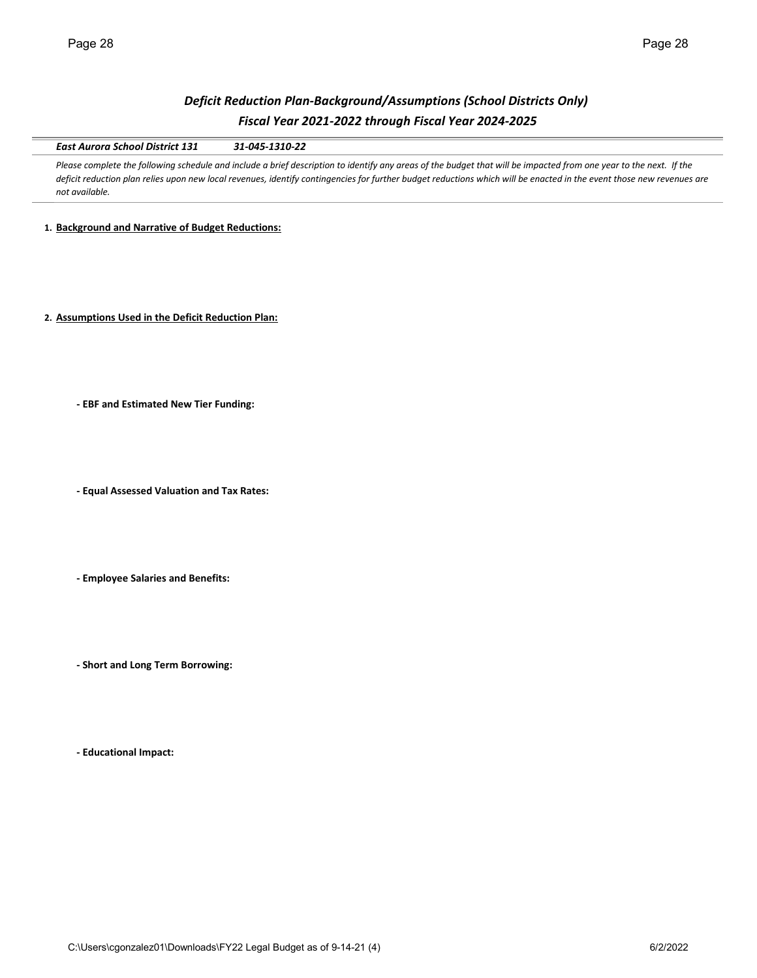## *Deficit Reduction Plan-Background/Assumptions (School Districts Only) Fiscal Year 2021-2022 through Fiscal Year 2024-2025*

*East Aurora School District 131 31-045-1310-22*

Please complete the following schedule and include a brief description to identify any areas of the budget that will be impacted from one year to the next. If the *deficit reduction plan relies upon new local revenues, identify contingencies for further budget reductions which will be enacted in the event those new revenues are not available.* 

**1. Background and Narrative of Budget Reductions:**

**2. Assumptions Used in the Deficit Reduction Plan:**

**- EBF and Estimated New Tier Funding:**

**- Equal Assessed Valuation and Tax Rates:**

**- Employee Salaries and Benefits:**

**- Short and Long Term Borrowing:**

**- Educational Impact:**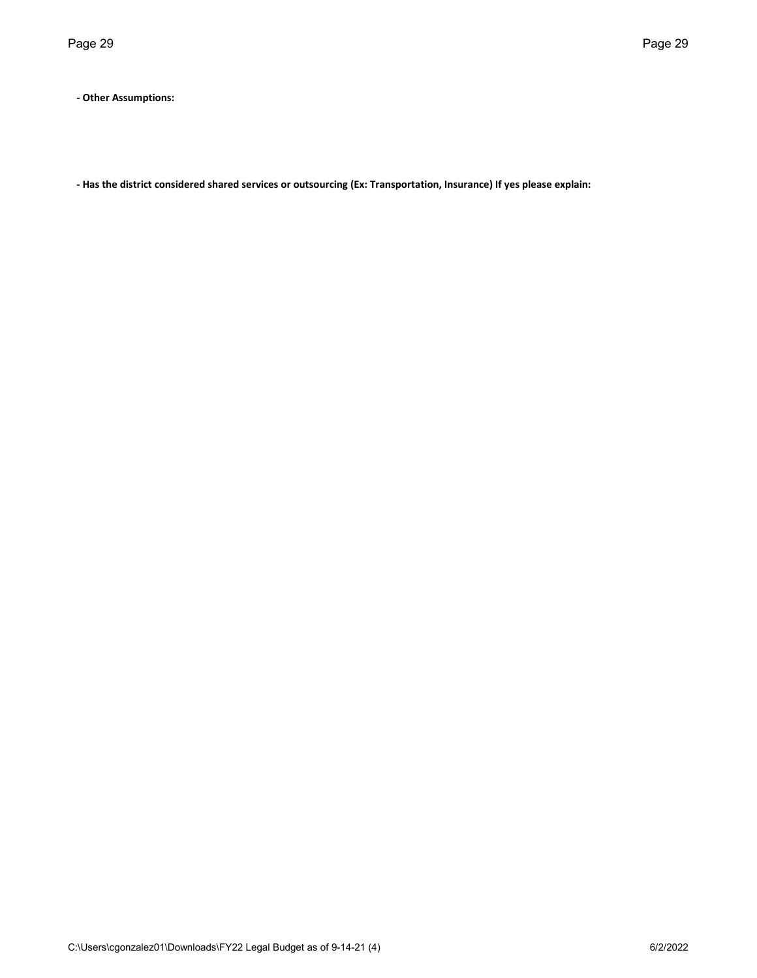**- Other Assumptions:**

**- Has the district considered shared services or outsourcing (Ex: Transportation, Insurance) If yes please explain:**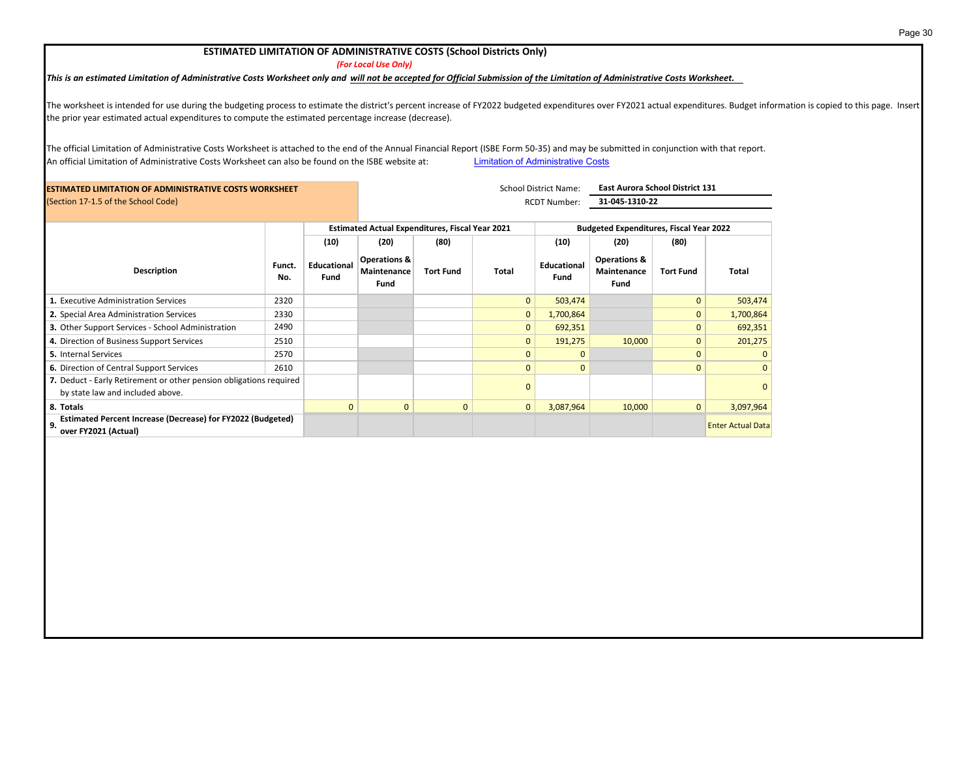| Page 30 |
|---------|
|         |

## **ESTIMATED LIMITATION OF ADMINISTRATIVE COSTS (School Districts Only)**

*(For Local Use Only)*

*This is an estimated Limitation of Administrative Costs Worksheet only and will not be accepted for Official Submission of the Limitation of Administrative Costs Worksheet.* 

The worksheet is intended for use during the budgeting process to estimate the district's percent increase of FY2022 budgeted expenditures over FY2021 actual expenditures. Budget information is copied to this page. Insert the prior year estimated actual expenditures to compute the estimated percentage increase (decrease).

The official Limitation of Administrative Costs Worksheet is attached to the end of the Annual Financial Report (ISBE Form 50-35) and may be submitted in conjunction with that report. An official [Limitation of Administrative Costs](https://www.isbe.net/Pages/Limitation-of-Administrative-Costs.aspx) Worksheet can also be found on the ISBE website at: Limitation of Administrative Costs

| <b>IESTIMATED LIMITATION OF ADMINISTRATIVE COSTS WORKSHEET</b>                                         |               |                                   | <b>School District Name:</b>                           |                  |              | <b>East Aurora School District 131</b> |                                                              |                  |                          |  |
|--------------------------------------------------------------------------------------------------------|---------------|-----------------------------------|--------------------------------------------------------|------------------|--------------|----------------------------------------|--------------------------------------------------------------|------------------|--------------------------|--|
| (Section 17-1.5 of the School Code)                                                                    |               |                                   |                                                        |                  |              | <b>RCDT Number:</b>                    | 31-045-1310-22                                               |                  |                          |  |
|                                                                                                        |               |                                   | <b>Estimated Actual Expenditures, Fiscal Year 2021</b> |                  |              |                                        | <b>Budgeted Expenditures, Fiscal Year 2022</b>               |                  |                          |  |
|                                                                                                        |               | (10)                              | (20)                                                   | (80)             |              | (10)                                   | (20)                                                         | (80)             |                          |  |
| <b>Description</b>                                                                                     | Funct.<br>No. | <b>Educational</b><br><b>Fund</b> | Operations &<br>Maintenance<br><b>Fund</b>             | <b>Tort Fund</b> | Total        | <b>Educational</b><br>Fund             | <b>Operations &amp;</b><br><b>Maintenance</b><br><b>Fund</b> | <b>Tort Fund</b> | <b>Total</b>             |  |
| 1. Executive Administration Services                                                                   | 2320          |                                   |                                                        |                  | $\mathbf{0}$ | 503,474                                |                                                              | $\Omega$         | 503,474                  |  |
| 2. Special Area Administration Services                                                                | 2330          |                                   |                                                        |                  | $\mathbf{0}$ | 1,700,864                              |                                                              | $\Omega$         | 1,700,864                |  |
| 3. Other Support Services - School Administration                                                      | 2490          |                                   |                                                        |                  | $\mathbf{0}$ | 692,351                                |                                                              | $\mathbf{0}$     | 692,351                  |  |
| 4. Direction of Business Support Services                                                              | 2510          |                                   |                                                        |                  | $\mathbf{0}$ | 191,275                                | 10,000                                                       | $\mathbf{0}$     | 201,275                  |  |
| <b>5.</b> Internal Services                                                                            | 2570          |                                   |                                                        |                  | $\Omega$     | 0                                      |                                                              | $\mathbf{0}$     |                          |  |
| 6. Direction of Central Support Services                                                               | 2610          |                                   |                                                        |                  | $\mathbf{0}$ | 0                                      |                                                              | $\mathbf{0}$     | 0                        |  |
| 7. Deduct - Early Retirement or other pension obligations required<br>by state law and included above. |               |                                   |                                                        |                  | $\Omega$     |                                        |                                                              |                  |                          |  |
| 8. Totals                                                                                              |               | $\mathbf{0}$                      | $\mathbf{0}$                                           | $\mathbf{0}$     | $\mathbf{0}$ | 3,087,964                              | 10,000                                                       | $\mathbf{0}$     | 3,097,964                |  |
| <b>Estimated Percent Increase (Decrease) for FY2022 (Budgeted)</b><br>9.<br>over FY2021 (Actual)       |               |                                   |                                                        |                  |              |                                        |                                                              |                  | <b>Enter Actual Data</b> |  |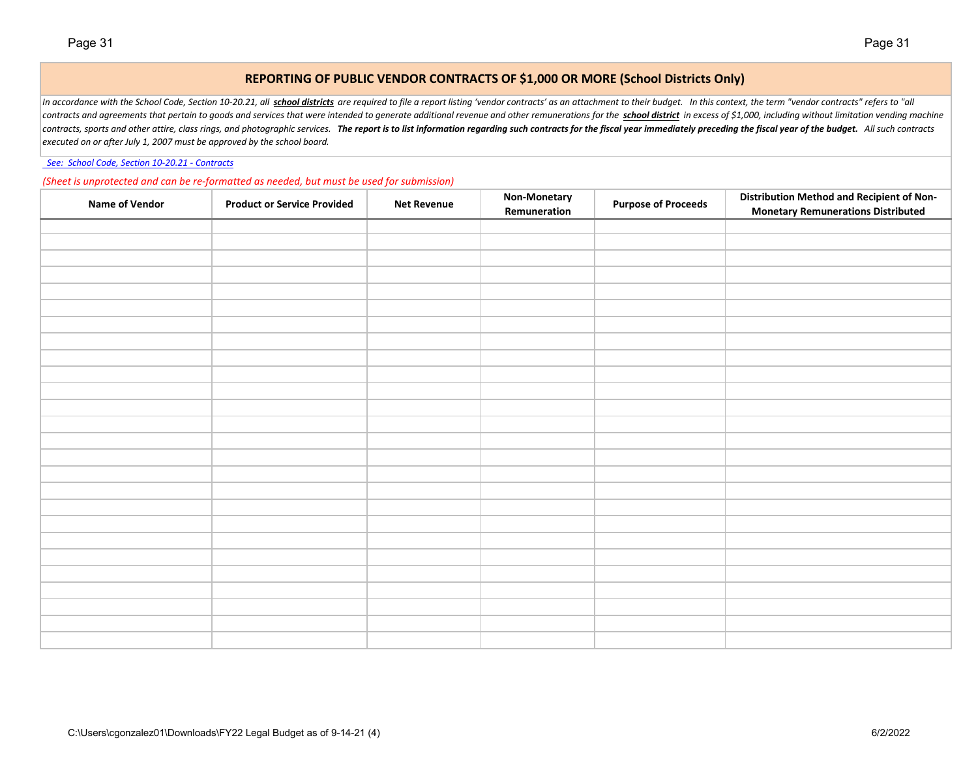### **REPORTING OF PUBLIC VENDOR CONTRACTS OF \$1,000 OR MORE (School Districts Only)**

In accordance with the School Code, Section 10-20.21, all school districts are required to file a report listing 'vendor contracts' as an attachment to their budget. In this context, the term "vendor contracts" refers to " contracts and agreements that pertain to goods and services that were intended to generate additional revenue and other remunerations for the school district in excess of \$1,000, including without limitation vending machin contracts, sports and other attire, class rings, and photographic services. The report is to list information regarding such contracts for the fiscal year immediately preceding the fiscal year of the budget. All such contr *executed on or after July 1, 2007 must be approved by the school board.*

 *[See: School Code, Section 10-20.21 - Contracts](http://www.ilga.gov/legislation/ilcs/ilcs4.asp?DocName=010500050HArt%2E+10&ActID=1005&ChapAct=105%26nbsp%3BILCS%26nbsp%3B5%2F&ChapterID=17&ChapterName=SCHOOLS&SectionID=48899&SeqStart=53200000&SeqEnd=74800000&ActName=School+Code%2E)*

*(Sheet is unprotected and can be re-formatted as needed, but must be used for submission)*

| <b>Name of Vendor</b> | <b>Product or Service Provided</b> | <b>Net Revenue</b> | Non-Monetary<br>Remuneration | <b>Purpose of Proceeds</b> | <b>Distribution Method and Recipient of Non-</b><br><b>Monetary Remunerations Distributed</b> |
|-----------------------|------------------------------------|--------------------|------------------------------|----------------------------|-----------------------------------------------------------------------------------------------|
|                       |                                    |                    |                              |                            |                                                                                               |
|                       |                                    |                    |                              |                            |                                                                                               |
|                       |                                    |                    |                              |                            |                                                                                               |
|                       |                                    |                    |                              |                            |                                                                                               |
|                       |                                    |                    |                              |                            |                                                                                               |
|                       |                                    |                    |                              |                            |                                                                                               |
|                       |                                    |                    |                              |                            |                                                                                               |
|                       |                                    |                    |                              |                            |                                                                                               |
|                       |                                    |                    |                              |                            |                                                                                               |
|                       |                                    |                    |                              |                            |                                                                                               |
|                       |                                    |                    |                              |                            |                                                                                               |
|                       |                                    |                    |                              |                            |                                                                                               |
|                       |                                    |                    |                              |                            |                                                                                               |
|                       |                                    |                    |                              |                            |                                                                                               |
|                       |                                    |                    |                              |                            |                                                                                               |
|                       |                                    |                    |                              |                            |                                                                                               |
|                       |                                    |                    |                              |                            |                                                                                               |
|                       |                                    |                    |                              |                            |                                                                                               |
|                       |                                    |                    |                              |                            |                                                                                               |
|                       |                                    |                    |                              |                            |                                                                                               |
|                       |                                    |                    |                              |                            |                                                                                               |
|                       |                                    |                    |                              |                            |                                                                                               |
|                       |                                    |                    |                              |                            |                                                                                               |
|                       |                                    |                    |                              |                            |                                                                                               |
|                       |                                    |                    |                              |                            |                                                                                               |
|                       |                                    |                    |                              |                            |                                                                                               |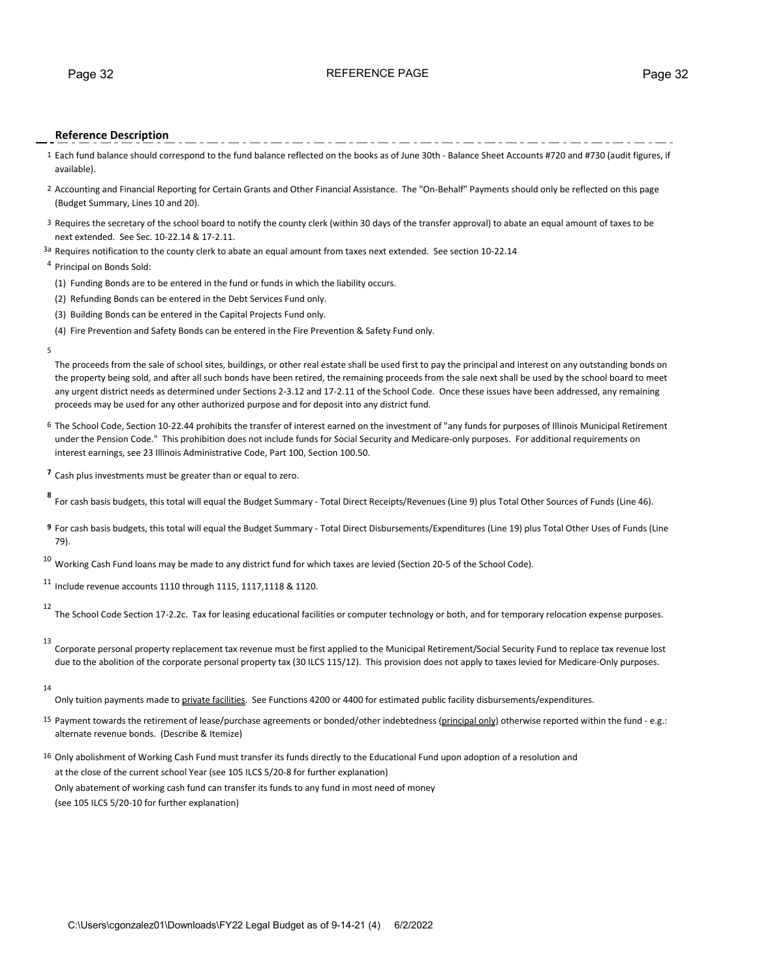### Page 32 REFERENCE PAGE Page 32

### **Reference Description**

- 1 Each fund balance should correspond to the fund balance reflected on the books as of June 30th Balance Sheet Accounts #720 and #730 (audit figures, if available).
- 2 Accounting and Financial Reporting for Certain Grants and Other Financial Assistance. The "On-Behalf" Payments should only be reflected on this page (Budget Summary, Lines 10 and 20).
- 3 Requires the secretary of the school board to notify the county clerk (within 30 days of the transfer approval) to abate an equal amount of taxes to be next extended. See Sec. 10-22.14 & 17-2.11.
- 3a Requires notification to the county clerk to abate an equal amount from taxes next extended. See section 10-22.14

### <sup>4</sup> Principal on Bonds Sold:

- (1) Funding Bonds are to be entered in the fund or funds in which the liability occurs.
- (2) Refunding Bonds can be entered in the Debt Services Fund only.
- (3) Building Bonds can be entered in the Capital Projects Fund only.
- (4) Fire Prevention and Safety Bonds can be entered in the Fire Prevention & Safety Fund only.
- 5

The proceeds from the sale of school sites, buildings, or other real estate shall be used first to pay the principal and interest on any outstanding bonds on the property being sold, and after all such bonds have been retired, the remaining proceeds from the sale next shall be used by the school board to meet any urgent district needs as determined under Sections 2-3.12 and 17-2.11 of the School Code. Once these issues have been addressed, any remaining proceeds may be used for any other authorized purpose and for deposit into any district fund.

- 6 The School Code, Section 10-22.44 prohibits the transfer of interest earned on the investment of "any funds for purposes of Illinois Municipal Retirement under the Pension Code." This prohibition does not include funds for Social Security and Medicare-only purposes. For additional requirements on interest earnings, see 23 Illinois Administrative Code, Part 100, Section 100.50.
- **<sup>7</sup>** Cash plus investments must be greater than or equal to zero.

**<sup>8</sup>** For cash basis budgets, this total will equal the Budget Summary - Total Direct Receipts/Revenues (Line 9) plus Total Other Sources of Funds (Line 46).

**9** For cash basis budgets, this total will equal the Budget Summary - Total Direct Disbursements/Expenditures (Line 19) plus Total Other Uses of Funds (Line 79).

 $10$  Working Cash Fund loans may be made to any district fund for which taxes are levied (Section 20-5 of the School Code).

<sup>11</sup> Include revenue accounts 1110 through 1115, 1117,1118 & 1120.

12 The School Code Section 17-2.2c. Tax for leasing educational facilities or computer technology or both, and for temporary relocation expense purposes.

13

Corporate personal property replacement tax revenue must be first applied to the Municipal Retirement/Social Security Fund to replace tax revenue lost due to the abolition of the corporate personal property tax (30 ILCS 115/12). This provision does not apply to taxes levied for Medicare-Only purposes.

14

Only tuition payments made to *private facilities*. See Functions 4200 or 4400 for estimated public facility disbursements/expenditures.

- 15 Payment towards the retirement of lease/purchase agreements or bonded/other indebtedness (principal only) otherwise reported within the fund e.g.: alternate revenue bonds. (Describe & Itemize)
- 16 Only abolishment of Working Cash Fund must transfer its funds directly to the Educational Fund upon adoption of a resolution and at the close of the current school Year (see 105 ILCS 5/20-8 for further explanation) Only abatement of working cash fund can transfer its funds to any fund in most need of money (see 105 ILCS 5/20-10 for further explanation)